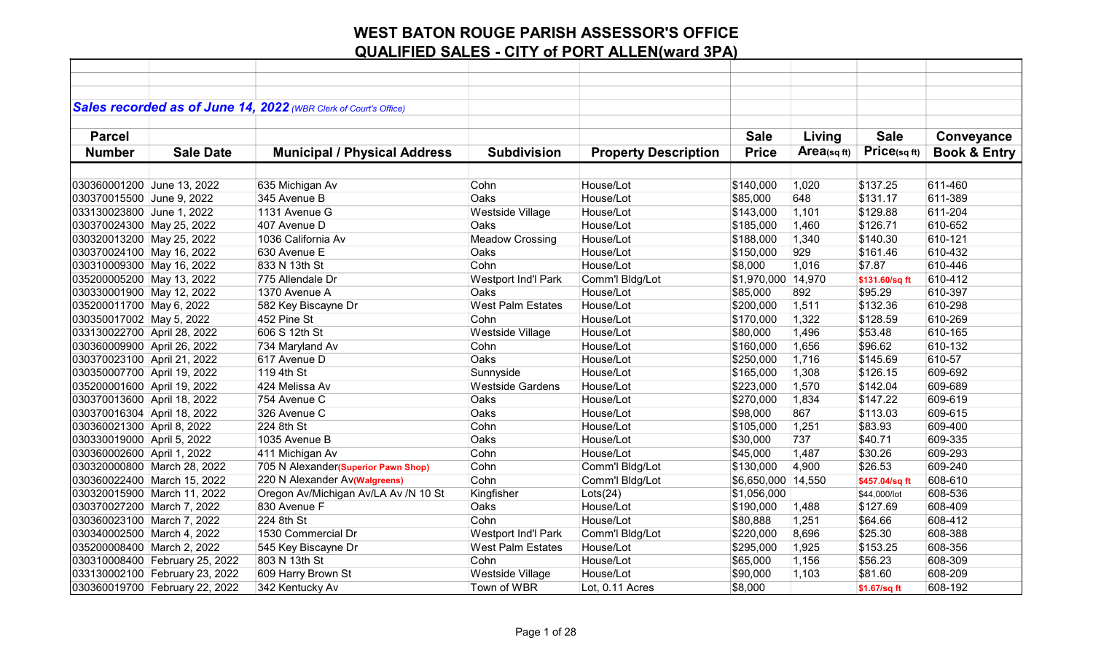|                             |                                | Sales recorded as of June 14, 2022 (WBR Clerk of Court's Office) |                            |                             |                    |            |                |                         |
|-----------------------------|--------------------------------|------------------------------------------------------------------|----------------------------|-----------------------------|--------------------|------------|----------------|-------------------------|
|                             |                                |                                                                  |                            |                             |                    |            |                |                         |
| <b>Parcel</b>               |                                |                                                                  |                            |                             | <b>Sale</b>        | Living     | <b>Sale</b>    | Conveyance              |
| <b>Number</b>               | <b>Sale Date</b>               | <b>Municipal / Physical Address</b>                              | <b>Subdivision</b>         | <b>Property Description</b> | <b>Price</b>       | Area(sqft) | Price(sq ft)   | <b>Book &amp; Entry</b> |
|                             |                                |                                                                  |                            |                             |                    |            |                |                         |
| 030360001200 June 13, 2022  |                                | 635 Michigan Av                                                  | Cohn                       | House/Lot                   | \$140,000          | 1,020      | \$137.25       | 611-460                 |
| 030370015500 June 9, 2022   |                                | 345 Avenue B                                                     | Oaks                       | House/Lot                   | \$85,000           | 648        | \$131.17       | 611-389                 |
| 033130023800 June 1, 2022   |                                | 1131 Avenue G                                                    | Westside Village           | House/Lot                   | \$143,000          | 1,101      | \$129.88       | 611-204                 |
| 030370024300 May 25, 2022   |                                | 407 Avenue D                                                     | Oaks                       | House/Lot                   | \$185,000          | 1,460      | \$126.71       | 610-652                 |
| 030320013200 May 25, 2022   |                                | 1036 California Av                                               | <b>Meadow Crossing</b>     | House/Lot                   | \$188,000          | 1,340      | \$140.30       | 610-121                 |
| 030370024100 May 16, 2022   |                                | 630 Avenue E                                                     | Oaks                       | House/Lot                   | \$150,000          | 929        | \$161.46       | 610-432                 |
| 030310009300 May 16, 2022   |                                | 833 N 13th St                                                    | Cohn                       | House/Lot                   | \$8,000            | 1,016      | \$7.87         | 610-446                 |
| 035200005200 May 13, 2022   |                                | 775 Allendale Dr                                                 | Westport Ind'l Park        | Comm'l Bldg/Lot             | \$1,970,000 14,970 |            | \$131.60/sq ft | 610-412                 |
| 030330001900 May 12, 2022   |                                | 1370 Avenue A                                                    | Oaks                       | House/Lot                   | \$85,000           | 892        | \$95.29        | 610-397                 |
| 035200011700 May 6, 2022    |                                | 582 Key Biscayne Dr                                              | West Palm Estates          | House/Lot                   | \$200,000          | 1,511      | \$132.36       | 610-298                 |
| 030350017002 May 5, 2022    |                                | 452 Pine St                                                      | Cohn                       | House/Lot                   | \$170,000          | 1,322      | \$128.59       | 610-269                 |
| 033130022700 April 28, 2022 |                                | 606 S 12th St                                                    | Westside Village           | House/Lot                   | \$80,000           | 1,496      | \$53.48        | 610-165                 |
| 030360009900 April 26, 2022 |                                | 734 Maryland Av                                                  | Cohn                       | House/Lot                   | \$160,000          | 1,656      | \$96.62        | 610-132                 |
| 030370023100 April 21, 2022 |                                | 617 Avenue D                                                     | Oaks                       | House/Lot                   | \$250,000          | 1,716      | \$145.69       | 610-57                  |
| 030350007700 April 19, 2022 |                                | 119 4th St                                                       | Sunnyside                  | House/Lot                   | \$165,000          | 1,308      | \$126.15       | 609-692                 |
| 035200001600 April 19, 2022 |                                | 424 Melissa Av                                                   | <b>Westside Gardens</b>    | House/Lot                   | \$223,000          | 1,570      | \$142.04       | 609-689                 |
| 030370013600 April 18, 2022 |                                | 754 Avenue C                                                     | Oaks                       | House/Lot                   | \$270,000          | 1,834      | \$147.22       | 609-619                 |
| 030370016304 April 18, 2022 |                                | 326 Avenue C                                                     | Oaks                       | House/Lot                   | \$98,000           | 867        | \$113.03       | 609-615                 |
| 030360021300 April 8, 2022  |                                | 224 8th St                                                       | Cohn                       | House/Lot                   | \$105,000          | 1,251      | \$83.93        | 609-400                 |
| 030330019000 April 5, 2022  |                                | 1035 Avenue B                                                    | Oaks                       | House/Lot                   | \$30,000           | 737        | \$40.71        | 609-335                 |
| 030360002600 April 1, 2022  |                                | 411 Michigan Av                                                  | Cohn                       | House/Lot                   | \$45,000           | 1,487      | \$30.26        | 609-293                 |
|                             | 030320000800 March 28, 2022    | 705 N Alexander(Superior Pawn Shop)                              | Cohn                       | Comm'l Bldg/Lot             | \$130,000          | 4,900      | \$26.53        | 609-240                 |
|                             | 030360022400 March 15, 2022    | 220 N Alexander Av(Walgreens)                                    | Cohn                       | Comm'l Bldg/Lot             | \$6,650,000 14,550 |            | \$457.04/sq ft | 608-610                 |
|                             | 030320015900 March 11, 2022    | Oregon Av/Michigan Av/LA Av /N 10 St                             | Kingfisher                 | Lots(24)                    | \$1,056,000        |            | \$44,000/lot   | 608-536                 |
| 030370027200 March 7, 2022  |                                | 830 Avenue F                                                     | Oaks                       | House/Lot                   | \$190,000          | 1,488      | \$127.69       | 608-409                 |
| 030360023100 March 7, 2022  |                                | 224 8th St                                                       | Cohn                       | House/Lot                   | \$80,888           | 1,251      | \$64.66        | 608-412                 |
| 030340002500 March 4, 2022  |                                | 1530 Commercial Dr                                               | <b>Westport Ind'l Park</b> | Comm'l Bldg/Lot             | \$220,000          | 8,696      | \$25.30        | 608-388                 |
| 035200008400 March 2, 2022  |                                | 545 Key Biscayne Dr                                              | <b>West Palm Estates</b>   | House/Lot                   | \$295,000          | 1,925      | \$153.25       | 608-356                 |
|                             | 030310008400 February 25, 2022 | 803 N 13th St                                                    | Cohn                       | House/Lot                   | \$65,000           | 1,156      | \$56.23        | 608-309                 |
|                             | 033130002100 February 23, 2022 | 609 Harry Brown St                                               | Westside Village           | House/Lot                   | \$90,000           | 1,103      | \$81.60        | 608-209                 |
|                             | 030360019700 February 22, 2022 | 342 Kentucky Av                                                  | Town of WBR                | Lot, 0.11 Acres             | \$8,000            |            | \$1.67/sq ft   | 608-192                 |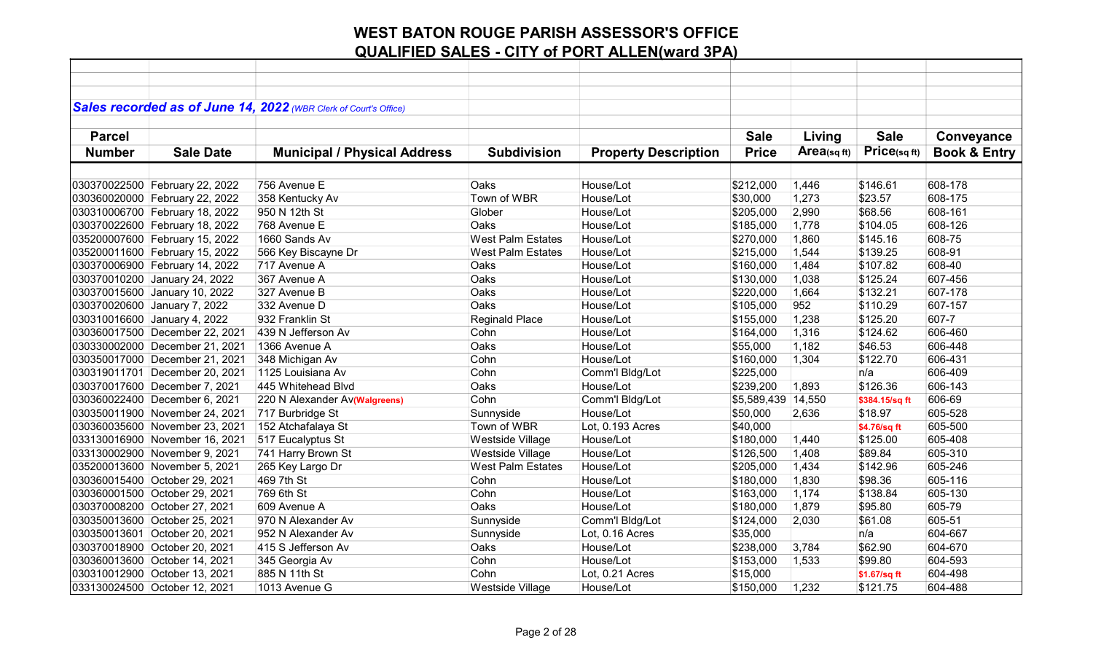|               |                                | Sales recorded as of June 14, 2022 (WBR Clerk of Court's Office) |                          |                             |              |            |                |                         |
|---------------|--------------------------------|------------------------------------------------------------------|--------------------------|-----------------------------|--------------|------------|----------------|-------------------------|
|               |                                |                                                                  |                          |                             |              |            |                |                         |
| <b>Parcel</b> |                                |                                                                  |                          |                             | <b>Sale</b>  | Living     | <b>Sale</b>    | Conveyance              |
| <b>Number</b> | <b>Sale Date</b>               | <b>Municipal / Physical Address</b>                              | <b>Subdivision</b>       | <b>Property Description</b> | <b>Price</b> | Area(sqft) | Price(sq ft)   | <b>Book &amp; Entry</b> |
|               |                                |                                                                  |                          |                             |              |            |                |                         |
|               | 030370022500 February 22, 2022 | 756 Avenue E                                                     | Oaks                     | House/Lot                   | \$212,000    | 1,446      | \$146.61       | 608-178                 |
|               | 030360020000 February 22, 2022 | 358 Kentucky Av                                                  | Town of WBR              | House/Lot                   | \$30,000     | 1,273      | \$23.57        | 608-175                 |
|               | 030310006700 February 18, 2022 | 950 N 12th St                                                    | Glober                   | House/Lot                   | \$205,000    | 2,990      | \$68.56        | 608-161                 |
|               | 030370022600 February 18, 2022 | 768 Avenue E                                                     | Oaks                     | House/Lot                   | \$185,000    | 1,778      | \$104.05       | 608-126                 |
|               | 035200007600 February 15, 2022 | 1660 Sands Av                                                    | <b>West Palm Estates</b> | House/Lot                   | \$270,000    | 1,860      | \$145.16       | 608-75                  |
|               | 035200011600 February 15, 2022 | 566 Key Biscayne Dr                                              | <b>West Palm Estates</b> | House/Lot                   | \$215,000    | 1,544      | \$139.25       | 608-91                  |
|               | 030370006900 February 14, 2022 | 717 Avenue A                                                     | Oaks                     | House/Lot                   | \$160,000    | 1,484      | \$107.82       | 608-40                  |
|               | 030370010200 January 24, 2022  | 367 Avenue A                                                     | Oaks                     | House/Lot                   | \$130,000    | 1,038      | \$125.24       | 607-456                 |
|               | 030370015600 January 10, 2022  | 327 Avenue B                                                     | Oaks                     | House/Lot                   | \$220,000    | 1,664      | \$132.21       | 607-178                 |
|               | 030370020600 January 7, 2022   | 332 Avenue D                                                     | Oaks                     | House/Lot                   | \$105,000    | 952        | \$110.29       | 607-157                 |
|               | 030310016600 January 4, 2022   | 932 Franklin St                                                  | <b>Reginald Place</b>    | House/Lot                   | \$155,000    | 1,238      | \$125.20       | 607-7                   |
|               | 030360017500 December 22, 2021 | 439 N Jefferson Av                                               | Cohn                     | House/Lot                   | \$164,000    | 1,316      | \$124.62       | 606-460                 |
|               | 030330002000 December 21, 2021 | 1366 Avenue A                                                    | Oaks                     | House/Lot                   | \$55,000     | 1,182      | \$46.53        | 606-448                 |
|               | 030350017000 December 21, 2021 | 348 Michigan Av                                                  | Cohn                     | House/Lot                   | \$160,000    | 1,304      | \$122.70       | 606-431                 |
|               | 030319011701 December 20, 2021 | 1125 Louisiana Av                                                | Cohn                     | Comm'l Bldg/Lot             | \$225,000    |            | n/a            | 606-409                 |
|               | 030370017600 December 7, 2021  | 445 Whitehead Blvd                                               | Oaks                     | House/Lot                   | \$239,200    | 1,893      | \$126.36       | 606-143                 |
|               | 030360022400 December 6, 2021  | 220 N Alexander Av(Walgreens)                                    | Cohn                     | Comm'l Bldg/Lot             | \$5,589,439  | 14,550     | \$384.15/sq ft | 606-69                  |
|               | 030350011900 November 24, 2021 | 717 Burbridge St                                                 | Sunnyside                | House/Lot                   | \$50,000     | 2,636      | \$18.97        | 605-528                 |
|               | 030360035600 November 23, 2021 | 152 Atchafalaya St                                               | Town of WBR              | Lot, 0.193 Acres            | \$40,000     |            | \$4.76/sq ft   | 605-500                 |
|               | 033130016900 November 16, 2021 | 517 Eucalyptus St                                                | Westside Village         | House/Lot                   | \$180,000    | 1,440      | \$125.00       | 605-408                 |
|               | 033130002900 November 9, 2021  | 741 Harry Brown St                                               | Westside Village         | House/Lot                   | \$126,500    | 1,408      | \$89.84        | 605-310                 |
|               | 035200013600 November 5, 2021  | 265 Key Largo Dr                                                 | <b>West Palm Estates</b> | House/Lot                   | \$205,000    | 1,434      | \$142.96       | 605-246                 |
|               | 030360015400 October 29, 2021  | 469 7th St                                                       | Cohn                     | House/Lot                   | \$180,000    | 1,830      | \$98.36        | 605-116                 |
|               | 030360001500 October 29, 2021  | 769 6th St                                                       | Cohn                     | House/Lot                   | \$163,000    | 1,174      | \$138.84       | 605-130                 |
|               | 030370008200 October 27, 2021  | 609 Avenue A                                                     | Oaks                     | House/Lot                   | \$180,000    | 1,879      | \$95.80        | 605-79                  |
|               | 030350013600 October 25, 2021  | 970 N Alexander Av                                               | Sunnyside                | Comm'l Bldg/Lot             | \$124,000    | 2,030      | \$61.08        | 605-51                  |
|               | 030350013601 October 20, 2021  | 952 N Alexander Av                                               | Sunnyside                | Lot, 0.16 Acres             | \$35,000     |            | n/a            | 604-667                 |
|               | 030370018900 October 20, 2021  | 415 S Jefferson Av                                               | Oaks                     | House/Lot                   | \$238,000    | 3,784      | \$62.90        | 604-670                 |
|               | 030360013600 October 14, 2021  | 345 Georgia Av                                                   | Cohn                     | House/Lot                   | \$153,000    | 1,533      | \$99.80        | 604-593                 |
|               | 030310012900 October 13, 2021  | 885 N 11th St                                                    | Cohn                     | Lot, 0.21 Acres             | \$15,000     |            | \$1.67/sq ft   | 604-498                 |
|               | 033130024500 October 12, 2021  | 1013 Avenue G                                                    | Westside Village         | House/Lot                   | \$150,000    | 1,232      | \$121.75       | 604-488                 |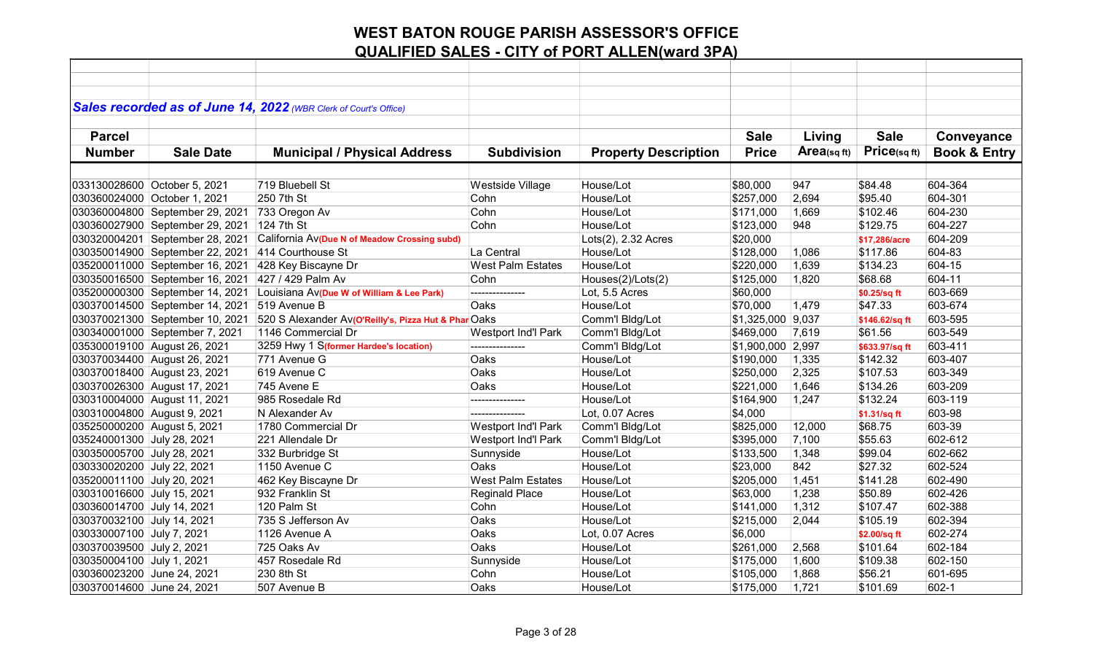|                              |                                 | Sales recorded as of June 14, 2022 (WBR Clerk of Court's Office) |                            |                             |                   |            |                |                         |
|------------------------------|---------------------------------|------------------------------------------------------------------|----------------------------|-----------------------------|-------------------|------------|----------------|-------------------------|
|                              |                                 |                                                                  |                            |                             |                   |            |                |                         |
| <b>Parcel</b>                |                                 |                                                                  |                            |                             | <b>Sale</b>       | Living     | <b>Sale</b>    | Conveyance              |
| <b>Number</b>                | <b>Sale Date</b>                | <b>Municipal / Physical Address</b>                              | <b>Subdivision</b>         | <b>Property Description</b> | <b>Price</b>      | Area(sqft) | Price(sqft)    | <b>Book &amp; Entry</b> |
|                              |                                 |                                                                  |                            |                             |                   |            |                |                         |
| 033130028600 October 5, 2021 |                                 | 719 Bluebell St                                                  | Westside Village           | House/Lot                   | \$80,000          | 947        | \$84.48        | 604-364                 |
|                              | 030360024000 October 1, 2021    | 250 7th St                                                       | Cohn                       | House/Lot                   | \$257,000         | 2,694      | \$95.40        | 604-301                 |
|                              | 030360004800 September 29, 2021 | 733 Oregon Av                                                    | Cohn                       | House/Lot                   | \$171,000         | 1,669      | \$102.46       | 604-230                 |
|                              | 030360027900 September 29, 2021 | 124 7th St                                                       | Cohn                       | House/Lot                   | \$123,000         | 948        | \$129.75       | 604-227                 |
|                              | 030320004201 September 28, 2021 | California Av(Due N of Meadow Crossing subd)                     |                            | Lots(2), 2.32 Acres         | \$20,000          |            | \$17,286/acre  | 604-209                 |
|                              | 030350014900 September 22, 2021 | 414 Courthouse St                                                | La Central                 | House/Lot                   | \$128,000         | 1,086      | \$117.86       | 604-83                  |
|                              | 035200011000 September 16, 2021 | 428 Key Biscayne Dr                                              | <b>West Palm Estates</b>   | House/Lot                   | \$220,000         | 1,639      | \$134.23       | 604-15                  |
|                              | 030350016500 September 16, 2021 | 427 / 429 Palm Av                                                | Cohn                       | Houses(2)/Lots(2)           | \$125,000         | 1,820      | \$68.68        | 604-11                  |
|                              | 035200000300 September 14, 2021 | Louisiana Av(Due W of William & Lee Park)                        | ---------------            | Lot, 5.5 Acres              | \$60,000          |            | \$0.25/sq ft   | 603-669                 |
|                              | 030370014500 September 14, 2021 | 519 Avenue B                                                     | Oaks                       | House/Lot                   | \$70,000          | 1,479      | \$47.33        | 603-674                 |
|                              | 030370021300 September 10, 2021 | 520 S Alexander Av(O'Reilly's, Pizza Hut & Phar Oaks             |                            | Comm'l Bldg/Lot             | \$1,325,000 9,037 |            | \$146.62/sq ft | 603-595                 |
|                              | 030340001000 September 7, 2021  | 1146 Commercial Dr                                               | Westport Ind'l Park        | Comm'l Bldg/Lot             | \$469,000         | 7,619      | \$61.56        | 603-549                 |
|                              | 035300019100 August 26, 2021    | 3259 Hwy 1 S(former Hardee's location)                           | ---------------            | Comm'l Bldg/Lot             | \$1,900,000 2,997 |            | \$633.97/sq ft | 603-411                 |
|                              | 030370034400 August 26, 2021    | 771 Avenue G                                                     | Oaks                       | House/Lot                   | \$190,000         | 1,335      | \$142.32       | 603-407                 |
|                              | 030370018400 August 23, 2021    | 619 Avenue C                                                     | Oaks                       | House/Lot                   | \$250,000         | 2,325      | \$107.53       | 603-349                 |
|                              | 030370026300 August 17, 2021    | 745 Avene E                                                      | Oaks                       | House/Lot                   | \$221,000         | 1,646      | \$134.26       | 603-209                 |
|                              | 030310004000 August 11, 2021    | 985 Rosedale Rd                                                  | .                          | House/Lot                   | \$164,900         | 1,247      | \$132.24       | 603-119                 |
| 030310004800 August 9, 2021  |                                 | N Alexander Av                                                   | ---------------            | Lot, 0.07 Acres             | \$4,000           |            | \$1.31/sq ft   | 603-98                  |
| 035250000200 August 5, 2021  |                                 | 1780 Commercial Dr                                               | Westport Ind'l Park        | Comm'l Bldg/Lot             | \$825,000         | 12,000     | \$68.75        | 603-39                  |
| 035240001300 July 28, 2021   |                                 | 221 Allendale Dr                                                 | <b>Westport Ind'l Park</b> | Comm'l Bldg/Lot             | \$395,000         | 7,100      | \$55.63        | 602-612                 |
| 030350005700 July 28, 2021   |                                 | 332 Burbridge St                                                 | Sunnyside                  | House/Lot                   | \$133,500         | 1,348      | \$99.04        | 602-662                 |
| 030330020200 July 22, 2021   |                                 | 1150 Avenue C                                                    | Oaks                       | House/Lot                   | \$23,000          | 842        | \$27.32        | 602-524                 |
| 035200011100 July 20, 2021   |                                 | 462 Key Biscayne Dr                                              | <b>West Palm Estates</b>   | House/Lot                   | \$205,000         | 1,451      | \$141.28       | 602-490                 |
| 030310016600 July 15, 2021   |                                 | 932 Franklin St                                                  | Reginald Place             | House/Lot                   | \$63,000          | 1,238      | \$50.89        | 602-426                 |
| 030360014700 July 14, 2021   |                                 | 120 Palm St                                                      | Cohn                       | House/Lot                   | \$141,000         | 1,312      | \$107.47       | 602-388                 |
| 030370032100 July 14, 2021   |                                 | 735 S Jefferson Av                                               | Oaks                       | House/Lot                   | \$215,000         | 2,044      | \$105.19       | 602-394                 |
| 030330007100 July 7, 2021    |                                 | 1126 Avenue A                                                    | Oaks                       | Lot, 0.07 Acres             | \$6,000           |            | \$2.00/sq ft   | 602-274                 |
| 030370039500 July 2, 2021    |                                 | 725 Oaks Av                                                      | Oaks                       | House/Lot                   | \$261,000         | 2,568      | \$101.64       | 602-184                 |
| 030350004100 July 1, 2021    |                                 | 457 Rosedale Rd                                                  | Sunnyside                  | House/Lot                   | \$175,000         | 1,600      | \$109.38       | 602-150                 |
| 030360023200 June 24, 2021   |                                 | 230 8th St                                                       | Cohn                       | House/Lot                   | \$105,000         | 1,868      | \$56.21        | 601-695                 |
| 030370014600 June 24, 2021   |                                 | 507 Avenue B                                                     | Oaks                       | House/Lot                   | \$175,000         | 1,721      | \$101.69       | 602-1                   |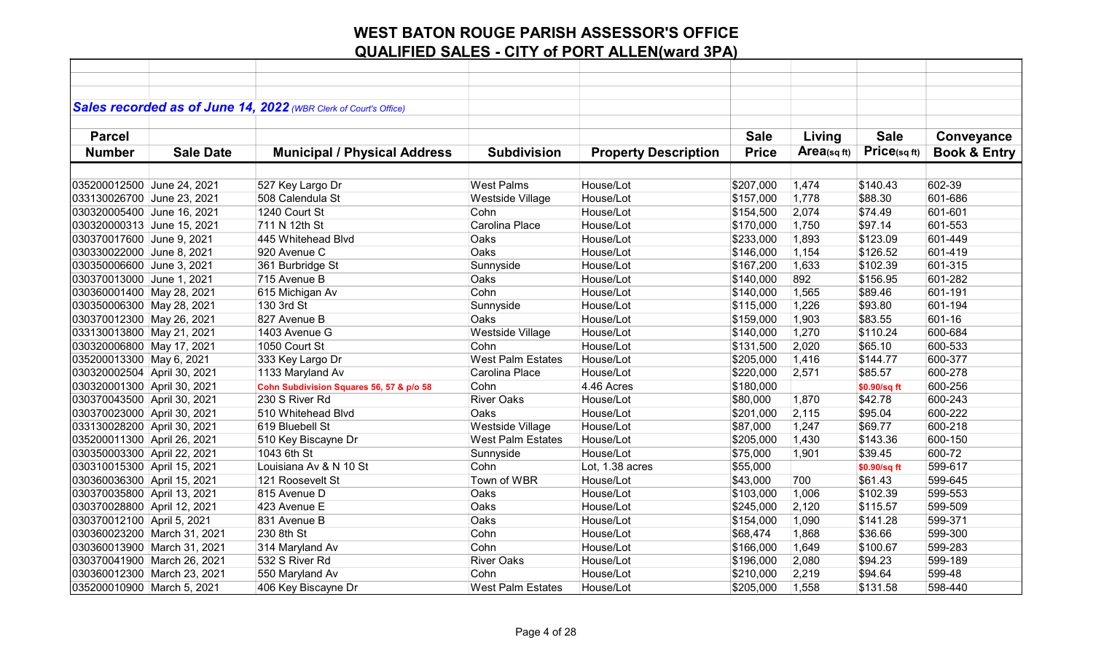|                             |                             | Sales recorded as of June 14, 2022 (WBR Clerk of Court's Office) |                          |                             |              |                |              |                         |
|-----------------------------|-----------------------------|------------------------------------------------------------------|--------------------------|-----------------------------|--------------|----------------|--------------|-------------------------|
|                             |                             |                                                                  |                          |                             |              |                |              |                         |
| <b>Parcel</b>               |                             |                                                                  |                          |                             | <b>Sale</b>  | Living         | <b>Sale</b>  | Conveyance              |
| <b>Number</b>               | <b>Sale Date</b>            | <b>Municipal / Physical Address</b>                              | <b>Subdivision</b>       | <b>Property Description</b> | <b>Price</b> | $Area$ (sq ft) | Price(sqft)  | <b>Book &amp; Entry</b> |
|                             |                             |                                                                  |                          |                             |              |                |              |                         |
| 035200012500 June 24, 2021  |                             | 527 Key Largo Dr                                                 | <b>West Palms</b>        | House/Lot                   | \$207,000    | 1,474          | \$140.43     | 602-39                  |
| 033130026700 June 23, 2021  |                             | 508 Calendula St                                                 | Westside Village         | House/Lot                   | \$157,000    | 1,778          | \$88.30      | 601-686                 |
| 030320005400 June 16, 2021  |                             | 1240 Court St                                                    | Cohn                     | House/Lot                   | \$154,500    | 2,074          | \$74.49      | 601-601                 |
| 030320000313 June 15, 2021  |                             | 711 N 12th St                                                    | Carolina Place           | House/Lot                   | \$170,000    | 1,750          | \$97.14      | 601-553                 |
| 030370017600 June 9, 2021   |                             | 445 Whitehead Blvd                                               | Oaks                     | House/Lot                   | \$233,000    | 1,893          | \$123.09     | 601-449                 |
| 030330022000 June 8, 2021   |                             | 920 Avenue C                                                     | Oaks                     | House/Lot                   | \$146,000    | 1,154          | \$126.52     | 601-419                 |
| 030350006600 June 3, 2021   |                             | 361 Burbridge St                                                 | Sunnyside                | House/Lot                   | \$167,200    | 1,633          | \$102.39     | 601-315                 |
| 030370013000 June 1, 2021   |                             | 715 Avenue B                                                     | Oaks                     | House/Lot                   | \$140,000    | 892            | \$156.95     | 601-282                 |
| 030360001400 May 28, 2021   |                             | 615 Michigan Av                                                  | Cohn                     | House/Lot                   | \$140,000    | 1,565          | \$89.46      | 601-191                 |
| 030350006300 May 28, 2021   |                             | 130 3rd St                                                       | Sunnyside                | House/Lot                   | \$115,000    | 1,226          | \$93.80      | 601-194                 |
| 030370012300 May 26, 2021   |                             | 827 Avenue B                                                     | Oaks                     | House/Lot                   | \$159,000    | 1,903          | \$83.55      | 601-16                  |
| 033130013800 May 21, 2021   |                             | 1403 Avenue G                                                    | Westside Village         | House/Lot                   | \$140,000    | 1,270          | \$110.24     | 600-684                 |
| 030320006800 May 17, 2021   |                             | 1050 Court St                                                    | Cohn                     | House/Lot                   | \$131,500    | 2,020          | \$65.10      | 600-533                 |
| 035200013300 May 6, 2021    |                             | 333 Key Largo Dr                                                 | <b>West Palm Estates</b> | House/Lot                   | \$205,000    | 1,416          | \$144.77     | 600-377                 |
| 030320002504 April 30, 2021 |                             | 1133 Maryland Av                                                 | Carolina Place           | House/Lot                   | \$220,000    | 2,571          | \$85.57      | 600-278                 |
| 030320001300 April 30, 2021 |                             | Cohn Subdivision Squares 56, 57 & p/o 58                         | Cohn                     | 4.46 Acres                  | \$180,000    |                | \$0.90/sq ft | 600-256                 |
| 030370043500 April 30, 2021 |                             | 230 S River Rd                                                   | <b>River Oaks</b>        | House/Lot                   | \$80,000     | 1,870          | \$42.78      | 600-243                 |
| 030370023000 April 30, 2021 |                             | 510 Whitehead Blvd                                               | Oaks                     | House/Lot                   | \$201,000    | 2,115          | \$95.04      | 600-222                 |
| 033130028200 April 30, 2021 |                             | 619 Bluebell St                                                  | <b>Westside Village</b>  | House/Lot                   | \$87,000     | 1,247          | \$69.77      | 600-218                 |
| 035200011300 April 26, 2021 |                             | 510 Key Biscayne Dr                                              | <b>West Palm Estates</b> | House/Lot                   | \$205,000    | 1,430          | \$143.36     | 600-150                 |
| 030350003300 April 22, 2021 |                             | 1043 6th St                                                      | Sunnyside                | House/Lot                   | \$75,000     | 1,901          | \$39.45      | 600-72                  |
| 030310015300 April 15, 2021 |                             | Louisiana Av & N 10 St                                           | Cohn                     | Lot, 1.38 acres             | \$55,000     |                | \$0.90/sq ft | 599-617                 |
| 030360036300 April 15, 2021 |                             | 121 Roosevelt St                                                 | Town of WBR              | House/Lot                   | \$43,000     | 700            | \$61.43      | 599-645                 |
| 030370035800 April 13, 2021 |                             | 815 Avenue D                                                     | Oaks                     | House/Lot                   | \$103,000    | 1,006          | \$102.39     | 599-553                 |
| 030370028800 April 12, 2021 |                             | 423 Avenue E                                                     | Oaks                     | House/Lot                   | \$245,000    | 2,120          | \$115.57     | 599-509                 |
| 030370012100 April 5, 2021  |                             | 831 Avenue B                                                     | Oaks                     | House/Lot                   | \$154,000    | 1,090          | \$141.28     | 599-371                 |
| 030360023200 March 31, 2021 |                             | 230 8th St                                                       | Cohn                     | House/Lot                   | \$68,474     | 1,868          | \$36.66      | 599-300                 |
| 030360013900 March 31, 2021 |                             | 314 Maryland Av                                                  | Cohn                     | House/Lot                   | \$166,000    | 1,649          | \$100.67     | 599-283                 |
|                             | 030370041900 March 26, 2021 | 532 S River Rd                                                   | <b>River Oaks</b>        | House/Lot                   | \$196,000    | 2,080          | \$94.23      | 599-189                 |
|                             | 030360012300 March 23, 2021 | 550 Maryland Av                                                  | Cohn                     | House/Lot                   | \$210,000    | 2,219          | \$94.64      | 599-48                  |
| 035200010900 March 5, 2021  |                             | 406 Key Biscayne Dr                                              | West Palm Estates        | House/Lot                   | \$205,000    | 1,558          | \$131.58     | 598-440                 |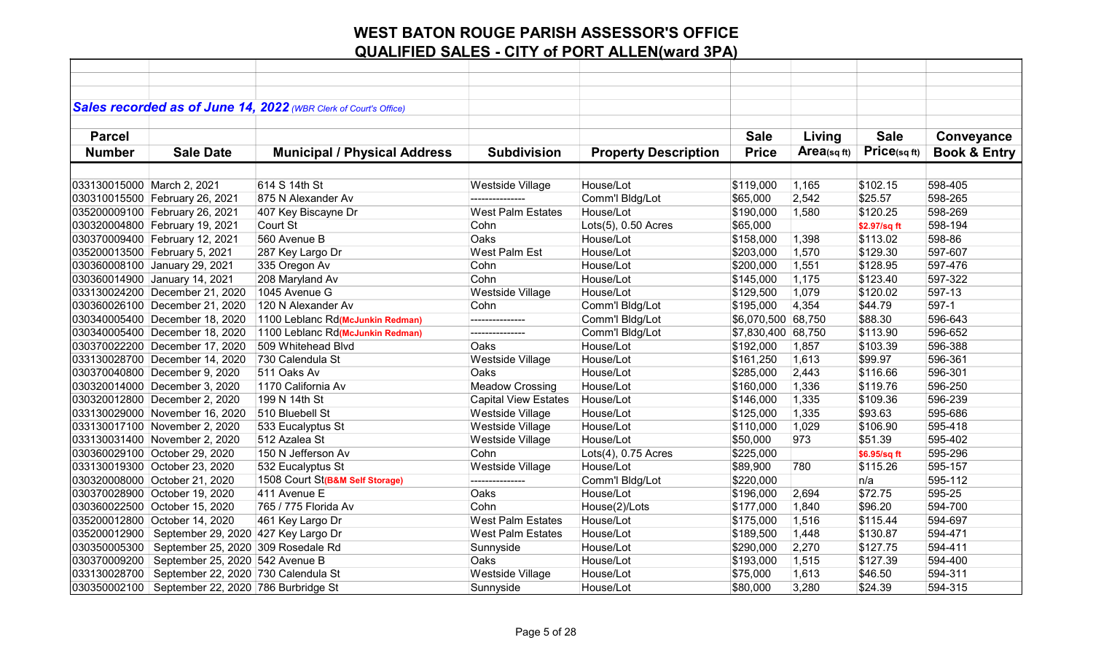|                            |                                                    | Sales recorded as of June 14, 2022 (WBR Clerk of Court's Office) |                             |                             |                    |            |              |                         |
|----------------------------|----------------------------------------------------|------------------------------------------------------------------|-----------------------------|-----------------------------|--------------------|------------|--------------|-------------------------|
|                            |                                                    |                                                                  |                             |                             |                    |            |              |                         |
| <b>Parcel</b>              |                                                    |                                                                  |                             |                             | <b>Sale</b>        | Living     | <b>Sale</b>  | Conveyance              |
| <b>Number</b>              | <b>Sale Date</b>                                   | <b>Municipal / Physical Address</b>                              | <b>Subdivision</b>          | <b>Property Description</b> | <b>Price</b>       | Area(sqft) | Price(sq ft) | <b>Book &amp; Entry</b> |
|                            |                                                    |                                                                  |                             |                             |                    |            |              |                         |
| 033130015000 March 2, 2021 |                                                    | 614 S 14th St                                                    | Westside Village            | House/Lot                   | \$119,000          | 1,165      | \$102.15     | 598-405                 |
|                            | 030310015500 February 26, 2021                     | 875 N Alexander Av                                               | ---------------             | Comm'l Bldg/Lot             | \$65,000           | 2,542      | \$25.57      | 598-265                 |
|                            | 035200009100 February 26, 2021                     | 407 Key Biscayne Dr                                              | <b>West Palm Estates</b>    | House/Lot                   | \$190,000          | 1,580      | \$120.25     | 598-269                 |
|                            | 030320004800 February 19, 2021                     | Court St                                                         | Cohn                        | Lots(5), 0.50 Acres         | \$65,000           |            | \$2.97/sq ft | 598-194                 |
|                            | 030370009400 February 12, 2021                     | 560 Avenue B                                                     | Oaks                        | House/Lot                   | \$158,000          | 1,398      | \$113.02     | 598-86                  |
|                            | 035200013500 February 5, 2021                      | 287 Key Largo Dr                                                 | West Palm Est               | House/Lot                   | \$203,000          | 1,570      | \$129.30     | 597-607                 |
|                            | 030360008100 January 29, 2021                      | 335 Oregon Av                                                    | Cohn                        | House/Lot                   | \$200,000          | 1,551      | \$128.95     | 597-476                 |
|                            | 030360014900 January 14, 2021                      | 208 Maryland Av                                                  | Cohn                        | House/Lot                   | \$145,000          | 1,175      | \$123.40     | 597-322                 |
|                            | 033130024200 December 21, 2020                     | 1045 Avenue G                                                    | Westside Village            | House/Lot                   | \$129,500          | 1,079      | \$120.02     | 597-13                  |
|                            | 030360026100 December 21, 2020                     | 120 N Alexander Av                                               | Cohn                        | Comm'l Bldg/Lot             | \$195,000          | 4,354      | \$44.79      | 597-1                   |
|                            | 030340005400 December 18, 2020                     | 1100 Leblanc Rd(McJunkin Redman)                                 | ---------------             | Comm'l Bldg/Lot             | \$6,070,500 68,750 |            | \$88.30      | 596-643                 |
|                            | 030340005400 December 18, 2020                     | 1100 Leblanc Rd(McJunkin Redman)                                 | ---------------             | Comm'l Bldg/Lot             | \$7,830,400        | 68,750     | \$113.90     | 596-652                 |
|                            | 030370022200 December 17, 2020                     | 509 Whitehead Blvd                                               | Oaks                        | House/Lot                   | \$192,000          | 1,857      | \$103.39     | 596-388                 |
|                            | 033130028700 December 14, 2020                     | 730 Calendula St                                                 | Westside Village            | House/Lot                   | \$161,250          | 1,613      | \$99.97      | 596-361                 |
|                            | 030370040800 December 9, 2020                      | 511 Oaks Av                                                      | Oaks                        | House/Lot                   | \$285,000          | 2,443      | \$116.66     | 596-301                 |
|                            | 030320014000 December 3, 2020                      | 1170 California Av                                               | <b>Meadow Crossing</b>      | House/Lot                   | \$160,000          | 1,336      | \$119.76     | 596-250                 |
|                            | 030320012800 December 2, 2020                      | 199 N 14th St                                                    | <b>Capital View Estates</b> | House/Lot                   | \$146,000          | 1,335      | \$109.36     | 596-239                 |
|                            | 033130029000 November 16, 2020                     | 510 Bluebell St                                                  | Westside Village            | House/Lot                   | \$125,000          | 1,335      | \$93.63      | 595-686                 |
|                            | 033130017100 November 2, 2020                      | 533 Eucalyptus St                                                | Westside Village            | House/Lot                   | \$110,000          | 1,029      | \$106.90     | 595-418                 |
|                            | 033130031400 November 2, 2020                      | 512 Azalea St                                                    | Westside Village            | House/Lot                   | \$50,000           | 973        | \$51.39      | 595-402                 |
|                            | 030360029100 October 29, 2020                      | 150 N Jefferson Av                                               | Cohn                        | $Lots(4)$ , 0.75 Acres      | \$225,000          |            | \$6.95/sq ft | 595-296                 |
|                            | 033130019300 October 23, 2020                      | 532 Eucalyptus St                                                | Westside Village            | House/Lot                   | \$89,900           | 780        | \$115.26     | 595-157                 |
|                            | 030320008000 October 21, 2020                      | 1508 Court St(B&M Self Storage)                                  | ---------------             | Comm'l Bldg/Lot             | \$220,000          |            | n/a          | 595-112                 |
|                            | 030370028900 October 19, 2020                      | 411 Avenue E                                                     | Oaks                        | House/Lot                   | \$196,000          | 2,694      | \$72.75      | 595-25                  |
|                            | 030360022500 October 15, 2020                      | 765 / 775 Florida Av                                             | Cohn                        | House(2)/Lots               | \$177,000          | 1,840      | \$96.20      | 594-700                 |
|                            | 035200012800 October 14, 2020                      | 461 Key Largo Dr                                                 | <b>West Palm Estates</b>    | House/Lot                   | \$175,000          | 1,516      | \$115.44     | 594-697                 |
| 035200012900               | September 29, 2020 427 Key Largo Dr                |                                                                  | <b>West Palm Estates</b>    | House/Lot                   | \$189,500          | 1,448      | \$130.87     | 594-471                 |
| 030350005300               | September 25, 2020 309 Rosedale Rd                 |                                                                  | Sunnyside                   | House/Lot                   | \$290,000          | 2,270      | \$127.75     | 594-411                 |
| 030370009200               | September 25, 2020 542 Avenue B                    |                                                                  | Oaks                        | House/Lot                   | \$193,000          | 1,515      | \$127.39     | 594-400                 |
| 033130028700               | September 22, 2020 730 Calendula St                |                                                                  | Westside Village            | House/Lot                   | \$75,000           | 1,613      | \$46.50      | 594-311                 |
|                            | 030350002100   September 22, 2020 786 Burbridge St |                                                                  | Sunnyside                   | House/Lot                   | \$80,000           | 3,280      | \$24.39      | 594-315                 |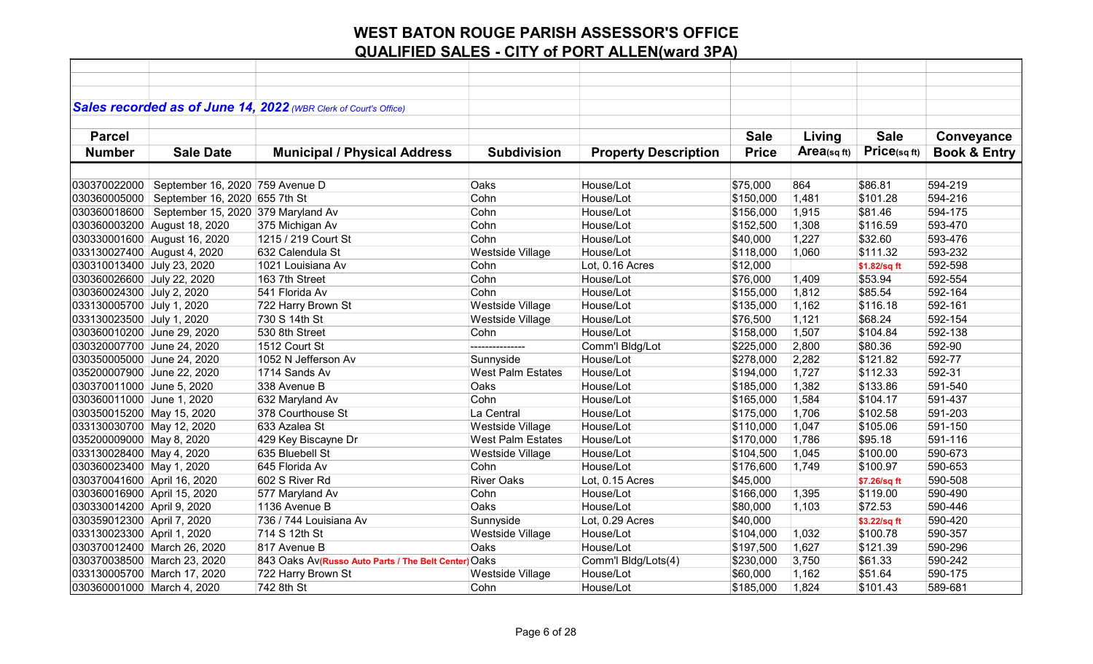|                             |                                    | Sales recorded as of June 14, 2022 (WBR Clerk of Court's Office) |                          |                             |              |            |              |                         |
|-----------------------------|------------------------------------|------------------------------------------------------------------|--------------------------|-----------------------------|--------------|------------|--------------|-------------------------|
|                             |                                    |                                                                  |                          |                             |              |            |              |                         |
| <b>Parcel</b>               |                                    |                                                                  |                          |                             | <b>Sale</b>  | Living     | <b>Sale</b>  | Conveyance              |
| <b>Number</b>               | <b>Sale Date</b>                   | <b>Municipal / Physical Address</b>                              | <b>Subdivision</b>       | <b>Property Description</b> | <b>Price</b> | Area(sqft) | Price(sqft)  | <b>Book &amp; Entry</b> |
|                             |                                    |                                                                  |                          |                             |              |            |              |                         |
| 030370022000                | September 16, 2020 759 Avenue D    |                                                                  | Oaks                     | House/Lot                   | \$75,000     | 864        | \$86.81      | 594-219                 |
| 030360005000                | September 16, 2020 655 7th St      |                                                                  | Cohn                     | House/Lot                   | \$150,000    | 1,481      | \$101.28     | 594-216                 |
| 030360018600                | September 15, 2020 379 Maryland Av |                                                                  | Cohn                     | House/Lot                   | \$156,000    | 1,915      | \$81.46      | 594-175                 |
|                             | 030360003200 August 18, 2020       | 375 Michigan Av                                                  | Cohn                     | House/Lot                   | \$152,500    | 1,308      | \$116.59     | 593-470                 |
|                             | 030330001600 August 16, 2020       | 1215 / 219 Court St                                              | Cohn                     | House/Lot                   | \$40,000     | 1,227      | \$32.60      | 593-476                 |
| 033130027400 August 4, 2020 |                                    | 632 Calendula St                                                 | Westside Village         | House/Lot                   | \$118,000    | 1,060      | \$111.32     | 593-232                 |
| 030310013400 July 23, 2020  |                                    | 1021 Louisiana Av                                                | Cohn                     | Lot, 0.16 Acres             | \$12,000     |            | \$1.82/sq ft | 592-598                 |
| 030360026600 July 22, 2020  |                                    | 163 7th Street                                                   | Cohn                     | House/Lot                   | \$76,000     | 1,409      | \$53.94      | 592-554                 |
| 030360024300 July 2, 2020   |                                    | 541 Florida Av                                                   | Cohn                     | House/Lot                   | \$155,000    | 1,812      | \$85.54      | 592-164                 |
| 033130005700 July 1, 2020   |                                    | 722 Harry Brown St                                               | Westside Village         | House/Lot                   | \$135,000    | 1,162      | \$116.18     | 592-161                 |
| 033130023500 July 1, 2020   |                                    | 730 S 14th St                                                    | Westside Village         | House/Lot                   | \$76,500     | 1,121      | \$68.24      | 592-154                 |
| 030360010200 June 29, 2020  |                                    | 530 8th Street                                                   | Cohn                     | House/Lot                   | \$158,000    | 1,507      | \$104.84     | 592-138                 |
| 030320007700 June 24, 2020  |                                    | 1512 Court St                                                    | ---------------          | Comm'l Bldg/Lot             | \$225,000    | 2,800      | \$80.36      | 592-90                  |
| 030350005000 June 24, 2020  |                                    | 1052 N Jefferson Av                                              | Sunnyside                | House/Lot                   | \$278,000    | 2,282      | \$121.82     | 592-77                  |
| 035200007900 June 22, 2020  |                                    | 1714 Sands Av                                                    | <b>West Palm Estates</b> | House/Lot                   | \$194,000    | 1,727      | \$112.33     | 592-31                  |
| 030370011000 June 5, 2020   |                                    | 338 Avenue B                                                     | Oaks                     | House/Lot                   | \$185,000    | 1,382      | \$133.86     | 591-540                 |
| 030360011000 June 1, 2020   |                                    | 632 Maryland Av                                                  | Cohn                     | House/Lot                   | \$165,000    | 1,584      | \$104.17     | 591-437                 |
| 030350015200 May 15, 2020   |                                    | 378 Courthouse St                                                | La Central               | House/Lot                   | \$175,000    | 1,706      | \$102.58     | 591-203                 |
| 033130030700 May 12, 2020   |                                    | 633 Azalea St                                                    | Westside Village         | House/Lot                   | \$110,000    | 1,047      | \$105.06     | 591-150                 |
| 035200009000 May 8, 2020    |                                    | 429 Key Biscayne Dr                                              | <b>West Palm Estates</b> | House/Lot                   | \$170,000    | 1,786      | \$95.18      | 591-116                 |
| 033130028400 May 4, 2020    |                                    | 635 Bluebell St                                                  | Westside Village         | House/Lot                   | \$104,500    | 1,045      | \$100.00     | 590-673                 |
| 030360023400 May 1, 2020    |                                    | 645 Florida Av                                                   | Cohn                     | House/Lot                   | \$176,600    | 1,749      | \$100.97     | 590-653                 |
| 030370041600 April 16, 2020 |                                    | 602 S River Rd                                                   | <b>River Oaks</b>        | Lot, 0.15 Acres             | \$45,000     |            | \$7.26/sq ft | 590-508                 |
| 030360016900 April 15, 2020 |                                    | 577 Maryland Av                                                  | Cohn                     | House/Lot                   | \$166,000    | 1,395      | \$119.00     | 590-490                 |
| 030330014200 April 9, 2020  |                                    | 1136 Avenue B                                                    | Oaks                     | House/Lot                   | \$80,000     | 1,103      | \$72.53      | 590-446                 |
| 030359012300 April 7, 2020  |                                    | 736 / 744 Louisiana Av                                           | Sunnyside                | Lot, 0.29 Acres             | \$40,000     |            | \$3.22/sq ft | 590-420                 |
| 033130023300 April 1, 2020  |                                    | 714 S 12th St                                                    | Westside Village         | House/Lot                   | \$104,000    | 1,032      | \$100.78     | 590-357                 |
| 030370012400 March 26, 2020 |                                    | 817 Avenue B                                                     | Oaks                     | House/Lot                   | \$197,500    | 1,627      | \$121.39     | 590-296                 |
| 030370038500 March 23, 2020 |                                    | 843 Oaks Av(Russo Auto Parts / The Belt Center) Oaks             |                          | Comm'l Bldg/Lots(4)         | \$230,000    | 3,750      | \$61.33      | 590-242                 |
| 033130005700 March 17, 2020 |                                    | 722 Harry Brown St                                               | Westside Village         | House/Lot                   | \$60,000     | 1,162      | \$51.64      | 590-175                 |
| 030360001000 March 4, 2020  |                                    | 742 8th St                                                       | Cohn                     | House/Lot                   | \$185,000    | 1,824      | \$101.43     | 589-681                 |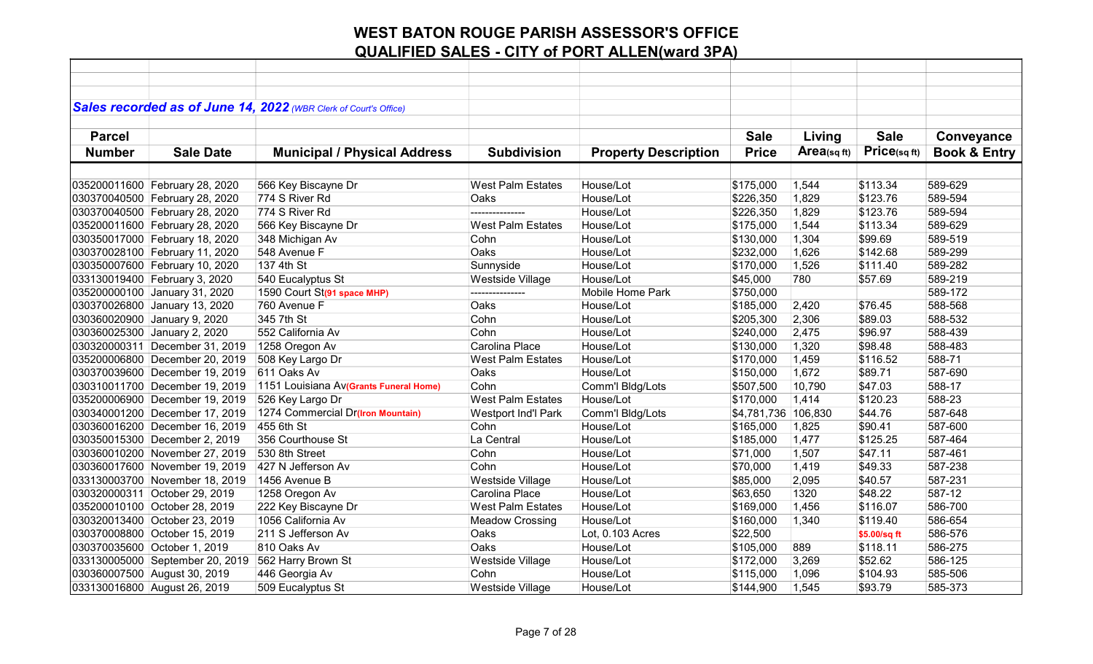|               |                                 | Sales recorded as of June 14, 2022 (WBR Clerk of Court's Office) |                            |                             |                     |            |              |                         |
|---------------|---------------------------------|------------------------------------------------------------------|----------------------------|-----------------------------|---------------------|------------|--------------|-------------------------|
|               |                                 |                                                                  |                            |                             |                     |            |              |                         |
| <b>Parcel</b> |                                 |                                                                  |                            |                             | <b>Sale</b>         | Living     | <b>Sale</b>  | Conveyance              |
| <b>Number</b> | <b>Sale Date</b>                | <b>Municipal / Physical Address</b>                              | <b>Subdivision</b>         | <b>Property Description</b> | <b>Price</b>        | Area(sqft) | Price(sq ft) | <b>Book &amp; Entry</b> |
|               |                                 |                                                                  |                            |                             |                     |            |              |                         |
|               | 035200011600 February 28, 2020  | 566 Key Biscayne Dr                                              | <b>West Palm Estates</b>   | House/Lot                   | \$175,000           | 1,544      | \$113.34     | 589-629                 |
|               | 030370040500 February 28, 2020  | 774 S River Rd                                                   | Oaks                       | House/Lot                   | \$226,350           | 1,829      | \$123.76     | 589-594                 |
|               | 030370040500 February 28, 2020  | 774 S River Rd                                                   |                            | House/Lot                   | \$226,350           | 1,829      | \$123.76     | 589-594                 |
|               | 035200011600 February 28, 2020  | 566 Key Biscayne Dr                                              | <b>West Palm Estates</b>   | House/Lot                   | \$175,000           | 1,544      | \$113.34     | 589-629                 |
|               | 030350017000 February 18, 2020  | 348 Michigan Av                                                  | Cohn                       | House/Lot                   | \$130,000           | 1,304      | \$99.69      | 589-519                 |
|               | 030370028100 February 11, 2020  | 548 Avenue F                                                     | Oaks                       | House/Lot                   | \$232,000           | 1,626      | \$142.68     | 589-299                 |
|               | 030350007600 February 10, 2020  | 137 4th St                                                       | Sunnyside                  | House/Lot                   | \$170,000           | 1,526      | \$111.40     | 589-282                 |
|               | 033130019400 February 3, 2020   | 540 Eucalyptus St                                                | Westside Village           | House/Lot                   | \$45,000            | 780        | \$57.69      | 589-219                 |
|               | 035200000100 January 31, 2020   | 1590 Court St(91 space MHP)                                      | ---------------            | Mobile Home Park            | \$750,000           |            |              | 589-172                 |
|               | 030370026800 January 13, 2020   | 760 Avenue F                                                     | Oaks                       | House/Lot                   | \$185,000           | 2,420      | \$76.45      | 588-568                 |
|               | 030360020900 January 9, 2020    | 345 7th St                                                       | Cohn                       | House/Lot                   | \$205,300           | 2,306      | \$89.03      | 588-532                 |
|               | 030360025300 January 2, 2020    | 552 California Av                                                | Cohn                       | House/Lot                   | \$240,000           | 2,475      | \$96.97      | 588-439                 |
|               | 030320000311 December 31, 2019  | 1258 Oregon Av                                                   | Carolina Place             | House/Lot                   | \$130,000           | 1,320      | \$98.48      | 588-483                 |
|               | 035200006800 December 20, 2019  | 508 Key Largo Dr                                                 | <b>West Palm Estates</b>   | House/Lot                   | \$170,000           | 1,459      | \$116.52     | 588-71                  |
|               | 030370039600 December 19, 2019  | 611 Oaks Av                                                      | Oaks                       | House/Lot                   | \$150,000           | 1,672      | \$89.71      | 587-690                 |
|               | 030310011700 December 19, 2019  | 1151 Louisiana Av(Grants Funeral Home)                           | Cohn                       | Comm'l Bldg/Lots            | \$507,500           | 10,790     | \$47.03      | 588-17                  |
|               | 035200006900 December 19, 2019  | 526 Key Largo Dr                                                 | <b>West Palm Estates</b>   | House/Lot                   | \$170,000           | 1,414      | \$120.23     | 588-23                  |
|               | 030340001200 December 17, 2019  | 1274 Commercial Dr(Iron Mountain)                                | <b>Westport Ind'l Park</b> | Comm'l Bldg/Lots            | \$4,781,736 106,830 |            | \$44.76      | 587-648                 |
|               | 030360016200 December 16, 2019  | 455 6th St                                                       | Cohn                       | House/Lot                   | \$165,000           | 1,825      | \$90.41      | 587-600                 |
|               | 030350015300 December 2, 2019   | 356 Courthouse St                                                | La Central                 | House/Lot                   | \$185,000           | 1,477      | \$125.25     | 587-464                 |
|               | 030360010200 November 27, 2019  | 530 8th Street                                                   | Cohn                       | House/Lot                   | \$71,000            | 1,507      | \$47.11      | 587-461                 |
|               | 030360017600 November 19, 2019  | 427 N Jefferson Av                                               | Cohn                       | House/Lot                   | \$70,000            | 1,419      | \$49.33      | 587-238                 |
|               | 033130003700 November 18, 2019  | 1456 Avenue B                                                    | Westside Village           | House/Lot                   | \$85,000            | 2,095      | \$40.57      | 587-231                 |
|               | 030320000311 October 29, 2019   | 1258 Oregon Av                                                   | Carolina Place             | House/Lot                   | \$63,650            | 1320       | \$48.22      | 587-12                  |
|               | 035200010100 October 28, 2019   | 222 Key Biscayne Dr                                              | <b>West Palm Estates</b>   | House/Lot                   | \$169,000           | 1,456      | \$116.07     | 586-700                 |
|               | 030320013400 October 23, 2019   | 1056 California Av                                               | <b>Meadow Crossing</b>     | House/Lot                   | \$160,000           | 1,340      | \$119.40     | 586-654                 |
|               | 030370008800 October 15, 2019   | 211 S Jefferson Av                                               | Oaks                       | Lot, 0.103 Acres            | \$22,500            |            | \$5.00/sq ft | 586-576                 |
|               | 030370035600 October 1, 2019    | 810 Oaks Av                                                      | Oaks                       | House/Lot                   | \$105,000           | 889        | \$118.11     | 586-275                 |
|               | 033130005000 September 20, 2019 | 562 Harry Brown St                                               | Westside Village           | House/Lot                   | \$172,000           | 3,269      | \$52.62      | 586-125                 |
|               | 030360007500 August 30, 2019    | 446 Georgia Av                                                   | Cohn                       | House/Lot                   | \$115,000           | 1,096      | \$104.93     | 585-506                 |
|               | 033130016800 August 26, 2019    | 509 Eucalyptus St                                                | Westside Village           | House/Lot                   | \$144,900           | 1,545      | \$93.79      | 585-373                 |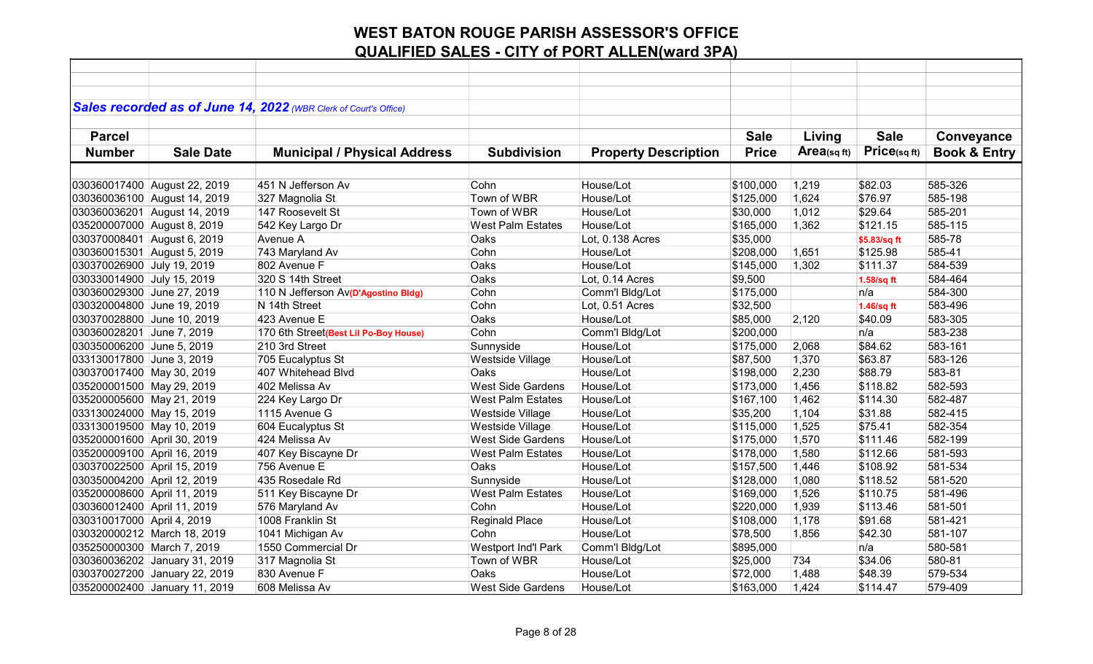|                             |                               | Sales recorded as of June 14, 2022 (WBR Clerk of Court's Office) |                          |                             |              |                |              |                         |
|-----------------------------|-------------------------------|------------------------------------------------------------------|--------------------------|-----------------------------|--------------|----------------|--------------|-------------------------|
|                             |                               |                                                                  |                          |                             |              |                |              |                         |
| <b>Parcel</b>               |                               |                                                                  |                          |                             | <b>Sale</b>  | Living         | <b>Sale</b>  | Conveyance              |
| <b>Number</b>               | <b>Sale Date</b>              | <b>Municipal / Physical Address</b>                              | <b>Subdivision</b>       | <b>Property Description</b> | <b>Price</b> | Area(sq $ft$ ) | Price(sq ft) | <b>Book &amp; Entry</b> |
|                             |                               |                                                                  |                          |                             |              |                |              |                         |
|                             | 030360017400 August 22, 2019  | 451 N Jefferson Av                                               | Cohn                     | House/Lot                   | \$100,000    | 1,219          | \$82.03      | 585-326                 |
|                             | 030360036100 August 14, 2019  | 327 Magnolia St                                                  | Town of WBR              | House/Lot                   | \$125,000    | 1,624          | \$76.97      | 585-198                 |
|                             | 030360036201 August 14, 2019  | 147 Roosevelt St                                                 | Town of WBR              | House/Lot                   | \$30,000     | 1,012          | \$29.64      | 585-201                 |
| 035200007000 August 8, 2019 |                               | 542 Key Largo Dr                                                 | <b>West Palm Estates</b> | House/Lot                   | \$165,000    | 1,362          | \$121.15     | 585-115                 |
| 030370008401 August 6, 2019 |                               | Avenue A                                                         | Oaks                     | Lot, 0.138 Acres            | \$35,000     |                | \$5.83/sq ft | 585-78                  |
| 030360015301 August 5, 2019 |                               | 743 Maryland Av                                                  | Cohn                     | House/Lot                   | \$208,000    | 1,651          | \$125.98     | 585-41                  |
| 030370026900 July 19, 2019  |                               | 802 Avenue F                                                     | Oaks                     | House/Lot                   | \$145,000    | 1,302          | \$111.37     | 584-539                 |
| 030330014900 July 15, 2019  |                               | 320 S 14th Street                                                | Oaks                     | Lot, 0.14 Acres             | \$9,500      |                | 1.58/sq ft   | 584-464                 |
| 030360029300 June 27, 2019  |                               | 110 N Jefferson Av(D'Agostino Bldg)                              | Cohn                     | Comm'l Bldg/Lot             | \$175,000    |                | n/a          | 584-300                 |
| 030320004800 June 19, 2019  |                               | N 14th Street                                                    | Cohn                     | Lot, 0.51 Acres             | \$32,500     |                | 1.46/sq ft   | 583-496                 |
| 030370028800 June 10, 2019  |                               | 423 Avenue E                                                     | Oaks                     | House/Lot                   | \$85,000     | 2,120          | \$40.09      | 583-305                 |
| 030360028201 June 7, 2019   |                               | 170 6th Street(Best Lil Po-Boy House)                            | Cohn                     | Comm'l Bldg/Lot             | \$200,000    |                | n/a          | 583-238                 |
| 030350006200 June 5, 2019   |                               | 210 3rd Street                                                   | Sunnyside                | House/Lot                   | \$175,000    | 2,068          | \$84.62      | 583-161                 |
| 033130017800 June 3, 2019   |                               | 705 Eucalyptus St                                                | Westside Village         | House/Lot                   | \$87,500     | 1,370          | \$63.87      | 583-126                 |
| 030370017400 May 30, 2019   |                               | 407 Whitehead Blvd                                               | Oaks                     | House/Lot                   | \$198,000    | 2,230          | \$88.79      | 583-81                  |
| 035200001500 May 29, 2019   |                               | 402 Melissa Av                                                   | <b>West Side Gardens</b> | House/Lot                   | \$173,000    | 1,456          | \$118.82     | 582-593                 |
| 035200005600 May 21, 2019   |                               | 224 Key Largo Dr                                                 | <b>West Palm Estates</b> | House/Lot                   | \$167,100    | 1,462          | \$114.30     | 582-487                 |
| 033130024000 May 15, 2019   |                               | 1115 Avenue G                                                    | Westside Village         | House/Lot                   | \$35,200     | 1,104          | \$31.88      | 582-415                 |
| 033130019500 May 10, 2019   |                               | 604 Eucalyptus St                                                | Westside Village         | House/Lot                   | \$115,000    | 1,525          | \$75.41      | 582-354                 |
| 035200001600 April 30, 2019 |                               | 424 Melissa Av                                                   | <b>West Side Gardens</b> | House/Lot                   | \$175,000    | 1,570          | \$111.46     | 582-199                 |
| 035200009100 April 16, 2019 |                               | 407 Key Biscayne Dr                                              | <b>West Palm Estates</b> | House/Lot                   | \$178,000    | 1,580          | \$112.66     | 581-593                 |
| 030370022500 April 15, 2019 |                               | 756 Avenue E                                                     | Oaks                     | House/Lot                   | \$157,500    | 1,446          | \$108.92     | 581-534                 |
| 030350004200 April 12, 2019 |                               | 435 Rosedale Rd                                                  | Sunnyside                | House/Lot                   | \$128,000    | 1,080          | \$118.52     | 581-520                 |
| 035200008600 April 11, 2019 |                               | 511 Key Biscayne Dr                                              | <b>West Palm Estates</b> | House/Lot                   | \$169,000    | 1,526          | \$110.75     | 581-496                 |
| 030360012400 April 11, 2019 |                               | 576 Maryland Av                                                  | Cohn                     | House/Lot                   | \$220,000    | 1,939          | \$113.46     | 581-501                 |
| 030310017000 April 4, 2019  |                               | 1008 Franklin St                                                 | <b>Reginald Place</b>    | House/Lot                   | \$108,000    | 1,178          | \$91.68      | 581-421                 |
|                             | 030320000212 March 18, 2019   | 1041 Michigan Av                                                 | Cohn                     | House/Lot                   | \$78,500     | 1,856          | \$42.30      | 581-107                 |
| 035250000300 March 7, 2019  |                               | 1550 Commercial Dr                                               | Westport Ind'l Park      | Comm'l Bldg/Lot             | \$895,000    |                | n/a          | 580-581                 |
|                             | 030360036202 January 31, 2019 | 317 Magnolia St                                                  | Town of WBR              | House/Lot                   | \$25,000     | 734            | \$34.06      | 580-81                  |
|                             | 030370027200 January 22, 2019 | 830 Avenue F                                                     | Oaks                     | House/Lot                   | \$72,000     | 1,488          | \$48.39      | 579-534                 |
|                             | 035200002400 January 11, 2019 | 608 Melissa Av                                                   | West Side Gardens        | House/Lot                   | \$163,000    | 1,424          | \$114.47     | 579-409                 |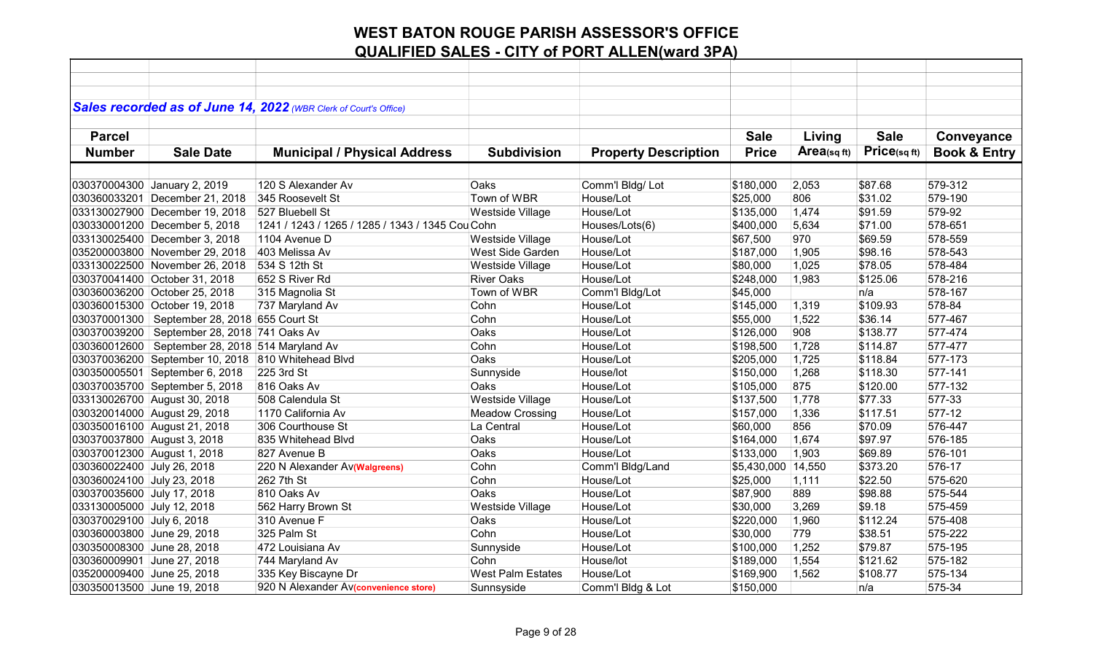|                             |                                                     | Sales recorded as of June 14, 2022 (WBR Clerk of Court's Office) |                          |                             |              |            |             |                         |
|-----------------------------|-----------------------------------------------------|------------------------------------------------------------------|--------------------------|-----------------------------|--------------|------------|-------------|-------------------------|
|                             |                                                     |                                                                  |                          |                             |              |            |             |                         |
| <b>Parcel</b>               |                                                     |                                                                  |                          |                             | <b>Sale</b>  | Living     | <b>Sale</b> | Conveyance              |
|                             |                                                     |                                                                  |                          |                             |              | Area(sqft) | Price(sqft) |                         |
| <b>Number</b>               | <b>Sale Date</b>                                    | <b>Municipal / Physical Address</b>                              | <b>Subdivision</b>       | <b>Property Description</b> | <b>Price</b> |            |             | <b>Book &amp; Entry</b> |
|                             |                                                     |                                                                  |                          |                             |              |            |             |                         |
|                             | 030370004300 January 2, 2019                        | 120 S Alexander Av                                               | Oaks                     | Comm'l Bldg/Lot             | \$180,000    | 2,053      | \$87.68     | 579-312                 |
|                             | 030360033201 December 21, 2018                      | 345 Roosevelt St                                                 | Town of WBR              | House/Lot                   | \$25,000     | 806        | \$31.02     | 579-190                 |
|                             | 033130027900 December 19, 2018                      | 527 Bluebell St                                                  | Westside Village         | House/Lot                   | \$135,000    | 1,474      | \$91.59     | 579-92                  |
|                             | 030330001200 December 5, 2018                       | 1241 / 1243 / 1265 / 1285 / 1343 / 1345 Cou Cohn                 |                          | Houses/Lots(6)              | \$400,000    | 5,634      | \$71.00     | 578-651                 |
|                             | 033130025400 December 3, 2018                       | 1104 Avenue D                                                    | Westside Village         | House/Lot                   | \$67,500     | 970        | \$69.59     | 578-559                 |
|                             | 035200003800 November 29, 2018                      | 403 Melissa Av                                                   | West Side Garden         | House/Lot                   | \$187,000    | 1,905      | \$98.16     | 578-543                 |
|                             | 033130022500 November 26, 2018                      | 534 S 12th St                                                    | Westside Village         | House/Lot                   | \$80,000     | 1,025      | \$78.05     | 578-484                 |
|                             | 030370041400 October 31, 2018                       | 652 S River Rd                                                   | <b>River Oaks</b>        | House/Lot                   | \$248,000    | 1,983      | \$125.06    | 578-216                 |
|                             | 030360036200 October 25, 2018                       | 315 Magnolia St                                                  | Town of WBR              | Comm'l Bldg/Lot             | \$45,000     |            | n/a         | 578-167                 |
|                             | 030360015300 October 19, 2018                       | 737 Maryland Av                                                  | Cohn                     | House/Lot                   | \$145,000    | 1,319      | \$109.93    | 578-84                  |
|                             | 030370001300   September 28, 2018 655 Court St      |                                                                  | Cohn                     | House/Lot                   | \$55,000     | 1,522      | \$36.14     | 577-467                 |
| 030370039200                | September 28, 2018 741 Oaks Av                      |                                                                  | Oaks                     | House/Lot                   | \$126,000    | 908        | \$138.77    | 577-474                 |
|                             | 030360012600   September 28, 2018   514 Maryland Av |                                                                  | Cohn                     | House/Lot                   | \$198,500    | 1,728      | \$114.87    | 577-477                 |
|                             | 030370036200 September 10, 2018 810 Whitehead Blvd  |                                                                  | Oaks                     | House/Lot                   | \$205,000    | 1,725      | \$118.84    | 577-173                 |
|                             | 030350005501 September 6, 2018                      | 225 3rd St                                                       | Sunnyside                | House/lot                   | \$150,000    | 1,268      | \$118.30    | 577-141                 |
|                             | 030370035700 September 5, 2018                      | 816 Oaks Av                                                      | Oaks                     | House/Lot                   | \$105,000    | 875        | \$120.00    | 577-132                 |
|                             | 033130026700 August 30, 2018                        | 508 Calendula St                                                 | Westside Village         | House/Lot                   | \$137,500    | 1,778      | \$77.33     | 577-33                  |
|                             | 030320014000 August 29, 2018                        | 1170 California Av                                               | <b>Meadow Crossing</b>   | House/Lot                   | \$157,000    | 1,336      | \$117.51    | 577-12                  |
|                             | 030350016100 August 21, 2018                        | 306 Courthouse St                                                | La Central               | House/Lot                   | \$60,000     | 856        | \$70.09     | 576-447                 |
| 030370037800 August 3, 2018 |                                                     | 835 Whitehead Blvd                                               | Oaks                     | House/Lot                   | \$164,000    | 1,674      | \$97.97     | 576-185                 |
| 030370012300 August 1, 2018 |                                                     | 827 Avenue B                                                     | Oaks                     | House/Lot                   | \$133,000    | 1,903      | \$69.89     | 576-101                 |
| 030360022400 July 26, 2018  |                                                     | 220 N Alexander Av(Walgreens)                                    | Cohn                     | Comm'l Bldg/Land            | \$5,430,000  | 14,550     | \$373.20    | 576-17                  |
| 030360024100 July 23, 2018  |                                                     | 262 7th St                                                       | Cohn                     | House/Lot                   | \$25,000     | 1,111      | \$22.50     | 575-620                 |
| 030370035600 July 17, 2018  |                                                     | 810 Oaks Av                                                      | Oaks                     | House/Lot                   | \$87,900     | 889        | \$98.88     | 575-544                 |
| 033130005000 July 12, 2018  |                                                     | 562 Harry Brown St                                               | Westside Village         | House/Lot                   | \$30,000     | 3,269      | \$9.18      | 575-459                 |
| 030370029100 July 6, 2018   |                                                     | 310 Avenue F                                                     | Oaks                     | House/Lot                   | \$220,000    | 1,960      | \$112.24    | 575-408                 |
| 030360003800 June 29, 2018  |                                                     | 325 Palm St                                                      | Cohn                     | House/Lot                   | \$30,000     | 779        | \$38.51     | 575-222                 |
| 030350008300 June 28, 2018  |                                                     | 472 Louisiana Av                                                 | Sunnyside                | House/Lot                   | \$100,000    | 1,252      | \$79.87     | 575-195                 |
| 030360009901 June 27, 2018  |                                                     | 744 Maryland Av                                                  | Cohn                     | House/lot                   | \$189,000    | 1,554      | \$121.62    | 575-182                 |
| 035200009400 June 25, 2018  |                                                     | 335 Key Biscayne Dr                                              | <b>West Palm Estates</b> | House/Lot                   | \$169,900    | 1,562      | \$108.77    | 575-134                 |
| 030350013500 June 19, 2018  |                                                     | 920 N Alexander Av(convenience store)                            | Sunnsyside               | Comm'l Bldg & Lot           | \$150,000    |            | n/a         | 575-34                  |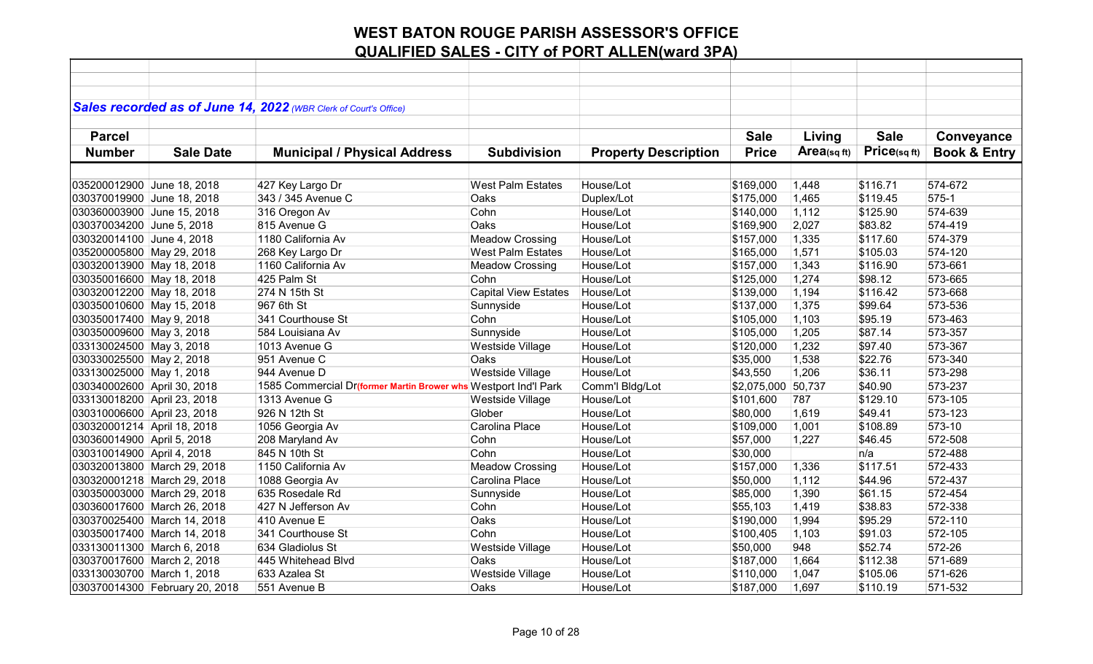|                                                        |                                | Sales recorded as of June 14, 2022 (WBR Clerk of Court's Office) |                             |                             |              |            |             |                         |
|--------------------------------------------------------|--------------------------------|------------------------------------------------------------------|-----------------------------|-----------------------------|--------------|------------|-------------|-------------------------|
|                                                        |                                |                                                                  |                             |                             |              |            |             |                         |
| <b>Parcel</b>                                          |                                |                                                                  |                             |                             | <b>Sale</b>  | Living     | <b>Sale</b> | Conveyance              |
| <b>Number</b>                                          | <b>Sale Date</b>               | <b>Municipal / Physical Address</b>                              | <b>Subdivision</b>          | <b>Property Description</b> | <b>Price</b> | Area(sqft) | Price(sqft) | <b>Book &amp; Entry</b> |
|                                                        |                                |                                                                  |                             |                             |              |            |             |                         |
| 035200012900 June 18, 2018                             |                                | 427 Key Largo Dr                                                 | <b>West Palm Estates</b>    | House/Lot                   | \$169,000    | 1,448      | \$116.71    | 574-672                 |
| 030370019900 June 18, 2018                             |                                | 343 / 345 Avenue C                                               | Oaks                        | Duplex/Lot                  | \$175,000    | 1,465      | \$119.45    | 575-1                   |
| 030360003900 June 15, 2018                             |                                | 316 Oregon Av                                                    | Cohn                        | House/Lot                   | \$140,000    | 1,112      | \$125.90    | 574-639                 |
| 030370034200 June 5, 2018                              |                                | 815 Avenue G                                                     | Oaks                        | House/Lot                   | \$169,900    | 2,027      | \$83.82     | 574-419                 |
| 030320014100 June 4, 2018                              |                                | 1180 California Av                                               | <b>Meadow Crossing</b>      | House/Lot                   | \$157,000    | 1,335      | \$117.60    | 574-379                 |
|                                                        |                                |                                                                  | West Palm Estates           | House/Lot                   | \$165,000    | 1,571      | \$105.03    | 574-120                 |
| 035200005800 May 29, 2018<br>030320013900 May 18, 2018 |                                | 268 Key Largo Dr<br>1160 California Av                           | <b>Meadow Crossing</b>      | House/Lot                   | \$157,000    | 1,343      | \$116.90    | 573-661                 |
| 030350016600 May 18, 2018                              |                                | 425 Palm St                                                      | Cohn                        | House/Lot                   | \$125,000    | 1,274      | \$98.12     | 573-665                 |
|                                                        |                                | 274 N 15th St                                                    | <b>Capital View Estates</b> | House/Lot                   |              | 1,194      | \$116.42    | 573-668                 |
| 030320012200 May 18, 2018                              |                                |                                                                  |                             | House/Lot                   | \$139,000    |            |             | 573-536                 |
| 030350010600 May 15, 2018                              |                                | 967 6th St                                                       | Sunnyside                   |                             | \$137,000    | 1,375      | \$99.64     |                         |
| 030350017400 May 9, 2018                               |                                | 341 Courthouse St                                                | Cohn                        | House/Lot                   | \$105,000    | 1,103      | \$95.19     | 573-463                 |
| 030350009600 May 3, 2018                               |                                | 584 Louisiana Av                                                 | Sunnyside                   | House/Lot                   | \$105,000    | 1,205      | \$87.14     | 573-357                 |
| 033130024500 May 3, 2018                               |                                | 1013 Avenue G                                                    | Westside Village            | House/Lot                   | \$120,000    | 1,232      | \$97.40     | 573-367                 |
| 030330025500 May 2, 2018                               |                                | 951 Avenue C                                                     | Oaks                        | House/Lot                   | \$35,000     | 1,538      | \$22.76     | 573-340                 |
| 033130025000 May 1, 2018                               |                                | 944 Avenue D                                                     | Westside Village            | House/Lot                   | \$43,550     | 1,206      | \$36.11     | 573-298                 |
| 030340002600 April 30, 2018                            |                                | 1585 Commercial Dr(former Martin Brower whs Westport Ind'l Park  |                             | Comm'l Bldg/Lot             | \$2,075,000  | 50,737     | \$40.90     | 573-237                 |
| 033130018200 April 23, 2018                            |                                | 1313 Avenue G                                                    | <b>Westside Village</b>     | House/Lot                   | \$101,600    | 787        | \$129.10    | 573-105                 |
| 030310006600 April 23, 2018                            |                                | 926 N 12th St                                                    | Glober                      | House/Lot                   | \$80,000     | 1,619      | \$49.41     | 573-123                 |
| 030320001214 April 18, 2018                            |                                | 1056 Georgia Av                                                  | Carolina Place              | House/Lot                   | \$109,000    | 1,001      | \$108.89    | 573-10                  |
| 030360014900 April 5, 2018                             |                                | 208 Maryland Av                                                  | Cohn                        | House/Lot                   | \$57,000     | 1,227      | \$46.45     | 572-508                 |
| 030310014900 April 4, 2018                             |                                | 845 N 10th St                                                    | Cohn                        | House/Lot                   | \$30,000     |            | n/a         | 572-488                 |
| 030320013800 March 29, 2018                            |                                | 1150 California Av                                               | <b>Meadow Crossing</b>      | House/Lot                   | \$157,000    | 1,336      | \$117.51    | 572-433                 |
| 030320001218 March 29, 2018                            |                                | 1088 Georgia Av                                                  | Carolina Place              | House/Lot                   | \$50,000     | 1,112      | \$44.96     | 572-437                 |
| 030350003000 March 29, 2018                            |                                | 635 Rosedale Rd                                                  | Sunnyside                   | House/Lot                   | \$85,000     | 1,390      | \$61.15     | 572-454                 |
| 030360017600 March 26, 2018                            |                                | 427 N Jefferson Av                                               | Cohn                        | House/Lot                   | \$55,103     | 1,419      | \$38.83     | 572-338                 |
| 030370025400 March 14, 2018                            |                                | 410 Avenue E                                                     | Oaks                        | House/Lot                   | \$190,000    | 1,994      | \$95.29     | 572-110                 |
| 030350017400 March 14, 2018                            |                                | 341 Courthouse St                                                | Cohn                        | House/Lot                   | \$100,405    | 1,103      | \$91.03     | 572-105                 |
| 033130011300 March 6, 2018                             |                                | 634 Gladiolus St                                                 | Westside Village            | House/Lot                   | \$50,000     | 948        | \$52.74     | 572-26                  |
| 030370017600 March 2, 2018                             |                                | 445 Whitehead Blvd                                               | Oaks                        | House/Lot                   | \$187,000    | 1,664      | \$112.38    | 571-689                 |
| 033130030700 March 1, 2018                             |                                | 633 Azalea St                                                    | Westside Village            | House/Lot                   | \$110,000    | 1,047      | \$105.06    | 571-626                 |
|                                                        | 030370014300 February 20, 2018 | 551 Avenue B                                                     | Oaks                        | House/Lot                   | \$187,000    | 1,697      | \$110.19    | 571-532                 |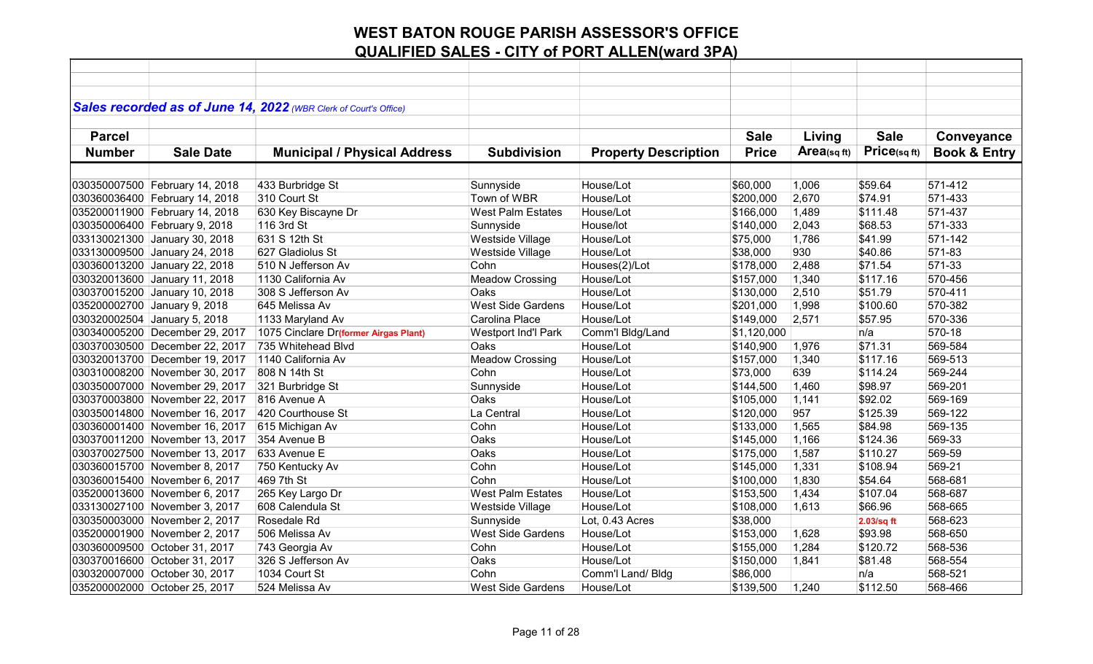|               |                                | Sales recorded as of June 14, 2022 (WBR Clerk of Court's Office) |                          |                             |              |             |             |                         |
|---------------|--------------------------------|------------------------------------------------------------------|--------------------------|-----------------------------|--------------|-------------|-------------|-------------------------|
|               |                                |                                                                  |                          |                             |              |             |             |                         |
| <b>Parcel</b> |                                |                                                                  |                          |                             | <b>Sale</b>  | Living      | <b>Sale</b> | Conveyance              |
| <b>Number</b> | <b>Sale Date</b>               | <b>Municipal / Physical Address</b>                              | <b>Subdivision</b>       | <b>Property Description</b> | <b>Price</b> | Area(sq ft) | Price(sqft) | <b>Book &amp; Entry</b> |
|               |                                |                                                                  |                          |                             |              |             |             |                         |
|               |                                |                                                                  |                          |                             |              |             |             |                         |
|               | 030350007500 February 14, 2018 | 433 Burbridge St                                                 | Sunnyside                | House/Lot                   | \$60,000     | 1,006       | \$59.64     | 571-412                 |
|               | 030360036400 February 14, 2018 | 310 Court St                                                     | Town of WBR              | House/Lot                   | \$200,000    | 2,670       | \$74.91     | 571-433                 |
|               | 035200011900 February 14, 2018 | 630 Key Biscayne Dr                                              | <b>West Palm Estates</b> | House/Lot                   | \$166,000    | 1,489       | \$111.48    | 571-437                 |
|               | 030350006400 February 9, 2018  | 116 3rd St                                                       | Sunnyside                | House/lot                   | \$140,000    | 2,043       | \$68.53     | 571-333                 |
|               | 033130021300 January 30, 2018  | 631 S 12th St                                                    | Westside Village         | House/Lot                   | \$75,000     | 1,786       | \$41.99     | 571-142                 |
|               | 033130009500 January 24, 2018  | 627 Gladiolus St                                                 | Westside Village         | House/Lot                   | \$38,000     | 930         | \$40.86     | 571-83                  |
|               | 030360013200 January 22, 2018  | 510 N Jefferson Av                                               | Cohn                     | Houses(2)/Lot               | \$178,000    | 2,488       | \$71.54     | 571-33                  |
|               | 030320013600 January 11, 2018  | 1130 California Av                                               | <b>Meadow Crossing</b>   | House/Lot                   | \$157,000    | 1,340       | \$117.16    | 570-456                 |
|               | 030370015200 January 10, 2018  | 308 S Jefferson Av                                               | Oaks                     | House/Lot                   | \$130,000    | 2,510       | \$51.79     | 570-411                 |
|               | 035200002700 January 9, 2018   | 645 Melissa Av                                                   | <b>West Side Gardens</b> | House/Lot                   | \$201,000    | 1,998       | \$100.60    | 570-382                 |
|               | 030320002504 January 5, 2018   | 1133 Maryland Av                                                 | Carolina Place           | House/Lot                   | \$149,000    | 2,571       | \$57.95     | 570-336                 |
|               | 030340005200 December 29, 2017 | 1075 Cinclare Dr(former Airgas Plant)                            | Westport Ind'l Park      | Comm'l Bldg/Land            | \$1,120,000  |             | n/a         | 570-18                  |
|               | 030370030500 December 22, 2017 | 735 Whitehead Blvd                                               | Oaks                     | House/Lot                   | \$140,900    | 1,976       | \$71.31     | 569-584                 |
|               | 030320013700 December 19, 2017 | 1140 California Av                                               | <b>Meadow Crossing</b>   | House/Lot                   | \$157,000    | 1,340       | \$117.16    | 569-513                 |
|               | 030310008200 November 30, 2017 | 808 N 14th St                                                    | Cohn                     | House/Lot                   | \$73,000     | 639         | \$114.24    | 569-244                 |
|               | 030350007000 November 29, 2017 | 321 Burbridge St                                                 | Sunnyside                | House/Lot                   | \$144,500    | 1,460       | \$98.97     | 569-201                 |
|               | 030370003800 November 22, 2017 | 816 Avenue A                                                     | Oaks                     | House/Lot                   | \$105,000    | 1,141       | \$92.02     | 569-169                 |
|               | 030350014800 November 16, 2017 | 420 Courthouse St                                                | La Central               | House/Lot                   | \$120,000    | 957         | \$125.39    | 569-122                 |
|               | 030360001400 November 16, 2017 | 615 Michigan Av                                                  | Cohn                     | House/Lot                   | \$133,000    | 1,565       | \$84.98     | 569-135                 |
|               | 030370011200 November 13, 2017 | 354 Avenue B                                                     | Oaks                     | House/Lot                   | \$145,000    | 1,166       | \$124.36    | 569-33                  |
|               | 030370027500 November 13, 2017 | 633 Avenue E                                                     | Oaks                     | House/Lot                   | \$175,000    | 1,587       | \$110.27    | 569-59                  |
|               | 030360015700 November 8, 2017  | 750 Kentucky Av                                                  | Cohn                     | House/Lot                   | \$145,000    | 1,331       | \$108.94    | 569-21                  |
|               | 030360015400 November 6, 2017  | 469 7th St                                                       | Cohn                     | House/Lot                   | \$100,000    | 1,830       | \$54.64     | 568-681                 |
|               | 035200013600 November 6, 2017  | 265 Key Largo Dr                                                 | <b>West Palm Estates</b> | House/Lot                   | \$153,500    | 1,434       | \$107.04    | 568-687                 |
|               | 033130027100 November 3, 2017  | 608 Calendula St                                                 | Westside Village         | House/Lot                   | \$108,000    | 1,613       | \$66.96     | 568-665                 |
|               | 030350003000 November 2, 2017  | Rosedale Rd                                                      | Sunnyside                | Lot, 0.43 Acres             | \$38,000     |             | 2.03/sq ft  | 568-623                 |
|               | 035200001900 November 2, 2017  | 506 Melissa Av                                                   | <b>West Side Gardens</b> | House/Lot                   | \$153,000    | 1,628       | \$93.98     | 568-650                 |
|               | 030360009500 October 31, 2017  | 743 Georgia Av                                                   | Cohn                     | House/Lot                   | \$155,000    | 1,284       | \$120.72    | 568-536                 |
|               | 030370016600 October 31, 2017  | 326 S Jefferson Av                                               | Oaks                     | House/Lot                   | \$150,000    | 1,841       | \$81.48     | 568-554                 |
|               | 030320007000 October 30, 2017  | 1034 Court St                                                    | Cohn                     | Comm'l Land/ Bldg           | \$86,000     |             | n/a         | 568-521                 |
|               | 035200002000 October 25, 2017  | 524 Melissa Av                                                   | <b>West Side Gardens</b> | House/Lot                   | \$139,500    | 1,240       | \$112.50    | 568-466                 |
|               |                                |                                                                  |                          |                             |              |             |             |                         |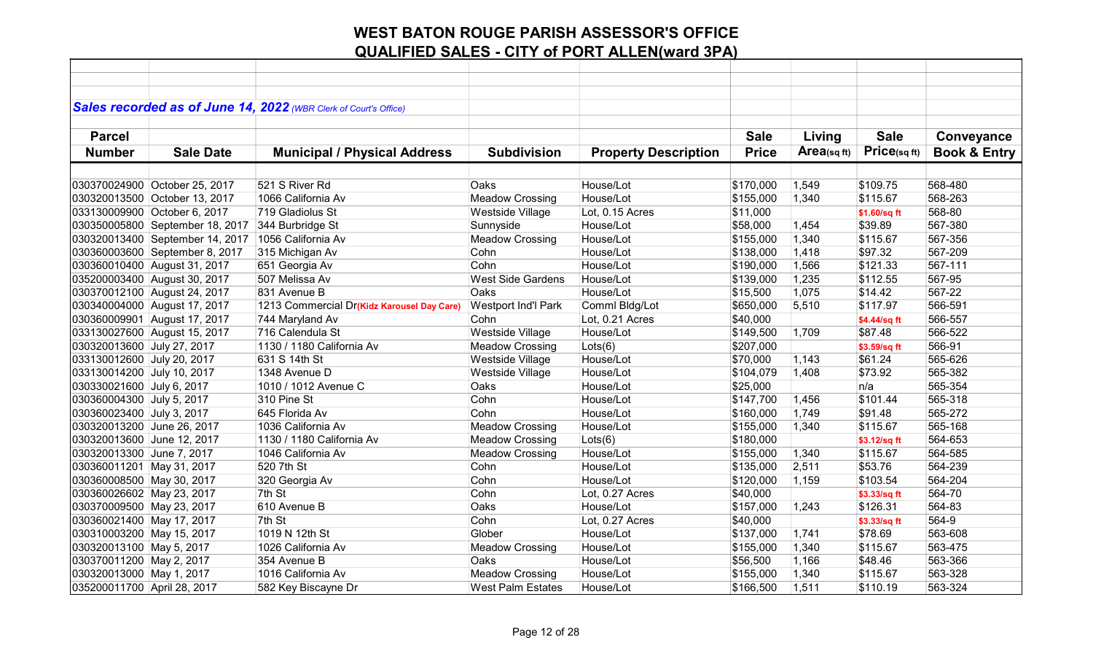|                              |                                 | Sales recorded as of June 14, 2022 (WBR Clerk of Court's Office) |                          |                             |              |                |              |                         |
|------------------------------|---------------------------------|------------------------------------------------------------------|--------------------------|-----------------------------|--------------|----------------|--------------|-------------------------|
| <b>Parcel</b>                |                                 |                                                                  |                          |                             | <b>Sale</b>  | Living         | <b>Sale</b>  | Conveyance              |
| <b>Number</b>                | <b>Sale Date</b>                |                                                                  | <b>Subdivision</b>       | <b>Property Description</b> | <b>Price</b> | Area(sq $ft$ ) | Price(sq ft) | <b>Book &amp; Entry</b> |
|                              |                                 | <b>Municipal / Physical Address</b>                              |                          |                             |              |                |              |                         |
|                              |                                 |                                                                  |                          |                             |              |                |              |                         |
|                              | 030370024900 October 25, 2017   | 521 S River Rd                                                   | Oaks                     | House/Lot                   | \$170,000    | 1,549          | \$109.75     | 568-480                 |
|                              | 030320013500 October 13, 2017   | 1066 California Av                                               | <b>Meadow Crossing</b>   | House/Lot                   | \$155,000    | 1,340          | \$115.67     | 568-263                 |
| 033130009900 October 6, 2017 |                                 | 719 Gladiolus St                                                 | Westside Village         | Lot, 0.15 Acres             | \$11,000     |                | \$1.60/sq ft | 568-80                  |
|                              | 030350005800 September 18, 2017 | 344 Burbridge St                                                 | Sunnyside                | House/Lot                   | \$58,000     | 1,454          | \$39.89      | 567-380                 |
|                              | 030320013400 September 14, 2017 | 1056 California Av                                               | <b>Meadow Crossing</b>   | House/Lot                   | \$155,000    | 1,340          | \$115.67     | 567-356                 |
|                              | 030360003600 September 8, 2017  | 315 Michigan Av                                                  | Cohn                     | House/Lot                   | \$138,000    | 1,418          | \$97.32      | 567-209                 |
|                              | 030360010400 August 31, 2017    | 651 Georgia Av                                                   | Cohn                     | House/Lot                   | \$190,000    | 1,566          | \$121.33     | 567-111                 |
|                              | 035200003400 August 30, 2017    | 507 Melissa Av                                                   | <b>West Side Gardens</b> | House/Lot                   | \$139,000    | 1,235          | \$112.55     | 567-95                  |
|                              | 030370012100 August 24, 2017    | 831 Avenue B                                                     | Oaks                     | House/Lot                   | \$15,500     | 1,075          | \$14.42      | 567-22                  |
|                              | 030340004000 August 17, 2017    | 1213 Commercial Dr(Kidz Karousel Day Care)                       | Westport Ind'l Park      | Comml Bldg/Lot              | \$650,000    | 5,510          | \$117.97     | 566-591                 |
|                              | 030360009901 August 17, 2017    | 744 Maryland Av                                                  | Cohn                     | Lot, 0.21 Acres             | \$40,000     |                | \$4.44/sq ft | 566-557                 |
|                              | 033130027600 August 15, 2017    | 716 Calendula St                                                 | Westside Village         | House/Lot                   | \$149,500    | 1,709          | \$87.48      | 566-522                 |
| 030320013600 July 27, 2017   |                                 | 1130 / 1180 California Av                                        | <b>Meadow Crossing</b>   | Lots(6)                     | \$207,000    |                | \$3.59/sq ft | 566-91                  |
| 033130012600 July 20, 2017   |                                 | 631 S 14th St                                                    | Westside Village         | House/Lot                   | \$70,000     | 1,143          | \$61.24      | 565-626                 |
| 033130014200 July 10, 2017   |                                 | 1348 Avenue D                                                    | Westside Village         | House/Lot                   | \$104,079    | 1,408          | \$73.92      | 565-382                 |
| 030330021600 July 6, 2017    |                                 | 1010 / 1012 Avenue C                                             | Oaks                     | House/Lot                   | \$25,000     |                | n/a          | 565-354                 |
| 030360004300 July 5, 2017    |                                 | 310 Pine St                                                      | Cohn                     | House/Lot                   | \$147,700    | 1,456          | \$101.44     | 565-318                 |
| 030360023400 July 3, 2017    |                                 | 645 Florida Av                                                   | Cohn                     | House/Lot                   | \$160,000    | 1,749          | \$91.48      | 565-272                 |
| 030320013200 June 26, 2017   |                                 | 1036 California Av                                               | <b>Meadow Crossing</b>   | House/Lot                   | \$155,000    | 1,340          | \$115.67     | 565-168                 |
| 030320013600 June 12, 2017   |                                 | 1130 / 1180 California Av                                        | <b>Meadow Crossing</b>   | Lots(6)                     | \$180,000    |                | \$3.12/sq ft | 564-653                 |
| 030320013300 June 7, 2017    |                                 | 1046 California Av                                               | <b>Meadow Crossing</b>   | House/Lot                   | \$155,000    | 1,340          | \$115.67     | 564-585                 |
| 030360011201 May 31, 2017    |                                 | 520 7th St                                                       | Cohn                     | House/Lot                   | \$135,000    | 2,511          | \$53.76      | 564-239                 |
| 030360008500 May 30, 2017    |                                 | 320 Georgia Av                                                   | Cohn                     | House/Lot                   | \$120,000    | 1,159          | \$103.54     | 564-204                 |
| 030360026602 May 23, 2017    |                                 | 7th St                                                           | Cohn                     | Lot, 0.27 Acres             | \$40,000     |                | \$3.33/sq ft | 564-70                  |
| 030370009500 May 23, 2017    |                                 | 610 Avenue B                                                     | Oaks                     | House/Lot                   | \$157,000    | 1,243          | \$126.31     | 564-83                  |
| 030360021400 May 17, 2017    |                                 | 7th St                                                           | Cohn                     | Lot, 0.27 Acres             | \$40,000     |                | \$3.33/sq ft | 564-9                   |
| 030310003200 May 15, 2017    |                                 | 1019 N 12th St                                                   | Glober                   | House/Lot                   | \$137,000    | 1,741          | \$78.69      | 563-608                 |
| 030320013100 May 5, 2017     |                                 | 1026 California Av                                               | <b>Meadow Crossing</b>   | House/Lot                   | \$155,000    | 1,340          | \$115.67     | 563-475                 |
| 030370011200 May 2, 2017     |                                 | 354 Avenue B                                                     | Oaks                     | House/Lot                   | \$56,500     | 1,166          | \$48.46      | 563-366                 |
| 030320013000 May 1, 2017     |                                 | 1016 California Av                                               | <b>Meadow Crossing</b>   | House/Lot                   | \$155,000    | 1,340          | \$115.67     | 563-328                 |
| 035200011700 April 28, 2017  |                                 | 582 Key Biscayne Dr                                              | <b>West Palm Estates</b> | House/Lot                   | \$166,500    | 1,511          | \$110.19     | 563-324                 |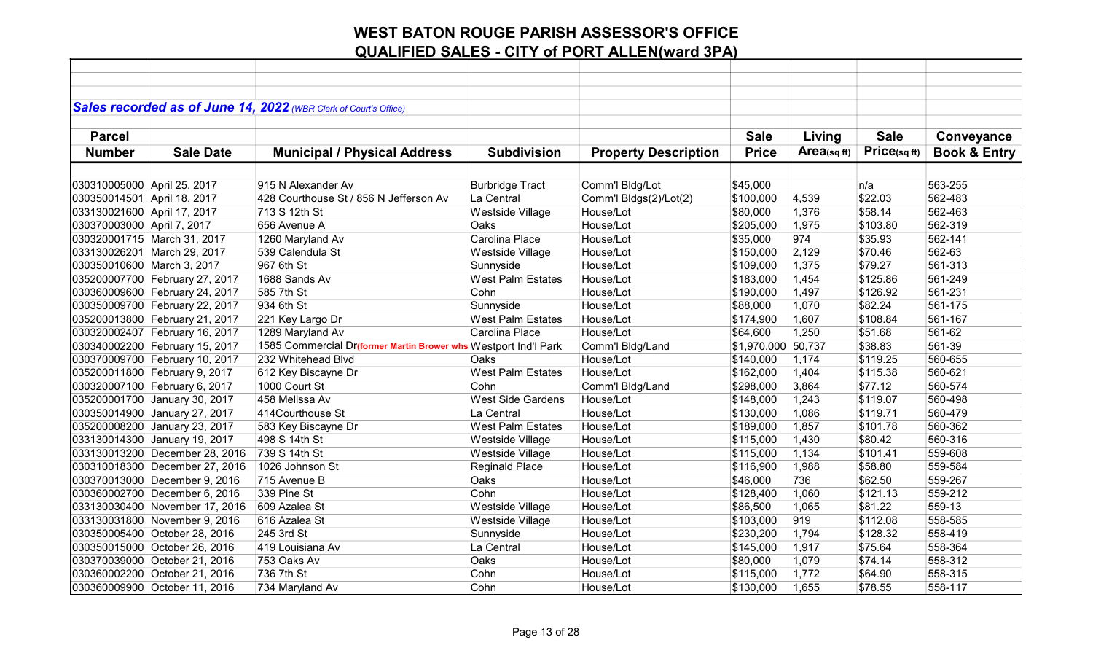|                             |                                | Sales recorded as of June 14, 2022 (WBR Clerk of Court's Office) |                          |                             |                    |            |             |                         |
|-----------------------------|--------------------------------|------------------------------------------------------------------|--------------------------|-----------------------------|--------------------|------------|-------------|-------------------------|
|                             |                                |                                                                  |                          |                             |                    |            |             |                         |
| <b>Parcel</b>               |                                |                                                                  |                          |                             | <b>Sale</b>        | Living     | <b>Sale</b> | Conveyance              |
| <b>Number</b>               | <b>Sale Date</b>               | <b>Municipal / Physical Address</b>                              | <b>Subdivision</b>       | <b>Property Description</b> | <b>Price</b>       | Area(sqft) | Price(sqft) | <b>Book &amp; Entry</b> |
|                             |                                |                                                                  |                          |                             |                    |            |             |                         |
| 030310005000 April 25, 2017 |                                | 915 N Alexander Av                                               | <b>Burbridge Tract</b>   | Comm'l Bldg/Lot             | \$45,000           |            | n/a         | 563-255                 |
| 030350014501 April 18, 2017 |                                | 428 Courthouse St / 856 N Jefferson Av                           | La Central               | Comm'l Bldgs(2)/Lot(2)      | \$100,000          | 4,539      | \$22.03     | 562-483                 |
| 033130021600 April 17, 2017 |                                | 713 S 12th St                                                    | Westside Village         | House/Lot                   | \$80,000           | 1,376      | \$58.14     | 562-463                 |
| 030370003000 April 7, 2017  |                                | 656 Avenue A                                                     | Oaks                     | House/Lot                   | \$205,000          | 1,975      | \$103.80    | 562-319                 |
| 030320001715 March 31, 2017 |                                | 1260 Maryland Av                                                 | Carolina Place           | House/Lot                   | \$35,000           | 974        | \$35.93     | 562-141                 |
|                             | 033130026201 March 29, 2017    | 539 Calendula St                                                 | Westside Village         | House/Lot                   | \$150,000          | 2,129      | \$70.46     | 562-63                  |
| 030350010600 March 3, 2017  |                                | 967 6th St                                                       | Sunnyside                | House/Lot                   | \$109,000          | 1,375      | \$79.27     | 561-313                 |
|                             | 035200007700 February 27, 2017 | 1688 Sands Av                                                    | <b>West Palm Estates</b> | House/Lot                   | \$183,000          | 1,454      | \$125.86    | 561-249                 |
|                             | 030360009600 February 24, 2017 | 585 7th St                                                       | Cohn                     | House/Lot                   | \$190,000          | 1,497      | \$126.92    | 561-231                 |
|                             | 030350009700 February 22, 2017 | 934 6th St                                                       | Sunnyside                | House/Lot                   | \$88,000           | 1,070      | \$82.24     | 561-175                 |
|                             | 035200013800 February 21, 2017 | 221 Key Largo Dr                                                 | <b>West Palm Estates</b> | House/Lot                   | \$174,900          | 1,607      | \$108.84    | 561-167                 |
|                             | 030320002407 February 16, 2017 | 1289 Maryland Av                                                 | Carolina Place           | House/Lot                   | \$64,600           | 1,250      | \$51.68     | 561-62                  |
|                             | 030340002200 February 15, 2017 | 1585 Commercial Dr(former Martin Brower whs Westport Ind'l Park  |                          | Comm'l Bldg/Land            | \$1,970,000 50,737 |            | \$38.83     | 561-39                  |
|                             | 030370009700 February 10, 2017 | 232 Whitehead Blvd                                               | Oaks                     | House/Lot                   | \$140,000          | 1,174      | \$119.25    | 560-655                 |
|                             | 035200011800 February 9, 2017  | 612 Key Biscayne Dr                                              | <b>West Palm Estates</b> | House/Lot                   | \$162,000          | 1,404      | \$115.38    | 560-621                 |
|                             | 030320007100 February 6, 2017  | 1000 Court St                                                    | Cohn                     | Comm'l Bldg/Land            | \$298,000          | 3,864      | \$77.12     | 560-574                 |
|                             | 035200001700 January 30, 2017  | 458 Melissa Av                                                   | <b>West Side Gardens</b> | House/Lot                   | \$148,000          | 1,243      | \$119.07    | 560-498                 |
|                             | 030350014900 January 27, 2017  | 414Courthouse St                                                 | La Central               | House/Lot                   | \$130,000          | 1,086      | \$119.71    | 560-479                 |
|                             | 035200008200 January 23, 2017  | 583 Key Biscayne Dr                                              | <b>West Palm Estates</b> | House/Lot                   | \$189,000          | 1,857      | \$101.78    | 560-362                 |
|                             | 033130014300 January 19, 2017  | 498 S 14th St                                                    | Westside Village         | House/Lot                   | \$115,000          | 1,430      | \$80.42     | 560-316                 |
|                             | 033130013200 December 28, 2016 | 739 S 14th St                                                    | Westside Village         | House/Lot                   | \$115,000          | 1,134      | \$101.41    | 559-608                 |
|                             | 030310018300 December 27, 2016 | 1026 Johnson St                                                  | Reginald Place           | House/Lot                   | \$116,900          | 1,988      | \$58.80     | 559-584                 |
|                             | 030370013000 December 9, 2016  | 715 Avenue B                                                     | Oaks                     | House/Lot                   | \$46,000           | 736        | \$62.50     | 559-267                 |
|                             | 030360002700 December 6, 2016  | 339 Pine St                                                      | Cohn                     | House/Lot                   | \$128,400          | 1,060      | \$121.13    | 559-212                 |
|                             | 033130030400 November 17, 2016 | 609 Azalea St                                                    | Westside Village         | House/Lot                   | \$86,500           | 1,065      | \$81.22     | 559-13                  |
|                             | 033130031800 November 9, 2016  | 616 Azalea St                                                    | Westside Village         | House/Lot                   | \$103,000          | 919        | \$112.08    | 558-585                 |
|                             | 030350005400 October 28, 2016  | 245 3rd St                                                       | Sunnyside                | House/Lot                   | \$230,200          | 1,794      | \$128.32    | 558-419                 |
|                             | 030350015000 October 26, 2016  | 419 Louisiana Av                                                 | La Central               | House/Lot                   | \$145,000          | 1,917      | \$75.64     | 558-364                 |
|                             | 030370039000 October 21, 2016  | 753 Oaks Av                                                      | Oaks                     | House/Lot                   | \$80,000           | 1,079      | \$74.14     | 558-312                 |
|                             | 030360002200 October 21, 2016  | 736 7th St                                                       | Cohn                     | House/Lot                   | \$115,000          | 1,772      | \$64.90     | 558-315                 |
|                             | 030360009900 October 11, 2016  | 734 Maryland Av                                                  | Cohn                     | House/Lot                   | \$130,000          | 1,655      | \$78.55     | 558-117                 |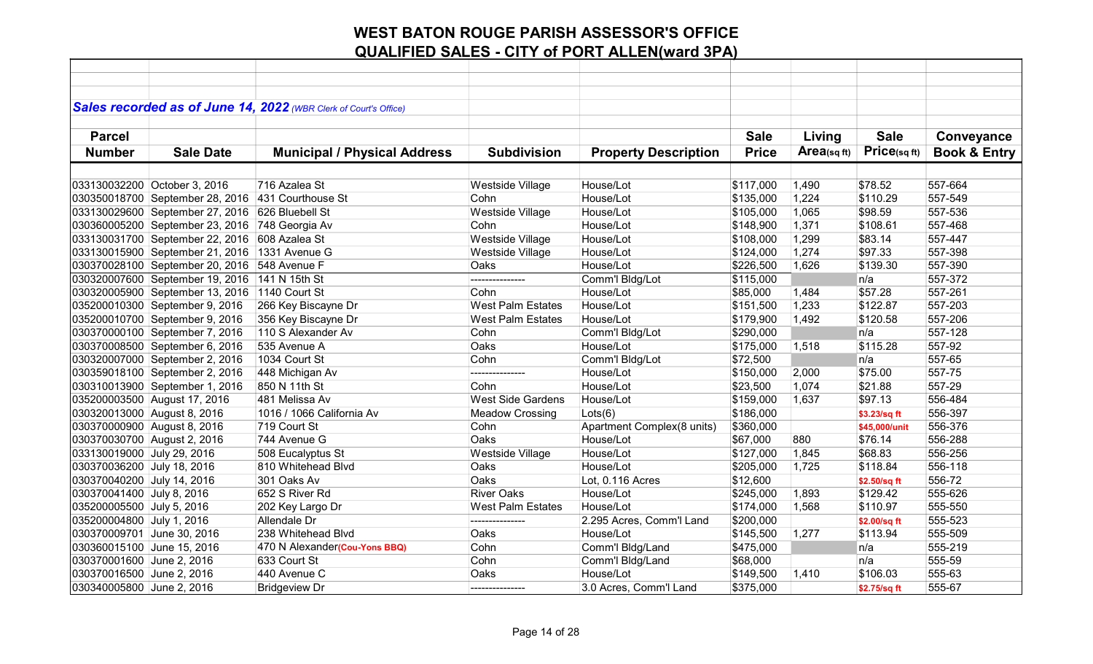|                             |                                                   | Sales recorded as of June 14, 2022 (WBR Clerk of Court's Office) |                          |                             |              |            |               |                         |
|-----------------------------|---------------------------------------------------|------------------------------------------------------------------|--------------------------|-----------------------------|--------------|------------|---------------|-------------------------|
|                             |                                                   |                                                                  |                          |                             |              |            |               |                         |
| <b>Parcel</b>               |                                                   |                                                                  |                          |                             | <b>Sale</b>  | Living     | <b>Sale</b>   | Conveyance              |
| <b>Number</b>               | <b>Sale Date</b>                                  | <b>Municipal / Physical Address</b>                              | <b>Subdivision</b>       | <b>Property Description</b> | <b>Price</b> | Area(sqft) | Price(sqft)   | <b>Book &amp; Entry</b> |
|                             |                                                   |                                                                  |                          |                             |              |            |               |                         |
|                             | 033130032200 October 3, 2016                      | 716 Azalea St                                                    | Westside Village         | House/Lot                   | \$117,000    | 1,490      | \$78.52       | 557-664                 |
|                             | 030350018700 September 28, 2016 431 Courthouse St |                                                                  | Cohn                     | House/Lot                   | \$135,000    | 1,224      | \$110.29      | 557-549                 |
|                             | 033130029600 September 27, 2016                   | 626 Bluebell St                                                  | Westside Village         | House/Lot                   | \$105,000    | 1,065      | \$98.59       | 557-536                 |
|                             | 030360005200 September 23, 2016                   | 748 Georgia Av                                                   | Cohn                     | House/Lot                   | \$148,900    | 1,371      | \$108.61      | 557-468                 |
|                             | 033130031700 September 22, 2016                   | 608 Azalea St                                                    | Westside Village         | House/Lot                   | \$108,000    | 1,299      | \$83.14       | 557-447                 |
|                             | 033130015900 September 21, 2016                   | 1331 Avenue G                                                    | Westside Village         | House/Lot                   | \$124,000    | 1,274      | \$97.33       | 557-398                 |
|                             | 030370028100 September 20, 2016                   | 548 Avenue F                                                     | Oaks                     | House/Lot                   | \$226,500    | 1,626      | \$139.30      | 557-390                 |
|                             | 030320007600 September 19, 2016 141 N 15th St     |                                                                  |                          | Comm'l Bldg/Lot             | \$115,000    |            | n/a           | 557-372                 |
|                             | 030320005900 September 13, 2016 1140 Court St     |                                                                  | Cohn                     | House/Lot                   | \$85,000     | 1,484      | \$57.28       | 557-261                 |
|                             | 035200010300 September 9, 2016                    | 266 Key Biscayne Dr                                              | <b>West Palm Estates</b> | House/Lot                   | \$151,500    | 1,233      | \$122.87      | 557-203                 |
|                             | 035200010700 September 9, 2016                    | 356 Key Biscayne Dr                                              | <b>West Palm Estates</b> | House/Lot                   | \$179,900    | 1,492      | \$120.58      | 557-206                 |
|                             | 030370000100 September 7, 2016                    | 110 S Alexander Av                                               | Cohn                     | Comm'l Bldg/Lot             | \$290,000    |            | n/a           | 557-128                 |
|                             | 030370008500 September 6, 2016                    | 535 Avenue A                                                     | Oaks                     | House/Lot                   | \$175,000    | 1,518      | \$115.28      | 557-92                  |
|                             | 030320007000 September 2, 2016                    | 1034 Court St                                                    | Cohn                     | Comm'l Bldg/Lot             | \$72,500     |            | n/a           | 557-65                  |
|                             | 030359018100 September 2, 2016                    | 448 Michigan Av                                                  | ---------------          | House/Lot                   | \$150,000    | 2,000      | \$75.00       | 557-75                  |
|                             | 030310013900 September 1, 2016                    | 850 N 11th St                                                    | Cohn                     | House/Lot                   | \$23,500     | 1,074      | \$21.88       | 557-29                  |
|                             | 035200003500 August 17, 2016                      | 481 Melissa Av                                                   | <b>West Side Gardens</b> | House/Lot                   | \$159,000    | 1,637      | \$97.13       | 556-484                 |
| 030320013000 August 8, 2016 |                                                   | 1016 / 1066 California Av                                        | <b>Meadow Crossing</b>   | Lots(6)                     | \$186,000    |            | \$3.23/sq ft  | 556-397                 |
| 030370000900 August 8, 2016 |                                                   | 719 Court St                                                     | Cohn                     | Apartment Complex(8 units)  | \$360,000    |            | \$45,000/unit | 556-376                 |
| 030370030700 August 2, 2016 |                                                   | 744 Avenue G                                                     | <b>Oaks</b>              | House/Lot                   | \$67,000     | 880        | \$76.14       | 556-288                 |
| 033130019000 July 29, 2016  |                                                   | 508 Eucalyptus St                                                | Westside Village         | House/Lot                   | \$127,000    | 1,845      | \$68.83       | 556-256                 |
| 030370036200 July 18, 2016  |                                                   | 810 Whitehead Blvd                                               | Oaks                     | House/Lot                   | \$205,000    | 1,725      | \$118.84      | 556-118                 |
| 030370040200 July 14, 2016  |                                                   | 301 Oaks Av                                                      | Oaks                     | Lot, 0.116 Acres            | \$12,600     |            | \$2.50/sq ft  | 556-72                  |
| 030370041400 July 8, 2016   |                                                   | 652 S River Rd                                                   | <b>River Oaks</b>        | House/Lot                   | \$245,000    | 1,893      | \$129.42      | 555-626                 |
| 035200005500 July 5, 2016   |                                                   | 202 Key Largo Dr                                                 | <b>West Palm Estates</b> | House/Lot                   | \$174,000    | 1,568      | \$110.97      | 555-550                 |
| 035200004800 July 1, 2016   |                                                   | Allendale Dr                                                     | ---------------          | 2.295 Acres, Comm'l Land    | \$200,000    |            | \$2.00/sq ft  | 555-523                 |
| 030370009701 June 30, 2016  |                                                   | 238 Whitehead Blvd                                               | Oaks                     | House/Lot                   | \$145,500    | 1,277      | \$113.94      | 555-509                 |
| 030360015100 June 15, 2016  |                                                   | 470 N Alexander(Cou-Yons BBQ)                                    | Cohn                     | Comm'l Bldg/Land            | \$475,000    |            | n/a           | 555-219                 |
| 030370001600 June 2, 2016   |                                                   | 633 Court St                                                     | Cohn                     | Comm'l Bldg/Land            | \$68,000     |            | n/a           | 555-59                  |
| 030370016500 June 2, 2016   |                                                   | 440 Avenue C                                                     | Oaks                     | House/Lot                   | \$149,500    | 1,410      | \$106.03      | 555-63                  |
| 030340005800 June 2, 2016   |                                                   | <b>Bridgeview Dr</b>                                             | --------------           | 3.0 Acres, Comm'l Land      | \$375,000    |            | \$2.75/sq ft  | 555-67                  |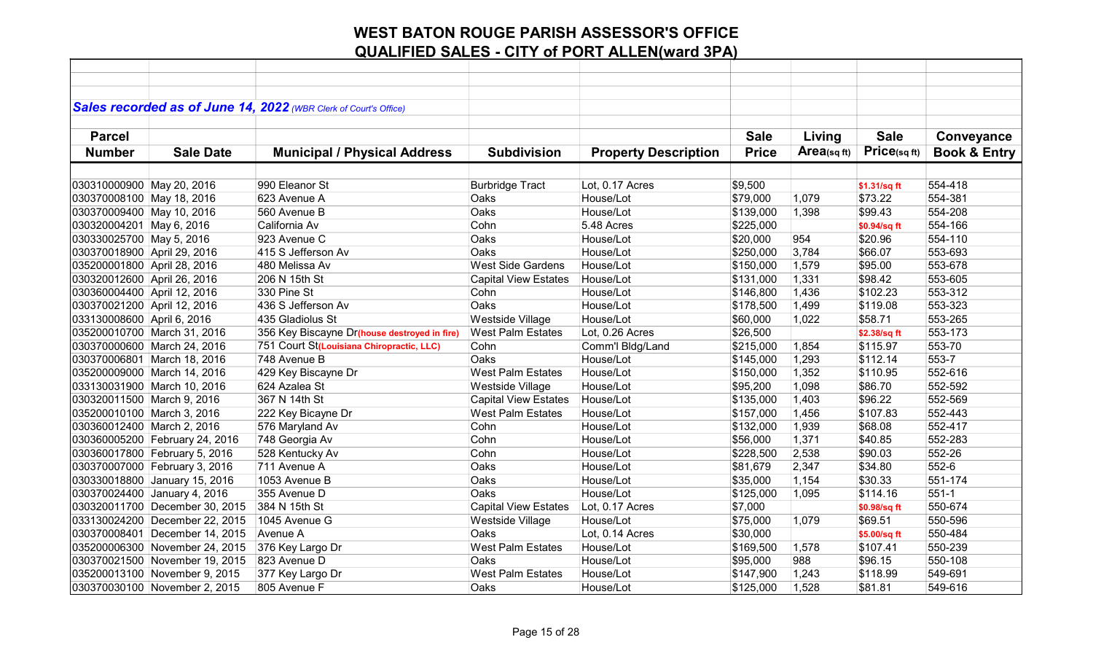|                                |                  | Sales recorded as of June 14, 2022 (WBR Clerk of Court's Office) |                             |                             |              |            |              |                         |
|--------------------------------|------------------|------------------------------------------------------------------|-----------------------------|-----------------------------|--------------|------------|--------------|-------------------------|
|                                |                  |                                                                  |                             |                             |              |            |              |                         |
| <b>Parcel</b>                  |                  |                                                                  |                             |                             | <b>Sale</b>  | Living     | <b>Sale</b>  | Conveyance              |
| <b>Number</b>                  | <b>Sale Date</b> | <b>Municipal / Physical Address</b>                              | <b>Subdivision</b>          | <b>Property Description</b> | <b>Price</b> | Area(sqft) | Price(sqft)  | <b>Book &amp; Entry</b> |
|                                |                  |                                                                  |                             |                             |              |            |              |                         |
|                                |                  |                                                                  |                             |                             |              |            |              |                         |
| 030310000900 May 20, 2016      |                  | 990 Eleanor St                                                   | <b>Burbridge Tract</b>      | Lot, 0.17 Acres             | \$9,500      |            | \$1.31/sq ft | 554-418                 |
| 030370008100 May 18, 2016      |                  | 623 Avenue A                                                     | Oaks                        | House/Lot                   | \$79,000     | 1,079      | \$73.22      | 554-381                 |
| 030370009400 May 10, 2016      |                  | 560 Avenue B                                                     | Oaks                        | House/Lot                   | \$139,000    | 1,398      | \$99.43      | 554-208                 |
| 030320004201 May 6, 2016       |                  | California Av                                                    | Cohn                        | 5.48 Acres                  | \$225,000    |            | \$0.94/sq ft | 554-166                 |
| 030330025700 May 5, 2016       |                  | 923 Avenue C                                                     | Oaks                        | House/Lot                   | \$20,000     | 954        | \$20.96      | 554-110                 |
| 030370018900 April 29, 2016    |                  | 415 S Jefferson Av                                               | Oaks                        | House/Lot                   | \$250,000    | 3,784      | \$66.07      | 553-693                 |
| 035200001800 April 28, 2016    |                  | 480 Melissa Av                                                   | <b>West Side Gardens</b>    | House/Lot                   | \$150,000    | 1,579      | \$95.00      | 553-678                 |
| 030320012600 April 26, 2016    |                  | 206 N 15th St                                                    | <b>Capital View Estates</b> | House/Lot                   | \$131,000    | 1,331      | \$98.42      | 553-605                 |
| 030360004400 April 12, 2016    |                  | 330 Pine St                                                      | Cohn                        | House/Lot                   | \$146,800    | 1,436      | \$102.23     | 553-312                 |
| 030370021200 April 12, 2016    |                  | 436 S Jefferson Av                                               | Oaks                        | House/Lot                   | \$178,500    | 1,499      | \$119.08     | 553-323                 |
| 033130008600 April 6, 2016     |                  | 435 Gladiolus St                                                 | Westside Village            | House/Lot                   | \$60,000     | 1,022      | \$58.71      | 553-265                 |
| 035200010700 March 31, 2016    |                  | 356 Key Biscayne Dr(house destroyed in fire)                     | <b>West Palm Estates</b>    | Lot, 0.26 Acres             | \$26,500     |            | \$2.38/sq ft | 553-173                 |
| 030370000600 March 24, 2016    |                  | 751 Court St(Louisiana Chiropractic, LLC)                        | Cohn                        | Comm'l Bldg/Land            | \$215,000    | 1,854      | \$115.97     | 553-70                  |
| 030370006801 March 18, 2016    |                  | 748 Avenue B                                                     | Oaks                        | House/Lot                   | \$145,000    | 1,293      | \$112.14     | 553-7                   |
| 035200009000 March 14, 2016    |                  | 429 Key Biscayne Dr                                              | <b>West Palm Estates</b>    | House/Lot                   | \$150,000    | 1,352      | \$110.95     | 552-616                 |
| 033130031900 March 10, 2016    |                  | 624 Azalea St                                                    | Westside Village            | House/Lot                   | \$95,200     | 1,098      | \$86.70      | 552-592                 |
| 030320011500 March 9, 2016     |                  | 367 N 14th St                                                    | <b>Capital View Estates</b> | House/Lot                   | \$135,000    | 1,403      | \$96.22      | 552-569                 |
| 035200010100 March 3, 2016     |                  | 222 Key Bicayne Dr                                               | <b>West Palm Estates</b>    | House/Lot                   | \$157,000    | 1,456      | \$107.83     | 552-443                 |
| 030360012400 March 2, 2016     |                  | 576 Maryland Av                                                  | Cohn                        | House/Lot                   | \$132,000    | 1,939      | \$68.08      | 552-417                 |
| 030360005200 February 24, 2016 |                  | 748 Georgia Av                                                   | Cohn                        | House/Lot                   | \$56,000     | 1,371      | \$40.85      | 552-283                 |
| 030360017800 February 5, 2016  |                  | 528 Kentucky Av                                                  | Cohn                        | House/Lot                   | \$228,500    | 2,538      | \$90.03      | 552-26                  |
| 030370007000 February 3, 2016  |                  | 711 Avenue A                                                     | Oaks                        | House/Lot                   | \$81,679     | 2,347      | \$34.80      | 552-6                   |
| 030330018800 January 15, 2016  |                  | 1053 Avenue B                                                    | Oaks                        | House/Lot                   | \$35,000     | 1,154      | \$30.33      | 551-174                 |
| 030370024400 January 4, 2016   |                  | 355 Avenue D                                                     | Oaks                        | House/Lot                   | \$125,000    | 1,095      | \$114.16     | $551-1$                 |
| 030320011700 December 30, 2015 |                  | 384 N 15th St                                                    | <b>Capital View Estates</b> | Lot, 0.17 Acres             | \$7,000      |            | \$0.98/sq ft | 550-674                 |
| 033130024200 December 22, 2015 |                  | 1045 Avenue G                                                    | Westside Village            | House/Lot                   | \$75,000     | 1,079      | \$69.51      | 550-596                 |
| 030370008401 December 14, 2015 |                  | Avenue A                                                         | Oaks                        | Lot, 0.14 Acres             | \$30,000     |            | \$5.00/sq ft | 550-484                 |
| 035200006300 November 24, 2015 |                  | 376 Key Largo Dr                                                 | <b>West Palm Estates</b>    | House/Lot                   | \$169,500    | 1,578      | \$107.41     | 550-239                 |
| 030370021500 November 19, 2015 |                  | 823 Avenue D                                                     | Oaks                        | House/Lot                   | \$95,000     | 988        | \$96.15      | 550-108                 |
| 035200013100 November 9, 2015  |                  | 377 Key Largo Dr                                                 | <b>West Palm Estates</b>    | House/Lot                   | \$147,900    | 1,243      | \$118.99     | 549-691                 |
| 030370030100 November 2, 2015  |                  | 805 Avenue F                                                     | Oaks                        | House/Lot                   | \$125,000    | 1,528      | \$81.81      | 549-616                 |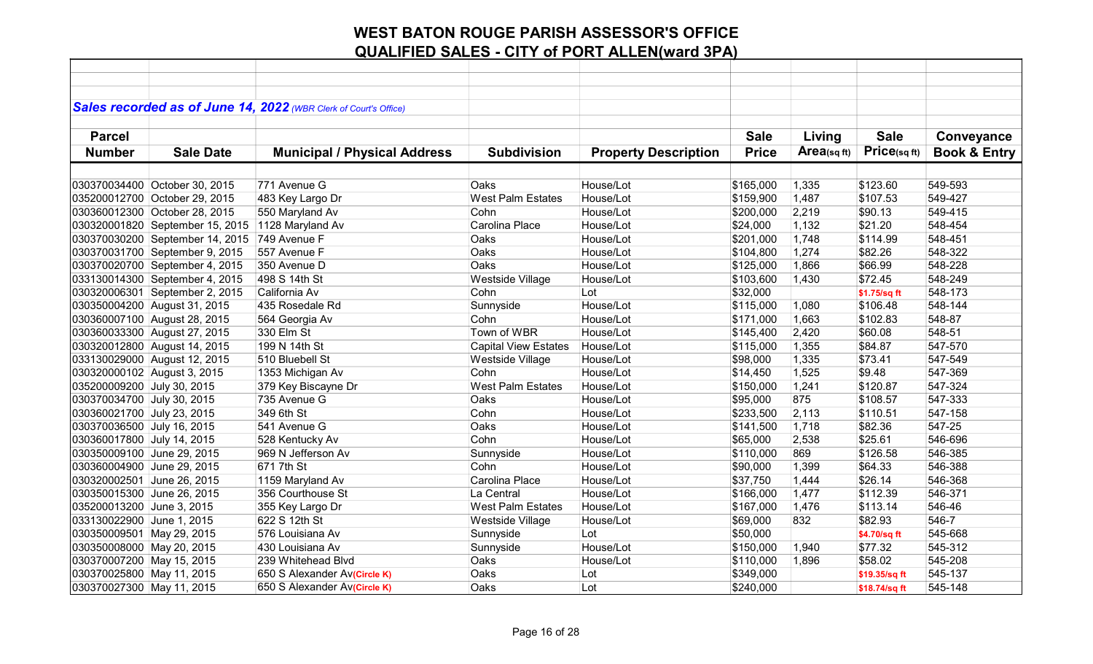|                             |                                 | Sales recorded as of June 14, 2022 (WBR Clerk of Court's Office) |                             |                             |              |             |               |                         |
|-----------------------------|---------------------------------|------------------------------------------------------------------|-----------------------------|-----------------------------|--------------|-------------|---------------|-------------------------|
|                             |                                 |                                                                  |                             |                             |              |             |               |                         |
| <b>Parcel</b>               |                                 |                                                                  |                             |                             | <b>Sale</b>  | Living      | <b>Sale</b>   | Conveyance              |
| <b>Number</b>               | <b>Sale Date</b>                | <b>Municipal / Physical Address</b>                              | <b>Subdivision</b>          | <b>Property Description</b> | <b>Price</b> | Area(sq ft) | Price(sq ft)  | <b>Book &amp; Entry</b> |
|                             |                                 |                                                                  |                             |                             |              |             |               |                         |
|                             | 030370034400 October 30, 2015   | 771 Avenue G                                                     | Oaks                        | House/Lot                   | \$165,000    | 1,335       | \$123.60      | 549-593                 |
|                             | 035200012700 October 29, 2015   | 483 Key Largo Dr                                                 | <b>West Palm Estates</b>    | House/Lot                   | \$159,900    | 1,487       | \$107.53      | 549-427                 |
|                             | 030360012300 October 28, 2015   | 550 Maryland Av                                                  | Cohn                        | House/Lot                   | \$200,000    | 2,219       | \$90.13       | 549-415                 |
|                             | 030320001820 September 15, 2015 | 1128 Maryland Av                                                 | Carolina Place              | House/Lot                   | \$24,000     | 1,132       | \$21.20       | 548-454                 |
|                             | 030370030200 September 14, 2015 | 749 Avenue F                                                     | Oaks                        | House/Lot                   | \$201,000    | 1,748       | \$114.99      | 548-451                 |
|                             | 030370031700 September 9, 2015  | 557 Avenue F                                                     | Oaks                        | House/Lot                   | \$104,800    | 1,274       | \$82.26       | 548-322                 |
|                             | 030370020700 September 4, 2015  | 350 Avenue D                                                     | Oaks                        | House/Lot                   | \$125,000    | 1,866       | \$66.99       | 548-228                 |
|                             | 033130014300 September 4, 2015  | 498 S 14th St                                                    | Westside Village            | House/Lot                   | \$103,600    | 1,430       | \$72.45       | 548-249                 |
|                             | 030320006301 September 2, 2015  | California Av                                                    | Cohn                        | Lot                         | \$32,000     |             | \$1.75/sq ft  | 548-173                 |
|                             | 030350004200 August 31, 2015    | 435 Rosedale Rd                                                  | Sunnyside                   | House/Lot                   | \$115,000    | 1,080       | \$106.48      | 548-144                 |
|                             | 030360007100 August 28, 2015    | 564 Georgia Av                                                   | Cohn                        | House/Lot                   | \$171,000    | 1,663       | \$102.83      | 548-87                  |
|                             | 030360033300 August 27, 2015    | 330 Elm St                                                       | Town of WBR                 | House/Lot                   | \$145,400    | 2,420       | \$60.08       | 548-51                  |
|                             | 030320012800 August 14, 2015    | 199 N 14th St                                                    | <b>Capital View Estates</b> | House/Lot                   | \$115,000    | 1,355       | \$84.87       | 547-570                 |
|                             | 033130029000 August 12, 2015    | 510 Bluebell St                                                  | Westside Village            | House/Lot                   | \$98,000     | 1,335       | \$73.41       | 547-549                 |
| 030320000102 August 3, 2015 |                                 | 1353 Michigan Av                                                 | Cohn                        | House/Lot                   | \$14,450     | 1,525       | \$9.48        | 547-369                 |
| 035200009200 July 30, 2015  |                                 | 379 Key Biscayne Dr                                              | <b>West Palm Estates</b>    | House/Lot                   | \$150,000    | 1,241       | \$120.87      | 547-324                 |
| 030370034700 July 30, 2015  |                                 | 735 Avenue G                                                     | Oaks                        | House/Lot                   | \$95,000     | 875         | \$108.57      | 547-333                 |
| 030360021700 July 23, 2015  |                                 | 349 6th St                                                       | Cohn                        | House/Lot                   | \$233,500    | 2,113       | \$110.51      | 547-158                 |
| 030370036500 July 16, 2015  |                                 | 541 Avenue G                                                     | <b>Oaks</b>                 | House/Lot                   | \$141,500    | 1,718       | \$82.36       | 547-25                  |
| 030360017800 July 14, 2015  |                                 | 528 Kentucky Av                                                  | Cohn                        | House/Lot                   | \$65,000     | 2,538       | \$25.61       | 546-696                 |
| 030350009100 June 29, 2015  |                                 | 969 N Jefferson Av                                               | Sunnyside                   | House/Lot                   | \$110,000    | 869         | \$126.58      | 546-385                 |
| 030360004900 June 29, 2015  |                                 | 671 7th St                                                       | Cohn                        | House/Lot                   | \$90,000     | 1,399       | \$64.33       | 546-388                 |
| 030320002501 June 26, 2015  |                                 | 1159 Maryland Av                                                 | Carolina Place              | House/Lot                   | \$37,750     | 1,444       | \$26.14       | 546-368                 |
| 030350015300 June 26, 2015  |                                 | 356 Courthouse St                                                | La Central                  | House/Lot                   | \$166,000    | 1,477       | \$112.39      | 546-371                 |
| 035200013200 June 3, 2015   |                                 | 355 Key Largo Dr                                                 | <b>West Palm Estates</b>    | House/Lot                   | \$167,000    | 1,476       | \$113.14      | 546-46                  |
| 033130022900 June 1, 2015   |                                 | 622 S 12th St                                                    | Westside Village            | House/Lot                   | \$69,000     | 832         | \$82.93       | 546-7                   |
| 030350009501 May 29, 2015   |                                 | 576 Louisiana Av                                                 | Sunnyside                   | Lot                         | \$50,000     |             | \$4.70/sq ft  | 545-668                 |
| 030350008000 May 20, 2015   |                                 | 430 Louisiana Av                                                 | Sunnyside                   | House/Lot                   | \$150,000    | 1,940       | \$77.32       | 545-312                 |
| 030370007200 May 15, 2015   |                                 | 239 Whitehead Blvd                                               | Oaks                        | House/Lot                   | \$110,000    | 1,896       | \$58.02       | 545-208                 |
| 030370025800 May 11, 2015   |                                 | 650 S Alexander Av(Circle K)                                     | Oaks                        | Lot                         | \$349,000    |             | \$19.35/sq ft | 545-137                 |
| 030370027300 May 11, 2015   |                                 | 650 S Alexander Av(Circle K)                                     | Oaks                        | Lot                         | \$240,000    |             | \$18.74/sq ft | 545-148                 |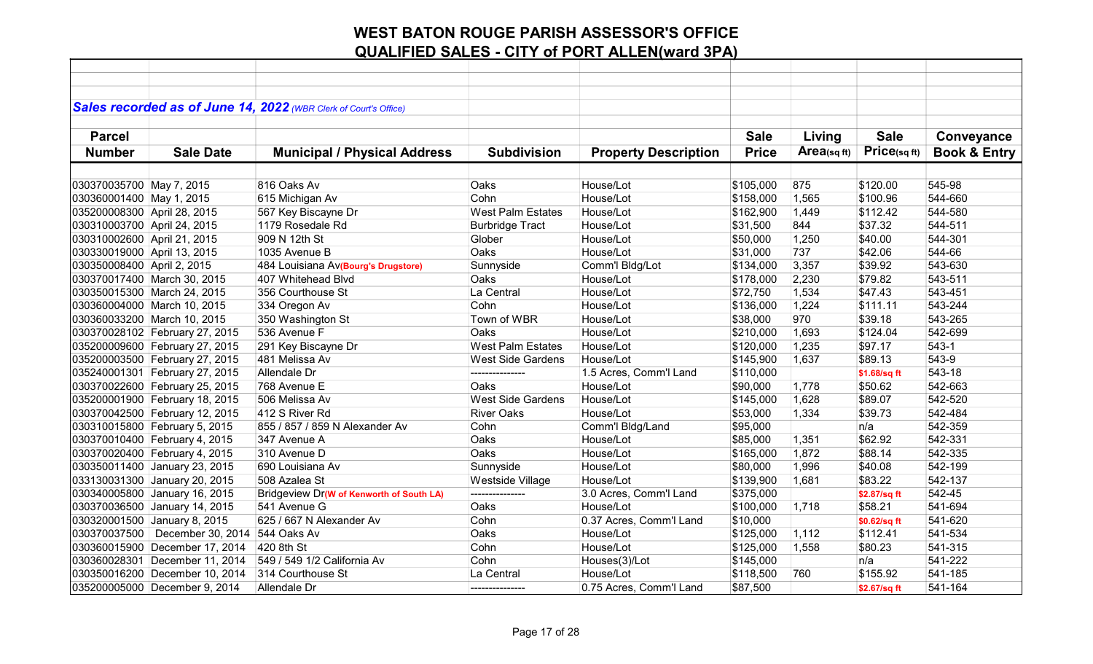|                             |                                  | Sales recorded as of June 14, 2022 (WBR Clerk of Court's Office) |                          |                             |              |                |              |                         |
|-----------------------------|----------------------------------|------------------------------------------------------------------|--------------------------|-----------------------------|--------------|----------------|--------------|-------------------------|
|                             |                                  |                                                                  |                          |                             |              |                |              |                         |
| <b>Parcel</b>               |                                  |                                                                  |                          |                             | <b>Sale</b>  | Living         | <b>Sale</b>  | Conveyance              |
| <b>Number</b>               | <b>Sale Date</b>                 | <b>Municipal / Physical Address</b>                              | <b>Subdivision</b>       | <b>Property Description</b> | <b>Price</b> | Area(sq $ft$ ) | Price(sq ft) | <b>Book &amp; Entry</b> |
|                             |                                  |                                                                  |                          |                             |              |                |              |                         |
| 030370035700 May 7, 2015    |                                  | 816 Oaks Av                                                      | Oaks                     | House/Lot                   | \$105,000    | 875            | \$120.00     | 545-98                  |
| 030360001400 May 1, 2015    |                                  | 615 Michigan Av                                                  | Cohn                     | House/Lot                   | \$158,000    | 1,565          | \$100.96     | 544-660                 |
| 035200008300 April 28, 2015 |                                  | 567 Key Biscayne Dr                                              | <b>West Palm Estates</b> | House/Lot                   | \$162,900    | 1,449          | \$112.42     | 544-580                 |
| 030310003700 April 24, 2015 |                                  | 1179 Rosedale Rd                                                 | <b>Burbridge Tract</b>   | House/Lot                   | \$31,500     | 844            | \$37.32      | 544-511                 |
| 030310002600 April 21, 2015 |                                  | 909 N 12th St                                                    | Glober                   | House/Lot                   | \$50,000     | 1,250          | \$40.00      | 544-301                 |
| 030330019000 April 13, 2015 |                                  | 1035 Avenue B                                                    | Oaks                     | House/Lot                   | \$31,000     | 737            | \$42.06      | 544-66                  |
| 030350008400 April 2, 2015  |                                  | 484 Louisiana Av(Bourg's Drugstore)                              | Sunnyside                | Comm'l Bldg/Lot             | \$134,000    | 3,357          | \$39.92      | 543-630                 |
|                             | 030370017400 March 30, 2015      | 407 Whitehead Blvd                                               | Oaks                     | House/Lot                   | \$178,000    | 2,230          | \$79.82      | 543-511                 |
|                             | 030350015300 March 24, 2015      | 356 Courthouse St                                                | La Central               | House/Lot                   | \$72,750     | 1,534          | \$47.43      | 543-451                 |
|                             | 030360004000 March 10, 2015      | 334 Oregon Av                                                    | Cohn                     | House/Lot                   | \$136,000    | 1,224          | \$111.11     | 543-244                 |
|                             | 030360033200 March 10, 2015      | 350 Washington St                                                | Town of WBR              | House/Lot                   | \$38,000     | 970            | \$39.18      | 543-265                 |
|                             | 030370028102 February 27, 2015   | 536 Avenue F                                                     | Oaks                     | House/Lot                   | \$210,000    | 1,693          | \$124.04     | 542-699                 |
|                             | 035200009600 February 27, 2015   | 291 Key Biscayne Dr                                              | <b>West Palm Estates</b> | House/Lot                   | \$120,000    | 1,235          | \$97.17      | $543-1$                 |
|                             | 035200003500 February 27, 2015   | 481 Melissa Av                                                   | <b>West Side Gardens</b> | House/Lot                   | \$145,900    | 1,637          | \$89.13      | 543-9                   |
|                             | 035240001301 February 27, 2015   | Allendale Dr                                                     | ---------------          | 1.5 Acres, Comm'l Land      | \$110,000    |                | \$1.68/sq ft | 543-18                  |
|                             | 030370022600 February 25, 2015   | 768 Avenue E                                                     | Oaks                     | House/Lot                   | \$90,000     | 1,778          | \$50.62      | 542-663                 |
|                             | 035200001900 February 18, 2015   | 506 Melissa Av                                                   | <b>West Side Gardens</b> | House/Lot                   | \$145,000    | 1,628          | \$89.07      | 542-520                 |
|                             | 030370042500 February 12, 2015   | 412 S River Rd                                                   | <b>River Oaks</b>        | House/Lot                   | \$53,000     | 1,334          | \$39.73      | 542-484                 |
|                             | 030310015800 February 5, 2015    | 855 / 857 / 859 N Alexander Av                                   | Cohn                     | Comm'l Bldg/Land            | \$95,000     |                | n/a          | 542-359                 |
|                             | 030370010400 February 4, 2015    | 347 Avenue A                                                     | Oaks                     | House/Lot                   | \$85,000     | 1,351          | \$62.92      | 542-331                 |
|                             | 030370020400 February 4, 2015    | 310 Avenue D                                                     | Oaks                     | House/Lot                   | \$165,000    | 1,872          | \$88.14      | 542-335                 |
|                             | 030350011400 January 23, 2015    | 690 Louisiana Av                                                 | Sunnyside                | House/Lot                   | \$80,000     | 1,996          | \$40.08      | 542-199                 |
|                             | 033130031300 January 20, 2015    | 508 Azalea St                                                    | Westside Village         | House/Lot                   | \$139,900    | 1,681          | \$83.22      | 542-137                 |
|                             | 030340005800 January 16, 2015    | Bridgeview Dr(W of Kenworth of South LA)                         | ---------------          | 3.0 Acres, Comm'l Land      | \$375,000    |                | \$2.87/sq ft | 542-45                  |
|                             | 030370036500 January 14, 2015    | 541 Avenue G                                                     | Oaks                     | House/Lot                   | \$100,000    | 1,718          | \$58.21      | 541-694                 |
|                             | 030320001500 January 8, 2015     | 625 / 667 N Alexander Av                                         | Cohn                     | 0.37 Acres, Comm'l Land     | \$10,000     |                | \$0.62/sq ft | 541-620                 |
|                             | 030370037500   December 30, 2014 | 544 Oaks Av                                                      | Oaks                     | House/Lot                   | \$125,000    | 1,112          | \$112.41     | 541-534                 |
|                             | 030360015900 December 17, 2014   | 420 8th St                                                       | Cohn                     | House/Lot                   | \$125,000    | 1,558          | \$80.23      | 541-315                 |
|                             | 030360028301 December 11, 2014   | 549 / 549 1/2 California Av                                      | Cohn                     | Houses(3)/Lot               | \$145,000    |                | n/a          | 541-222                 |
|                             | 030350016200 December 10, 2014   | 314 Courthouse St                                                | La Central               | House/Lot                   | \$118,500    | 760            | \$155.92     | 541-185                 |
|                             | 035200005000 December 9, 2014    | Allendale Dr                                                     | --------------           | 0.75 Acres, Comm'l Land     | \$87,500     |                | \$2.67/sq ft | 541-164                 |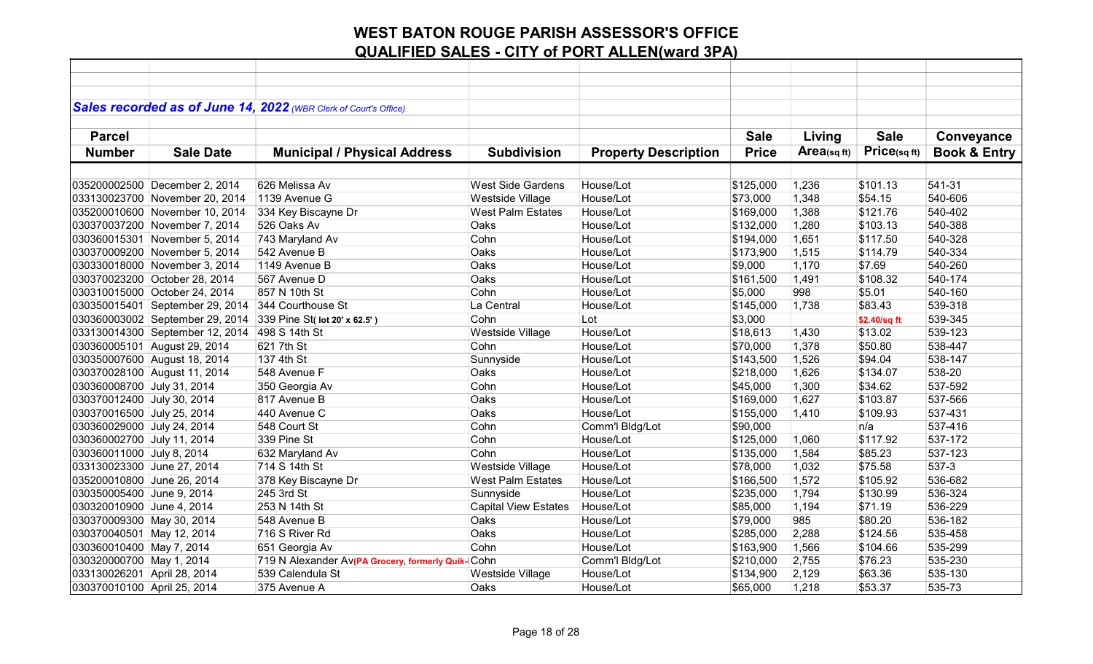|                             |                                 | Sales recorded as of June 14, 2022 (WBR Clerk of Court's Office) |                             |                             |              |             |              |                         |
|-----------------------------|---------------------------------|------------------------------------------------------------------|-----------------------------|-----------------------------|--------------|-------------|--------------|-------------------------|
|                             |                                 |                                                                  |                             |                             |              |             |              |                         |
| <b>Parcel</b>               |                                 |                                                                  |                             |                             | <b>Sale</b>  | Living      | <b>Sale</b>  | Conveyance              |
| <b>Number</b>               | <b>Sale Date</b>                | <b>Municipal / Physical Address</b>                              | <b>Subdivision</b>          | <b>Property Description</b> | <b>Price</b> | Area(sq ft) | Price(sq ft) | <b>Book &amp; Entry</b> |
|                             |                                 |                                                                  |                             |                             |              |             |              |                         |
|                             | 035200002500 December 2, 2014   | 626 Melissa Av                                                   | <b>West Side Gardens</b>    | House/Lot                   | \$125,000    | 1,236       | \$101.13     | 541-31                  |
|                             | 033130023700 November 20, 2014  | 1139 Avenue G                                                    | Westside Village            | House/Lot                   | \$73,000     | 1,348       | \$54.15      | 540-606                 |
|                             | 035200010600 November 10, 2014  | 334 Key Biscayne Dr                                              | <b>West Palm Estates</b>    | House/Lot                   | \$169,000    | 1,388       | \$121.76     | 540-402                 |
|                             | 030370037200 November 7, 2014   | 526 Oaks Av                                                      | Oaks                        | House/Lot                   | \$132,000    | 1,280       | \$103.13     | 540-388                 |
|                             | 030360015301 November 5, 2014   | 743 Maryland Av                                                  | Cohn                        | House/Lot                   | \$194,000    | 1,651       | \$117.50     | 540-328                 |
|                             | 030370009200 November 5, 2014   | 542 Avenue B                                                     | Oaks                        | House/Lot                   | \$173,900    | 1,515       | \$114.79     | 540-334                 |
|                             | 030330018000 November 3, 2014   | 1149 Avenue B                                                    | Oaks                        | House/Lot                   | \$9,000      | 1,170       | \$7.69       | 540-260                 |
|                             | 030370023200 October 28, 2014   | 567 Avenue D                                                     | Oaks                        | House/Lot                   | \$161,500    | 1,491       | \$108.32     | 540-174                 |
|                             | 030310015000 October 24, 2014   | 857 N 10th St                                                    | Cohn                        | House/Lot                   | \$5,000      | 998         | \$5.01       | 540-160                 |
|                             | 030350015401 September 29, 2014 | 344 Courthouse St                                                | La Central                  | House/Lot                   | \$145,000    | 1,738       | \$83.43      | 539-318                 |
|                             | 030360003002 September 29, 2014 | 339 Pine St( lot 20' x 62.5')                                    | Cohn                        | Lot                         | \$3,000      |             | \$2.40/sq ft | 539-345                 |
|                             | 033130014300 September 12, 2014 | 498 S 14th St                                                    | Westside Village            | House/Lot                   | \$18,613     | 1,430       | \$13.02      | 539-123                 |
|                             | 030360005101 August 29, 2014    | 621 7th St                                                       | Cohn                        | House/Lot                   | \$70,000     | 1,378       | \$50.80      | 538-447                 |
|                             | 030350007600 August 18, 2014    | 137 4th St                                                       | Sunnyside                   | House/Lot                   | \$143,500    | 1,526       | \$94.04      | 538-147                 |
|                             | 030370028100 August 11, 2014    | 548 Avenue F                                                     | Oaks                        | House/Lot                   | \$218,000    | 1,626       | \$134.07     | 538-20                  |
| 030360008700 July 31, 2014  |                                 | 350 Georgia Av                                                   | Cohn                        | House/Lot                   | \$45,000     | 1,300       | \$34.62      | 537-592                 |
| 030370012400 July 30, 2014  |                                 | 817 Avenue B                                                     | Oaks                        | House/Lot                   | \$169,000    | 1,627       | \$103.87     | 537-566                 |
| 030370016500 July 25, 2014  |                                 | 440 Avenue C                                                     | Oaks                        | House/Lot                   | \$155,000    | 1,410       | \$109.93     | 537-431                 |
| 030360029000 July 24, 2014  |                                 | 548 Court St                                                     | Cohn                        | Comm'l Bldg/Lot             | \$90,000     |             | n/a          | 537-416                 |
| 030360002700 July 11, 2014  |                                 | 339 Pine St                                                      | Cohn                        | House/Lot                   | \$125,000    | 1,060       | \$117.92     | 537-172                 |
| 030360011000 July 8, 2014   |                                 | 632 Maryland Av                                                  | Cohn                        | House/Lot                   | \$135,000    | 1,584       | \$85.23      | 537-123                 |
| 033130023300 June 27, 2014  |                                 | 714 S 14th St                                                    | Westside Village            | House/Lot                   | \$78,000     | 1,032       | \$75.58      | 537-3                   |
| 035200010800 June 26, 2014  |                                 | 378 Key Biscayne Dr                                              | <b>West Palm Estates</b>    | House/Lot                   | \$166,500    | 1,572       | \$105.92     | 536-682                 |
| 030350005400 June 9, 2014   |                                 | 245 3rd St                                                       | Sunnyside                   | House/Lot                   | \$235,000    | 1,794       | \$130.99     | 536-324                 |
| 030320010900 June 4, 2014   |                                 | 253 N 14th St                                                    | <b>Capital View Estates</b> | House/Lot                   | \$85,000     | 1,194       | \$71.19      | 536-229                 |
| 030370009300 May 30, 2014   |                                 | 548 Avenue B                                                     | Oaks                        | House/Lot                   | \$79,000     | 985         | \$80.20      | 536-182                 |
| 030370040501 May 12, 2014   |                                 | 716 S River Rd                                                   | Oaks                        | House/Lot                   | \$285,000    | 2,288       | \$124.56     | 535-458                 |
| 030360010400 May 7, 2014    |                                 | 651 Georgia Av                                                   | Cohn                        | House/Lot                   | \$163,900    | 1,566       | \$104.66     | 535-299                 |
| 030320000700 May 1, 2014    |                                 | 719 N Alexander Av(PA Grocery, formerly Quik-                    | <b>Cohn</b>                 | Comm'l Bldg/Lot             | \$210,000    | 2,755       | \$76.23      | 535-230                 |
| 033130026201 April 28, 2014 |                                 | 539 Calendula St                                                 | Westside Village            | House/Lot                   | \$134,900    | 2,129       | \$63.36      | 535-130                 |
| 030370010100 April 25, 2014 |                                 | 375 Avenue A                                                     | Oaks                        | House/Lot                   | \$65,000     | 1,218       | \$53.37      | 535-73                  |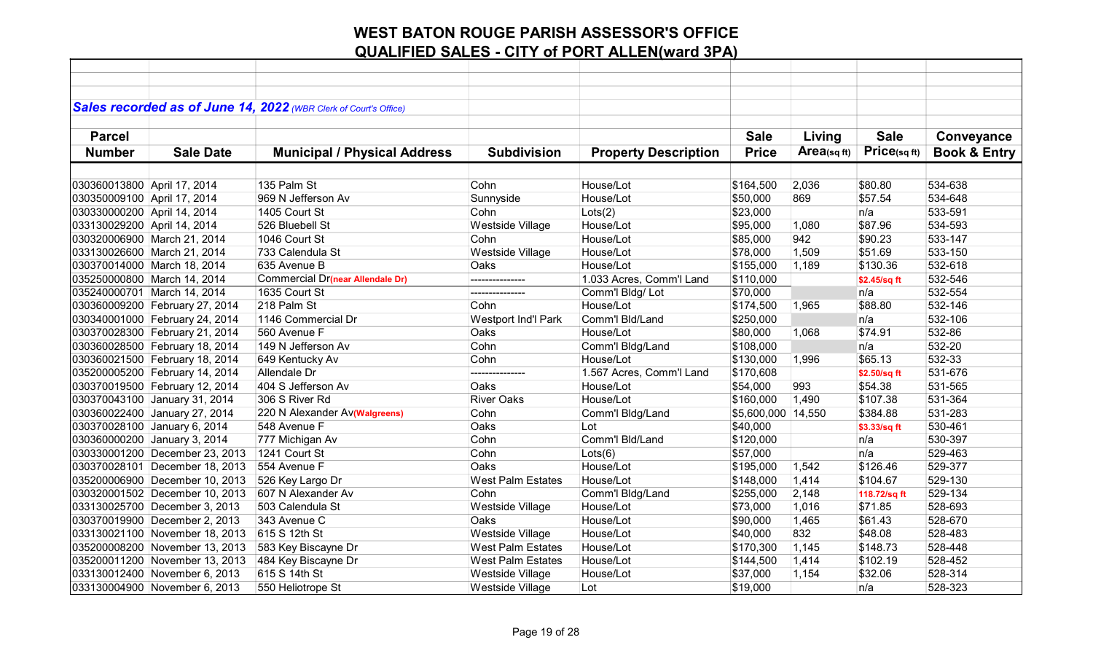|                             |                                | Sales recorded as of June 14, 2022 (WBR Clerk of Court's Office) |                          |                             |                    |            |              |                         |
|-----------------------------|--------------------------------|------------------------------------------------------------------|--------------------------|-----------------------------|--------------------|------------|--------------|-------------------------|
|                             |                                |                                                                  |                          |                             |                    |            |              |                         |
| <b>Parcel</b>               |                                |                                                                  |                          |                             | <b>Sale</b>        | Living     | <b>Sale</b>  | Conveyance              |
| <b>Number</b>               | <b>Sale Date</b>               | <b>Municipal / Physical Address</b>                              | <b>Subdivision</b>       | <b>Property Description</b> | <b>Price</b>       | Area(sqft) | Price(sqft)  | <b>Book &amp; Entry</b> |
|                             |                                |                                                                  |                          |                             |                    |            |              |                         |
| 030360013800 April 17, 2014 |                                | 135 Palm St                                                      | Cohn                     | House/Lot                   | \$164,500          | 2,036      | \$80.80      | 534-638                 |
| 030350009100 April 17, 2014 |                                | 969 N Jefferson Av                                               | Sunnyside                | House/Lot                   | \$50,000           | 869        | \$57.54      | 534-648                 |
| 030330000200 April 14, 2014 |                                | 1405 Court St                                                    | Cohn                     | Lots(2)                     | \$23,000           |            | n/a          | 533-591                 |
| 033130029200 April 14, 2014 |                                | 526 Bluebell St                                                  | <b>Westside Village</b>  | House/Lot                   | \$95,000           | 1,080      | \$87.96      | 534-593                 |
|                             | 030320006900 March 21, 2014    | 1046 Court St                                                    | Cohn                     | House/Lot                   | \$85,000           | 942        | \$90.23      | 533-147                 |
|                             | 033130026600 March 21, 2014    | 733 Calendula St                                                 | Westside Village         | House/Lot                   | \$78,000           | 1,509      | \$51.69      | 533-150                 |
|                             | 030370014000 March 18, 2014    | 635 Avenue B                                                     | Oaks                     | House/Lot                   | \$155,000          | 1,189      | \$130.36     | 532-618                 |
|                             | 035250000800 March 14, 2014    | Commercial Dr(near Allendale Dr)                                 |                          | 1.033 Acres, Comm'l Land    | \$110,000          |            | \$2.45/sq ft | 532-546                 |
|                             | 035240000701 March 14, 2014    | 1635 Court St                                                    | ---------------          | Comm'l Bldg/Lot             | \$70,000           |            | n/a          | 532-554                 |
|                             | 030360009200 February 27, 2014 | 218 Palm St                                                      | Cohn                     | House/Lot                   | \$174,500          | 1,965      | \$88.80      | 532-146                 |
|                             | 030340001000 February 24, 2014 | 1146 Commercial Dr                                               | Westport Ind'l Park      | Comm'l Bld/Land             | \$250,000          |            | n/a          | 532-106                 |
|                             | 030370028300 February 21, 2014 | 560 Avenue F                                                     | Oaks                     | House/Lot                   | \$80,000           | 1,068      | \$74.91      | 532-86                  |
|                             | 030360028500 February 18, 2014 | 149 N Jefferson Av                                               | Cohn                     | Comm'l Bldg/Land            | \$108,000          |            | n/a          | 532-20                  |
|                             | 030360021500 February 18, 2014 | 649 Kentucky Av                                                  | Cohn                     | House/Lot                   | \$130,000          | 1,996      | \$65.13      | 532-33                  |
|                             | 035200005200 February 14, 2014 | Allendale Dr                                                     | ---------------          | 1.567 Acres, Comm'l Land    | \$170,608          |            | \$2.50/sq ft | 531-676                 |
|                             | 030370019500 February 12, 2014 | 404 S Jefferson Av                                               | Oaks                     | House/Lot                   | \$54,000           | 993        | \$54.38      | 531-565                 |
|                             | 030370043100 January 31, 2014  | 306 S River Rd                                                   | <b>River Oaks</b>        | House/Lot                   | \$160,000          | 1,490      | \$107.38     | 531-364                 |
|                             | 030360022400 January 27, 2014  | 220 N Alexander Av(Walgreens)                                    | Cohn                     | Comm'l Bldg/Land            | \$5,600,000 14,550 |            | \$384.88     | 531-283                 |
|                             | 030370028100 January 6, 2014   | 548 Avenue F                                                     | Oaks                     | Lot                         | \$40,000           |            | \$3.33/sq ft | 530-461                 |
|                             | 030360000200 January 3, 2014   | 777 Michigan Av                                                  | Cohn                     | Comm'l Bld/Land             | \$120,000          |            | n/a          | 530-397                 |
|                             | 030330001200 December 23, 2013 | 1241 Court St                                                    | Cohn                     | Lots(6)                     | \$57,000           |            | n/a          | 529-463                 |
|                             | 030370028101 December 18, 2013 | 554 Avenue F                                                     | Oaks                     | House/Lot                   | \$195,000          | 1,542      | \$126.46     | 529-377                 |
|                             | 035200006900 December 10, 2013 | 526 Key Largo Dr                                                 | <b>West Palm Estates</b> | House/Lot                   | \$148,000          | 1,414      | \$104.67     | 529-130                 |
|                             | 030320001502 December 10, 2013 | 607 N Alexander Av                                               | Cohn                     | Comm'l Bldg/Land            | \$255,000          | 2,148      | 118.72/sq ft | 529-134                 |
|                             | 033130025700 December 3, 2013  | 503 Calendula St                                                 | Westside Village         | House/Lot                   | \$73,000           | 1,016      | \$71.85      | 528-693                 |
|                             | 030370019900 December 2, 2013  | 343 Avenue C                                                     | Oaks                     | House/Lot                   | \$90,000           | 1,465      | \$61.43      | 528-670                 |
|                             | 033130021100 November 18, 2013 | 615 S 12th St                                                    | <b>Westside Village</b>  | House/Lot                   | \$40,000           | 832        | \$48.08      | 528-483                 |
|                             | 035200008200 November 13, 2013 | 583 Key Biscayne Dr                                              | <b>West Palm Estates</b> | House/Lot                   | \$170,300          | 1,145      | \$148.73     | 528-448                 |
|                             | 035200011200 November 13, 2013 | 484 Key Biscayne Dr                                              | <b>West Palm Estates</b> | House/Lot                   | \$144,500          | 1,414      | \$102.19     | 528-452                 |
|                             | 033130012400 November 6, 2013  | 615 S 14th St                                                    | Westside Village         | House/Lot                   | \$37,000           | 1,154      | \$32.06      | 528-314                 |
|                             | 033130004900 November 6, 2013  | 550 Heliotrope St                                                | Westside Village         | Lot                         | \$19,000           |            | ∣n/a         | 528-323                 |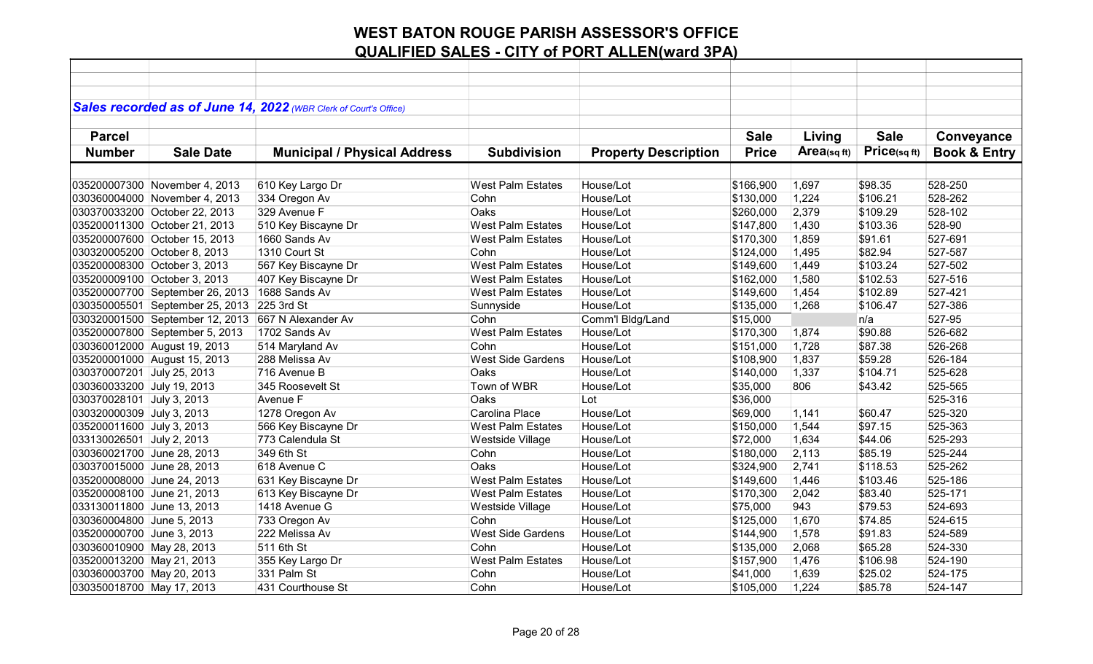| Sales recorded as of June 14, 2022 (WBR Clerk of Court's Office)<br><b>Sale</b><br><b>Parcel</b><br><b>Sale</b><br>Living<br>Conveyance<br>Price(sqft)<br>Area(sqft)<br><b>Sale Date</b><br><b>Price</b><br><b>Book &amp; Entry</b><br><b>Number</b><br><b>Municipal / Physical Address</b><br><b>Subdivision</b><br><b>Property Description</b><br>610 Key Largo Dr<br>House/Lot<br>\$98.35<br>528-250<br>035200007300 November 4, 2013<br><b>West Palm Estates</b><br>\$166,900<br>1,697<br>334 Oregon Av<br>House/Lot<br>1,224<br>\$106.21<br>528-262<br>030360004000 November 4, 2013<br>Cohn<br>\$130,000<br>329 Avenue F<br>\$109.29<br>528-102<br>030370033200 October 22, 2013<br>Oaks<br>House/Lot<br>\$260,000<br>2,379<br>528-90<br>035200011300 October 21, 2013<br>510 Key Biscayne Dr<br><b>West Palm Estates</b><br>House/Lot<br>\$147,800<br>1,430<br>\$103.36<br>035200007600 October 15, 2013<br>1660 Sands Av<br>House/Lot<br>1,859<br>\$91.61<br>527-691<br><b>West Palm Estates</b><br>\$170,300<br>1310 Court St<br>House/Lot<br>1,495<br>527-587<br>030320005200 October 8, 2013<br>Cohn<br>\$124,000<br>\$82.94<br><b>West Palm Estates</b><br>House/Lot<br>1,449<br>\$103.24<br>527-502<br>035200008300 October 3, 2013<br>567 Key Biscayne Dr<br>\$149,600<br>407 Key Biscayne Dr<br>1,580<br>035200009100 October 3, 2013<br><b>West Palm Estates</b><br>House/Lot<br>\$162,000<br>\$102.53<br>527-516<br>1688 Sands Av<br>1,454<br>\$102.89<br>527-421<br>035200007700 September 26, 2013<br><b>West Palm Estates</b><br>House/Lot<br>\$149,600<br>225 3rd St<br>House/Lot<br>1,268<br>\$106.47<br>527-386<br>030350005501 September 25, 2013<br>Sunnyside<br>\$135,000<br>527-95<br>030320001500 September 12, 2013<br>667 N Alexander Av<br>Cohn<br>Comm'l Bldg/Land<br>n/a<br>\$15,000<br>1702 Sands Av<br><b>West Palm Estates</b><br>\$90.88<br>526-682<br>035200007800 September 5, 2013<br>House/Lot<br>\$170,300<br>1,874<br>526-268<br>514 Maryland Av<br>House/Lot<br>1,728<br>\$87.38<br>030360012000 August 19, 2013<br>Cohn<br>\$151,000<br><b>West Side Gardens</b><br>1,837<br>\$59.28<br>526-184<br>035200001000 August 15, 2013<br>288 Melissa Av<br>House/Lot<br>\$108,900<br>716 Avenue B<br>House/Lot<br>525-628<br>030370007201 July 25, 2013<br>Oaks<br>1,337<br>\$104.71<br>\$140,000<br>345 Roosevelt St<br>Town of WBR<br>806<br>030360033200 July 19, 2013<br>House/Lot<br>\$35,000<br>\$43.42<br>525-565<br>Lot<br>525-316<br>030370028101 July 3, 2013<br>Avenue F<br>Oaks<br>\$36,000<br>Carolina Place<br>House/Lot<br>525-320<br>030320000309 July 3, 2013<br>1278 Oregon Av<br>\$69,000<br>1,141<br>\$60.47<br>525-363<br>035200011600 July 3, 2013<br>566 Key Biscayne Dr<br>House/Lot<br>1,544<br>\$97.15<br><b>West Palm Estates</b><br>\$150,000<br>033130026501 July 2, 2013<br>773 Calendula St<br>House/Lot<br>1,634<br>\$44.06<br>525-293<br>Westside Village<br>\$72,000<br>525-244<br>349 6th St<br>House/Lot<br>2,113<br>\$85.19<br>030360021700 June 28, 2013<br>Cohn<br>\$180,000<br>525-262<br>030370015000 June 28, 2013<br>618 Avenue C<br>Oaks<br>House/Lot<br>\$324,900<br>2,741<br>\$118.53<br>631 Key Biscayne Dr<br>035200008000 June 24, 2013<br><b>West Palm Estates</b><br>House/Lot<br>1,446<br>\$103.46<br>525-186<br>\$149,600<br>613 Key Biscayne Dr<br>House/Lot<br>2,042<br>525-171<br>035200008100 June 21, 2013<br><b>West Palm Estates</b><br>\$170,300<br>\$83.40<br>1418 Avenue G<br>House/Lot<br>943<br>\$79.53<br>524-693<br>033130011800 June 13, 2013<br>Westside Village<br>\$75,000<br>House/Lot<br>1,670<br>\$74.85<br>524-615<br>030360004800 June 5, 2013<br>733 Oregon Av<br>Cohn<br>\$125,000<br>\$91.83<br>524-589<br>035200000700 June 3, 2013<br>222 Melissa Av<br><b>West Side Gardens</b><br>House/Lot<br>1,578<br>\$144,900<br>030360010900 May 28, 2013<br>511 6th St<br>Cohn<br>House/Lot<br>2,068<br>\$65.28<br>524-330<br>\$135,000<br>035200013200 May 21, 2013<br><b>West Palm Estates</b><br>\$106.98<br>524-190<br>355 Key Largo Dr<br>House/Lot<br>\$157,900<br>1,476<br>331 Palm St<br>030360003700 May 20, 2013<br>Cohn<br>House/Lot<br>\$41,000<br>1,639<br>\$25.02<br>524-175<br>030350018700 May 17, 2013 |  |                   |      |           |           |       |         |         |
|-----------------------------------------------------------------------------------------------------------------------------------------------------------------------------------------------------------------------------------------------------------------------------------------------------------------------------------------------------------------------------------------------------------------------------------------------------------------------------------------------------------------------------------------------------------------------------------------------------------------------------------------------------------------------------------------------------------------------------------------------------------------------------------------------------------------------------------------------------------------------------------------------------------------------------------------------------------------------------------------------------------------------------------------------------------------------------------------------------------------------------------------------------------------------------------------------------------------------------------------------------------------------------------------------------------------------------------------------------------------------------------------------------------------------------------------------------------------------------------------------------------------------------------------------------------------------------------------------------------------------------------------------------------------------------------------------------------------------------------------------------------------------------------------------------------------------------------------------------------------------------------------------------------------------------------------------------------------------------------------------------------------------------------------------------------------------------------------------------------------------------------------------------------------------------------------------------------------------------------------------------------------------------------------------------------------------------------------------------------------------------------------------------------------------------------------------------------------------------------------------------------------------------------------------------------------------------------------------------------------------------------------------------------------------------------------------------------------------------------------------------------------------------------------------------------------------------------------------------------------------------------------------------------------------------------------------------------------------------------------------------------------------------------------------------------------------------------------------------------------------------------------------------------------------------------------------------------------------------------------------------------------------------------------------------------------------------------------------------------------------------------------------------------------------------------------------------------------------------------------------------------------------------------------------------------------------------------------------------------------------------------------------------------------------------------------------------------------------------------------------------------------------------------------------------------------------------------------------------------------------------------------------------------------------------------------------------------------------------------------------------------------------------------------------------------------------------------------------------------------------------------------------------------------------------------------------------------------------------------------|--|-------------------|------|-----------|-----------|-------|---------|---------|
|                                                                                                                                                                                                                                                                                                                                                                                                                                                                                                                                                                                                                                                                                                                                                                                                                                                                                                                                                                                                                                                                                                                                                                                                                                                                                                                                                                                                                                                                                                                                                                                                                                                                                                                                                                                                                                                                                                                                                                                                                                                                                                                                                                                                                                                                                                                                                                                                                                                                                                                                                                                                                                                                                                                                                                                                                                                                                                                                                                                                                                                                                                                                                                                                                                                                                                                                                                                                                                                                                                                                                                                                                                                                                                                                                                                                                                                                                                                                                                                                                                                                                                                                                                                                                                         |  |                   |      |           |           |       |         |         |
|                                                                                                                                                                                                                                                                                                                                                                                                                                                                                                                                                                                                                                                                                                                                                                                                                                                                                                                                                                                                                                                                                                                                                                                                                                                                                                                                                                                                                                                                                                                                                                                                                                                                                                                                                                                                                                                                                                                                                                                                                                                                                                                                                                                                                                                                                                                                                                                                                                                                                                                                                                                                                                                                                                                                                                                                                                                                                                                                                                                                                                                                                                                                                                                                                                                                                                                                                                                                                                                                                                                                                                                                                                                                                                                                                                                                                                                                                                                                                                                                                                                                                                                                                                                                                                         |  |                   |      |           |           |       |         |         |
|                                                                                                                                                                                                                                                                                                                                                                                                                                                                                                                                                                                                                                                                                                                                                                                                                                                                                                                                                                                                                                                                                                                                                                                                                                                                                                                                                                                                                                                                                                                                                                                                                                                                                                                                                                                                                                                                                                                                                                                                                                                                                                                                                                                                                                                                                                                                                                                                                                                                                                                                                                                                                                                                                                                                                                                                                                                                                                                                                                                                                                                                                                                                                                                                                                                                                                                                                                                                                                                                                                                                                                                                                                                                                                                                                                                                                                                                                                                                                                                                                                                                                                                                                                                                                                         |  |                   |      |           |           |       |         |         |
|                                                                                                                                                                                                                                                                                                                                                                                                                                                                                                                                                                                                                                                                                                                                                                                                                                                                                                                                                                                                                                                                                                                                                                                                                                                                                                                                                                                                                                                                                                                                                                                                                                                                                                                                                                                                                                                                                                                                                                                                                                                                                                                                                                                                                                                                                                                                                                                                                                                                                                                                                                                                                                                                                                                                                                                                                                                                                                                                                                                                                                                                                                                                                                                                                                                                                                                                                                                                                                                                                                                                                                                                                                                                                                                                                                                                                                                                                                                                                                                                                                                                                                                                                                                                                                         |  |                   |      |           |           |       |         |         |
|                                                                                                                                                                                                                                                                                                                                                                                                                                                                                                                                                                                                                                                                                                                                                                                                                                                                                                                                                                                                                                                                                                                                                                                                                                                                                                                                                                                                                                                                                                                                                                                                                                                                                                                                                                                                                                                                                                                                                                                                                                                                                                                                                                                                                                                                                                                                                                                                                                                                                                                                                                                                                                                                                                                                                                                                                                                                                                                                                                                                                                                                                                                                                                                                                                                                                                                                                                                                                                                                                                                                                                                                                                                                                                                                                                                                                                                                                                                                                                                                                                                                                                                                                                                                                                         |  |                   |      |           |           |       |         |         |
|                                                                                                                                                                                                                                                                                                                                                                                                                                                                                                                                                                                                                                                                                                                                                                                                                                                                                                                                                                                                                                                                                                                                                                                                                                                                                                                                                                                                                                                                                                                                                                                                                                                                                                                                                                                                                                                                                                                                                                                                                                                                                                                                                                                                                                                                                                                                                                                                                                                                                                                                                                                                                                                                                                                                                                                                                                                                                                                                                                                                                                                                                                                                                                                                                                                                                                                                                                                                                                                                                                                                                                                                                                                                                                                                                                                                                                                                                                                                                                                                                                                                                                                                                                                                                                         |  |                   |      |           |           |       |         |         |
|                                                                                                                                                                                                                                                                                                                                                                                                                                                                                                                                                                                                                                                                                                                                                                                                                                                                                                                                                                                                                                                                                                                                                                                                                                                                                                                                                                                                                                                                                                                                                                                                                                                                                                                                                                                                                                                                                                                                                                                                                                                                                                                                                                                                                                                                                                                                                                                                                                                                                                                                                                                                                                                                                                                                                                                                                                                                                                                                                                                                                                                                                                                                                                                                                                                                                                                                                                                                                                                                                                                                                                                                                                                                                                                                                                                                                                                                                                                                                                                                                                                                                                                                                                                                                                         |  |                   |      |           |           |       |         |         |
|                                                                                                                                                                                                                                                                                                                                                                                                                                                                                                                                                                                                                                                                                                                                                                                                                                                                                                                                                                                                                                                                                                                                                                                                                                                                                                                                                                                                                                                                                                                                                                                                                                                                                                                                                                                                                                                                                                                                                                                                                                                                                                                                                                                                                                                                                                                                                                                                                                                                                                                                                                                                                                                                                                                                                                                                                                                                                                                                                                                                                                                                                                                                                                                                                                                                                                                                                                                                                                                                                                                                                                                                                                                                                                                                                                                                                                                                                                                                                                                                                                                                                                                                                                                                                                         |  |                   |      |           |           |       |         |         |
|                                                                                                                                                                                                                                                                                                                                                                                                                                                                                                                                                                                                                                                                                                                                                                                                                                                                                                                                                                                                                                                                                                                                                                                                                                                                                                                                                                                                                                                                                                                                                                                                                                                                                                                                                                                                                                                                                                                                                                                                                                                                                                                                                                                                                                                                                                                                                                                                                                                                                                                                                                                                                                                                                                                                                                                                                                                                                                                                                                                                                                                                                                                                                                                                                                                                                                                                                                                                                                                                                                                                                                                                                                                                                                                                                                                                                                                                                                                                                                                                                                                                                                                                                                                                                                         |  |                   |      |           |           |       |         |         |
|                                                                                                                                                                                                                                                                                                                                                                                                                                                                                                                                                                                                                                                                                                                                                                                                                                                                                                                                                                                                                                                                                                                                                                                                                                                                                                                                                                                                                                                                                                                                                                                                                                                                                                                                                                                                                                                                                                                                                                                                                                                                                                                                                                                                                                                                                                                                                                                                                                                                                                                                                                                                                                                                                                                                                                                                                                                                                                                                                                                                                                                                                                                                                                                                                                                                                                                                                                                                                                                                                                                                                                                                                                                                                                                                                                                                                                                                                                                                                                                                                                                                                                                                                                                                                                         |  |                   |      |           |           |       |         |         |
|                                                                                                                                                                                                                                                                                                                                                                                                                                                                                                                                                                                                                                                                                                                                                                                                                                                                                                                                                                                                                                                                                                                                                                                                                                                                                                                                                                                                                                                                                                                                                                                                                                                                                                                                                                                                                                                                                                                                                                                                                                                                                                                                                                                                                                                                                                                                                                                                                                                                                                                                                                                                                                                                                                                                                                                                                                                                                                                                                                                                                                                                                                                                                                                                                                                                                                                                                                                                                                                                                                                                                                                                                                                                                                                                                                                                                                                                                                                                                                                                                                                                                                                                                                                                                                         |  |                   |      |           |           |       |         |         |
|                                                                                                                                                                                                                                                                                                                                                                                                                                                                                                                                                                                                                                                                                                                                                                                                                                                                                                                                                                                                                                                                                                                                                                                                                                                                                                                                                                                                                                                                                                                                                                                                                                                                                                                                                                                                                                                                                                                                                                                                                                                                                                                                                                                                                                                                                                                                                                                                                                                                                                                                                                                                                                                                                                                                                                                                                                                                                                                                                                                                                                                                                                                                                                                                                                                                                                                                                                                                                                                                                                                                                                                                                                                                                                                                                                                                                                                                                                                                                                                                                                                                                                                                                                                                                                         |  |                   |      |           |           |       |         |         |
|                                                                                                                                                                                                                                                                                                                                                                                                                                                                                                                                                                                                                                                                                                                                                                                                                                                                                                                                                                                                                                                                                                                                                                                                                                                                                                                                                                                                                                                                                                                                                                                                                                                                                                                                                                                                                                                                                                                                                                                                                                                                                                                                                                                                                                                                                                                                                                                                                                                                                                                                                                                                                                                                                                                                                                                                                                                                                                                                                                                                                                                                                                                                                                                                                                                                                                                                                                                                                                                                                                                                                                                                                                                                                                                                                                                                                                                                                                                                                                                                                                                                                                                                                                                                                                         |  |                   |      |           |           |       |         |         |
|                                                                                                                                                                                                                                                                                                                                                                                                                                                                                                                                                                                                                                                                                                                                                                                                                                                                                                                                                                                                                                                                                                                                                                                                                                                                                                                                                                                                                                                                                                                                                                                                                                                                                                                                                                                                                                                                                                                                                                                                                                                                                                                                                                                                                                                                                                                                                                                                                                                                                                                                                                                                                                                                                                                                                                                                                                                                                                                                                                                                                                                                                                                                                                                                                                                                                                                                                                                                                                                                                                                                                                                                                                                                                                                                                                                                                                                                                                                                                                                                                                                                                                                                                                                                                                         |  |                   |      |           |           |       |         |         |
|                                                                                                                                                                                                                                                                                                                                                                                                                                                                                                                                                                                                                                                                                                                                                                                                                                                                                                                                                                                                                                                                                                                                                                                                                                                                                                                                                                                                                                                                                                                                                                                                                                                                                                                                                                                                                                                                                                                                                                                                                                                                                                                                                                                                                                                                                                                                                                                                                                                                                                                                                                                                                                                                                                                                                                                                                                                                                                                                                                                                                                                                                                                                                                                                                                                                                                                                                                                                                                                                                                                                                                                                                                                                                                                                                                                                                                                                                                                                                                                                                                                                                                                                                                                                                                         |  |                   |      |           |           |       |         |         |
|                                                                                                                                                                                                                                                                                                                                                                                                                                                                                                                                                                                                                                                                                                                                                                                                                                                                                                                                                                                                                                                                                                                                                                                                                                                                                                                                                                                                                                                                                                                                                                                                                                                                                                                                                                                                                                                                                                                                                                                                                                                                                                                                                                                                                                                                                                                                                                                                                                                                                                                                                                                                                                                                                                                                                                                                                                                                                                                                                                                                                                                                                                                                                                                                                                                                                                                                                                                                                                                                                                                                                                                                                                                                                                                                                                                                                                                                                                                                                                                                                                                                                                                                                                                                                                         |  |                   |      |           |           |       |         |         |
|                                                                                                                                                                                                                                                                                                                                                                                                                                                                                                                                                                                                                                                                                                                                                                                                                                                                                                                                                                                                                                                                                                                                                                                                                                                                                                                                                                                                                                                                                                                                                                                                                                                                                                                                                                                                                                                                                                                                                                                                                                                                                                                                                                                                                                                                                                                                                                                                                                                                                                                                                                                                                                                                                                                                                                                                                                                                                                                                                                                                                                                                                                                                                                                                                                                                                                                                                                                                                                                                                                                                                                                                                                                                                                                                                                                                                                                                                                                                                                                                                                                                                                                                                                                                                                         |  |                   |      |           |           |       |         |         |
|                                                                                                                                                                                                                                                                                                                                                                                                                                                                                                                                                                                                                                                                                                                                                                                                                                                                                                                                                                                                                                                                                                                                                                                                                                                                                                                                                                                                                                                                                                                                                                                                                                                                                                                                                                                                                                                                                                                                                                                                                                                                                                                                                                                                                                                                                                                                                                                                                                                                                                                                                                                                                                                                                                                                                                                                                                                                                                                                                                                                                                                                                                                                                                                                                                                                                                                                                                                                                                                                                                                                                                                                                                                                                                                                                                                                                                                                                                                                                                                                                                                                                                                                                                                                                                         |  |                   |      |           |           |       |         |         |
|                                                                                                                                                                                                                                                                                                                                                                                                                                                                                                                                                                                                                                                                                                                                                                                                                                                                                                                                                                                                                                                                                                                                                                                                                                                                                                                                                                                                                                                                                                                                                                                                                                                                                                                                                                                                                                                                                                                                                                                                                                                                                                                                                                                                                                                                                                                                                                                                                                                                                                                                                                                                                                                                                                                                                                                                                                                                                                                                                                                                                                                                                                                                                                                                                                                                                                                                                                                                                                                                                                                                                                                                                                                                                                                                                                                                                                                                                                                                                                                                                                                                                                                                                                                                                                         |  |                   |      |           |           |       |         |         |
|                                                                                                                                                                                                                                                                                                                                                                                                                                                                                                                                                                                                                                                                                                                                                                                                                                                                                                                                                                                                                                                                                                                                                                                                                                                                                                                                                                                                                                                                                                                                                                                                                                                                                                                                                                                                                                                                                                                                                                                                                                                                                                                                                                                                                                                                                                                                                                                                                                                                                                                                                                                                                                                                                                                                                                                                                                                                                                                                                                                                                                                                                                                                                                                                                                                                                                                                                                                                                                                                                                                                                                                                                                                                                                                                                                                                                                                                                                                                                                                                                                                                                                                                                                                                                                         |  |                   |      |           |           |       |         |         |
|                                                                                                                                                                                                                                                                                                                                                                                                                                                                                                                                                                                                                                                                                                                                                                                                                                                                                                                                                                                                                                                                                                                                                                                                                                                                                                                                                                                                                                                                                                                                                                                                                                                                                                                                                                                                                                                                                                                                                                                                                                                                                                                                                                                                                                                                                                                                                                                                                                                                                                                                                                                                                                                                                                                                                                                                                                                                                                                                                                                                                                                                                                                                                                                                                                                                                                                                                                                                                                                                                                                                                                                                                                                                                                                                                                                                                                                                                                                                                                                                                                                                                                                                                                                                                                         |  |                   |      |           |           |       |         |         |
|                                                                                                                                                                                                                                                                                                                                                                                                                                                                                                                                                                                                                                                                                                                                                                                                                                                                                                                                                                                                                                                                                                                                                                                                                                                                                                                                                                                                                                                                                                                                                                                                                                                                                                                                                                                                                                                                                                                                                                                                                                                                                                                                                                                                                                                                                                                                                                                                                                                                                                                                                                                                                                                                                                                                                                                                                                                                                                                                                                                                                                                                                                                                                                                                                                                                                                                                                                                                                                                                                                                                                                                                                                                                                                                                                                                                                                                                                                                                                                                                                                                                                                                                                                                                                                         |  |                   |      |           |           |       |         |         |
|                                                                                                                                                                                                                                                                                                                                                                                                                                                                                                                                                                                                                                                                                                                                                                                                                                                                                                                                                                                                                                                                                                                                                                                                                                                                                                                                                                                                                                                                                                                                                                                                                                                                                                                                                                                                                                                                                                                                                                                                                                                                                                                                                                                                                                                                                                                                                                                                                                                                                                                                                                                                                                                                                                                                                                                                                                                                                                                                                                                                                                                                                                                                                                                                                                                                                                                                                                                                                                                                                                                                                                                                                                                                                                                                                                                                                                                                                                                                                                                                                                                                                                                                                                                                                                         |  |                   |      |           |           |       |         |         |
|                                                                                                                                                                                                                                                                                                                                                                                                                                                                                                                                                                                                                                                                                                                                                                                                                                                                                                                                                                                                                                                                                                                                                                                                                                                                                                                                                                                                                                                                                                                                                                                                                                                                                                                                                                                                                                                                                                                                                                                                                                                                                                                                                                                                                                                                                                                                                                                                                                                                                                                                                                                                                                                                                                                                                                                                                                                                                                                                                                                                                                                                                                                                                                                                                                                                                                                                                                                                                                                                                                                                                                                                                                                                                                                                                                                                                                                                                                                                                                                                                                                                                                                                                                                                                                         |  |                   |      |           |           |       |         |         |
|                                                                                                                                                                                                                                                                                                                                                                                                                                                                                                                                                                                                                                                                                                                                                                                                                                                                                                                                                                                                                                                                                                                                                                                                                                                                                                                                                                                                                                                                                                                                                                                                                                                                                                                                                                                                                                                                                                                                                                                                                                                                                                                                                                                                                                                                                                                                                                                                                                                                                                                                                                                                                                                                                                                                                                                                                                                                                                                                                                                                                                                                                                                                                                                                                                                                                                                                                                                                                                                                                                                                                                                                                                                                                                                                                                                                                                                                                                                                                                                                                                                                                                                                                                                                                                         |  |                   |      |           |           |       |         |         |
|                                                                                                                                                                                                                                                                                                                                                                                                                                                                                                                                                                                                                                                                                                                                                                                                                                                                                                                                                                                                                                                                                                                                                                                                                                                                                                                                                                                                                                                                                                                                                                                                                                                                                                                                                                                                                                                                                                                                                                                                                                                                                                                                                                                                                                                                                                                                                                                                                                                                                                                                                                                                                                                                                                                                                                                                                                                                                                                                                                                                                                                                                                                                                                                                                                                                                                                                                                                                                                                                                                                                                                                                                                                                                                                                                                                                                                                                                                                                                                                                                                                                                                                                                                                                                                         |  |                   |      |           |           |       |         |         |
|                                                                                                                                                                                                                                                                                                                                                                                                                                                                                                                                                                                                                                                                                                                                                                                                                                                                                                                                                                                                                                                                                                                                                                                                                                                                                                                                                                                                                                                                                                                                                                                                                                                                                                                                                                                                                                                                                                                                                                                                                                                                                                                                                                                                                                                                                                                                                                                                                                                                                                                                                                                                                                                                                                                                                                                                                                                                                                                                                                                                                                                                                                                                                                                                                                                                                                                                                                                                                                                                                                                                                                                                                                                                                                                                                                                                                                                                                                                                                                                                                                                                                                                                                                                                                                         |  |                   |      |           |           |       |         |         |
|                                                                                                                                                                                                                                                                                                                                                                                                                                                                                                                                                                                                                                                                                                                                                                                                                                                                                                                                                                                                                                                                                                                                                                                                                                                                                                                                                                                                                                                                                                                                                                                                                                                                                                                                                                                                                                                                                                                                                                                                                                                                                                                                                                                                                                                                                                                                                                                                                                                                                                                                                                                                                                                                                                                                                                                                                                                                                                                                                                                                                                                                                                                                                                                                                                                                                                                                                                                                                                                                                                                                                                                                                                                                                                                                                                                                                                                                                                                                                                                                                                                                                                                                                                                                                                         |  |                   |      |           |           |       |         |         |
|                                                                                                                                                                                                                                                                                                                                                                                                                                                                                                                                                                                                                                                                                                                                                                                                                                                                                                                                                                                                                                                                                                                                                                                                                                                                                                                                                                                                                                                                                                                                                                                                                                                                                                                                                                                                                                                                                                                                                                                                                                                                                                                                                                                                                                                                                                                                                                                                                                                                                                                                                                                                                                                                                                                                                                                                                                                                                                                                                                                                                                                                                                                                                                                                                                                                                                                                                                                                                                                                                                                                                                                                                                                                                                                                                                                                                                                                                                                                                                                                                                                                                                                                                                                                                                         |  |                   |      |           |           |       |         |         |
|                                                                                                                                                                                                                                                                                                                                                                                                                                                                                                                                                                                                                                                                                                                                                                                                                                                                                                                                                                                                                                                                                                                                                                                                                                                                                                                                                                                                                                                                                                                                                                                                                                                                                                                                                                                                                                                                                                                                                                                                                                                                                                                                                                                                                                                                                                                                                                                                                                                                                                                                                                                                                                                                                                                                                                                                                                                                                                                                                                                                                                                                                                                                                                                                                                                                                                                                                                                                                                                                                                                                                                                                                                                                                                                                                                                                                                                                                                                                                                                                                                                                                                                                                                                                                                         |  |                   |      |           |           |       |         |         |
|                                                                                                                                                                                                                                                                                                                                                                                                                                                                                                                                                                                                                                                                                                                                                                                                                                                                                                                                                                                                                                                                                                                                                                                                                                                                                                                                                                                                                                                                                                                                                                                                                                                                                                                                                                                                                                                                                                                                                                                                                                                                                                                                                                                                                                                                                                                                                                                                                                                                                                                                                                                                                                                                                                                                                                                                                                                                                                                                                                                                                                                                                                                                                                                                                                                                                                                                                                                                                                                                                                                                                                                                                                                                                                                                                                                                                                                                                                                                                                                                                                                                                                                                                                                                                                         |  |                   |      |           |           |       |         |         |
|                                                                                                                                                                                                                                                                                                                                                                                                                                                                                                                                                                                                                                                                                                                                                                                                                                                                                                                                                                                                                                                                                                                                                                                                                                                                                                                                                                                                                                                                                                                                                                                                                                                                                                                                                                                                                                                                                                                                                                                                                                                                                                                                                                                                                                                                                                                                                                                                                                                                                                                                                                                                                                                                                                                                                                                                                                                                                                                                                                                                                                                                                                                                                                                                                                                                                                                                                                                                                                                                                                                                                                                                                                                                                                                                                                                                                                                                                                                                                                                                                                                                                                                                                                                                                                         |  |                   |      |           |           |       |         |         |
|                                                                                                                                                                                                                                                                                                                                                                                                                                                                                                                                                                                                                                                                                                                                                                                                                                                                                                                                                                                                                                                                                                                                                                                                                                                                                                                                                                                                                                                                                                                                                                                                                                                                                                                                                                                                                                                                                                                                                                                                                                                                                                                                                                                                                                                                                                                                                                                                                                                                                                                                                                                                                                                                                                                                                                                                                                                                                                                                                                                                                                                                                                                                                                                                                                                                                                                                                                                                                                                                                                                                                                                                                                                                                                                                                                                                                                                                                                                                                                                                                                                                                                                                                                                                                                         |  |                   |      |           |           |       |         |         |
|                                                                                                                                                                                                                                                                                                                                                                                                                                                                                                                                                                                                                                                                                                                                                                                                                                                                                                                                                                                                                                                                                                                                                                                                                                                                                                                                                                                                                                                                                                                                                                                                                                                                                                                                                                                                                                                                                                                                                                                                                                                                                                                                                                                                                                                                                                                                                                                                                                                                                                                                                                                                                                                                                                                                                                                                                                                                                                                                                                                                                                                                                                                                                                                                                                                                                                                                                                                                                                                                                                                                                                                                                                                                                                                                                                                                                                                                                                                                                                                                                                                                                                                                                                                                                                         |  |                   |      |           |           |       |         |         |
|                                                                                                                                                                                                                                                                                                                                                                                                                                                                                                                                                                                                                                                                                                                                                                                                                                                                                                                                                                                                                                                                                                                                                                                                                                                                                                                                                                                                                                                                                                                                                                                                                                                                                                                                                                                                                                                                                                                                                                                                                                                                                                                                                                                                                                                                                                                                                                                                                                                                                                                                                                                                                                                                                                                                                                                                                                                                                                                                                                                                                                                                                                                                                                                                                                                                                                                                                                                                                                                                                                                                                                                                                                                                                                                                                                                                                                                                                                                                                                                                                                                                                                                                                                                                                                         |  |                   |      |           |           |       |         |         |
|                                                                                                                                                                                                                                                                                                                                                                                                                                                                                                                                                                                                                                                                                                                                                                                                                                                                                                                                                                                                                                                                                                                                                                                                                                                                                                                                                                                                                                                                                                                                                                                                                                                                                                                                                                                                                                                                                                                                                                                                                                                                                                                                                                                                                                                                                                                                                                                                                                                                                                                                                                                                                                                                                                                                                                                                                                                                                                                                                                                                                                                                                                                                                                                                                                                                                                                                                                                                                                                                                                                                                                                                                                                                                                                                                                                                                                                                                                                                                                                                                                                                                                                                                                                                                                         |  |                   |      |           |           |       |         |         |
|                                                                                                                                                                                                                                                                                                                                                                                                                                                                                                                                                                                                                                                                                                                                                                                                                                                                                                                                                                                                                                                                                                                                                                                                                                                                                                                                                                                                                                                                                                                                                                                                                                                                                                                                                                                                                                                                                                                                                                                                                                                                                                                                                                                                                                                                                                                                                                                                                                                                                                                                                                                                                                                                                                                                                                                                                                                                                                                                                                                                                                                                                                                                                                                                                                                                                                                                                                                                                                                                                                                                                                                                                                                                                                                                                                                                                                                                                                                                                                                                                                                                                                                                                                                                                                         |  |                   |      |           |           |       |         |         |
|                                                                                                                                                                                                                                                                                                                                                                                                                                                                                                                                                                                                                                                                                                                                                                                                                                                                                                                                                                                                                                                                                                                                                                                                                                                                                                                                                                                                                                                                                                                                                                                                                                                                                                                                                                                                                                                                                                                                                                                                                                                                                                                                                                                                                                                                                                                                                                                                                                                                                                                                                                                                                                                                                                                                                                                                                                                                                                                                                                                                                                                                                                                                                                                                                                                                                                                                                                                                                                                                                                                                                                                                                                                                                                                                                                                                                                                                                                                                                                                                                                                                                                                                                                                                                                         |  | 431 Courthouse St | Cohn | House/Lot | \$105,000 | 1,224 | \$85.78 | 524-147 |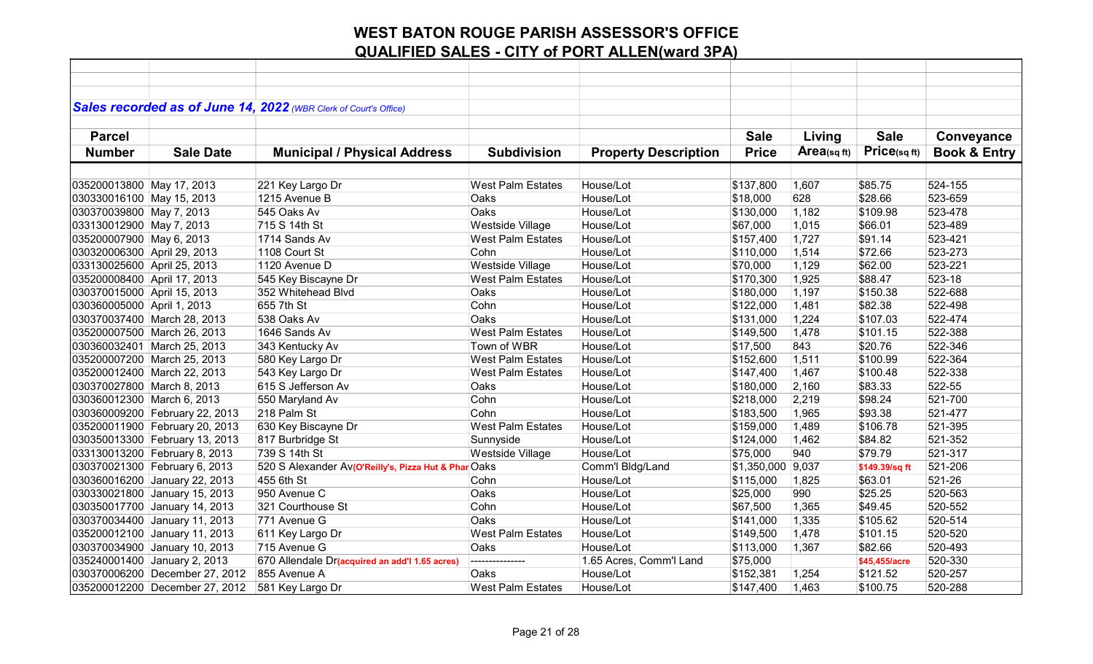|                             |                                | Sales recorded as of June 14, 2022 (WBR Clerk of Court's Office) |                          |                             |                   |            |                |                         |
|-----------------------------|--------------------------------|------------------------------------------------------------------|--------------------------|-----------------------------|-------------------|------------|----------------|-------------------------|
|                             |                                |                                                                  |                          |                             |                   |            |                |                         |
| <b>Parcel</b>               |                                |                                                                  |                          |                             | <b>Sale</b>       | Living     | <b>Sale</b>    | Conveyance              |
| <b>Number</b>               | <b>Sale Date</b>               | <b>Municipal / Physical Address</b>                              | <b>Subdivision</b>       | <b>Property Description</b> | <b>Price</b>      | Area(sqft) | Price(sq ft)   | <b>Book &amp; Entry</b> |
|                             |                                |                                                                  |                          |                             |                   |            |                |                         |
|                             |                                |                                                                  |                          |                             |                   |            |                |                         |
| 035200013800 May 17, 2013   |                                | 221 Key Largo Dr                                                 | <b>West Palm Estates</b> | House/Lot                   | \$137,800         | 1,607      | \$85.75        | 524-155                 |
| 030330016100 May 15, 2013   |                                | 1215 Avenue B                                                    | Oaks                     | House/Lot                   | \$18,000          | 628        | \$28.66        | 523-659                 |
| 030370039800 May 7, 2013    |                                | 545 Oaks Av                                                      | Oaks                     | House/Lot                   | \$130,000         | 1,182      | \$109.98       | 523-478                 |
| 033130012900 May 7, 2013    |                                | 715 S 14th St                                                    | Westside Village         | House/Lot                   | \$67,000          | 1,015      | \$66.01        | 523-489                 |
| 035200007900 May 6, 2013    |                                | 1714 Sands Av                                                    | West Palm Estates        | House/Lot                   | \$157,400         | 1,727      | \$91.14        | 523-421                 |
| 030320006300 April 29, 2013 |                                | 1108 Court St                                                    | Cohn                     | House/Lot                   | \$110,000         | 1,514      | \$72.66        | 523-273                 |
| 033130025600 April 25, 2013 |                                | 1120 Avenue D                                                    | Westside Village         | House/Lot                   | \$70,000          | 1,129      | \$62.00        | 523-221                 |
| 035200008400 April 17, 2013 |                                | 545 Key Biscayne Dr                                              | <b>West Palm Estates</b> | House/Lot                   | \$170,300         | 1,925      | \$88.47        | 523-18                  |
| 030370015000 April 15, 2013 |                                | 352 Whitehead Blvd                                               | Oaks                     | House/Lot                   | \$180,000         | 1,197      | \$150.38       | 522-688                 |
| 030360005000 April 1, 2013  |                                | 655 7th St                                                       | Cohn                     | House/Lot                   | \$122,000         | 1,481      | \$82.38        | 522-498                 |
|                             | 030370037400 March 28, 2013    | 538 Oaks Av                                                      | Oaks                     | House/Lot                   | \$131,000         | 1,224      | \$107.03       | 522-474                 |
|                             | 035200007500 March 26, 2013    | 1646 Sands Av                                                    | <b>West Palm Estates</b> | House/Lot                   | \$149,500         | 1,478      | \$101.15       | 522-388                 |
|                             | 030360032401 March 25, 2013    | 343 Kentucky Av                                                  | Town of WBR              | House/Lot                   | \$17,500          | 843        | \$20.76        | 522-346                 |
|                             | 035200007200 March 25, 2013    | 580 Key Largo Dr                                                 | <b>West Palm Estates</b> | House/Lot                   | \$152,600         | 1,511      | \$100.99       | 522-364                 |
|                             | 035200012400 March 22, 2013    | 543 Key Largo Dr                                                 | <b>West Palm Estates</b> | House/Lot                   | \$147,400         | 1,467      | \$100.48       | 522-338                 |
| 030370027800 March 8, 2013  |                                | 615 S Jefferson Av                                               | Oaks                     | House/Lot                   | \$180,000         | 2,160      | \$83.33        | 522-55                  |
| 030360012300 March 6, 2013  |                                | 550 Maryland Av                                                  | Cohn                     | House/Lot                   | \$218,000         | 2,219      | \$98.24        | 521-700                 |
|                             | 030360009200 February 22, 2013 | 218 Palm St                                                      | Cohn                     | House/Lot                   | \$183,500         | 1,965      | \$93.38        | 521-477                 |
|                             | 035200011900 February 20, 2013 | 630 Key Biscayne Dr                                              | <b>West Palm Estates</b> | House/Lot                   | \$159,000         | 1,489      | \$106.78       | 521-395                 |
|                             | 030350013300 February 13, 2013 | 817 Burbridge St                                                 | Sunnyside                | House/Lot                   | \$124,000         | 1,462      | \$84.82        | 521-352                 |
|                             | 033130013200 February 8, 2013  | 739 S 14th St                                                    | <b>Westside Village</b>  | House/Lot                   | \$75,000          | 940        | \$79.79        | 521-317                 |
|                             | 030370021300 February 6, 2013  | 520 S Alexander Av(O'Reilly's, Pizza Hut & Phar                  | Oaks                     | Comm'l Bldg/Land            | \$1,350,000 9,037 |            | \$149.39/sq ft | 521-206                 |
|                             | 030360016200 January 22, 2013  | 455 6th St                                                       | Cohn                     | House/Lot                   | \$115,000         | 1,825      | \$63.01        | 521-26                  |
|                             | 030330021800 January 15, 2013  | 950 Avenue C                                                     | Oaks                     | House/Lot                   | \$25,000          | 990        | \$25.25        | 520-563                 |
|                             | 030350017700 January 14, 2013  | 321 Courthouse St                                                | Cohn                     | House/Lot                   | \$67,500          | 1,365      | \$49.45        | 520-552                 |
|                             | 030370034400 January 11, 2013  | 771 Avenue G                                                     | Oaks                     | House/Lot                   | \$141,000         | 1,335      | \$105.62       | 520-514                 |
|                             | 035200012100 January 11, 2013  | 611 Key Largo Dr                                                 | <b>West Palm Estates</b> | House/Lot                   | \$149,500         | 1,478      | \$101.15       | 520-520                 |
|                             | 030370034900 January 10, 2013  | 715 Avenue G                                                     | Oaks                     | House/Lot                   | \$113,000         | 1,367      | \$82.66        | 520-493                 |
|                             | 035240001400 January 2, 2013   | 670 Allendale Dr(acquired an add'l 1.65 acres)                   | ---------------          | 1.65 Acres, Comm'l Land     | \$75,000          |            | \$45,455/acre  | 520-330                 |
|                             | 030370006200 December 27, 2012 | 855 Avenue A                                                     | Oaks                     | House/Lot                   | \$152,381         | 1,254      | \$121.52       | 520-257                 |
|                             | 035200012200 December 27, 2012 | 581 Key Largo Dr                                                 | <b>West Palm Estates</b> | House/Lot                   | \$147,400         | 1,463      | \$100.75       | 520-288                 |
|                             |                                |                                                                  |                          |                             |                   |            |                |                         |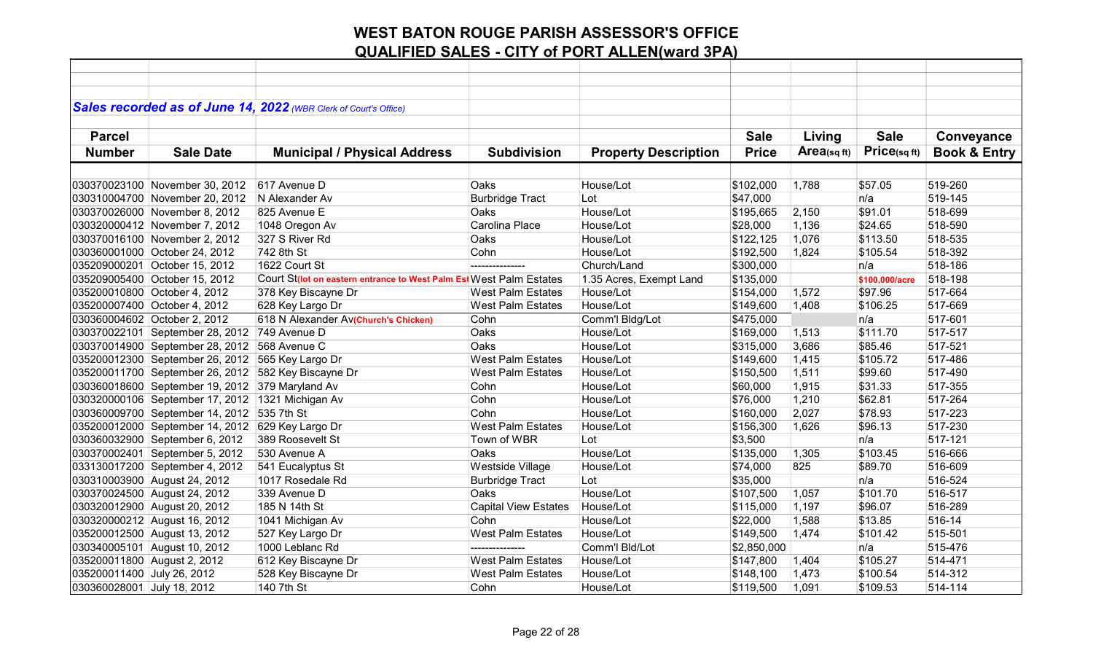|                             |                                                  | Sales recorded as of June 14, 2022 (WBR Clerk of Court's Office)    |                             |                             |              |             |                |                         |
|-----------------------------|--------------------------------------------------|---------------------------------------------------------------------|-----------------------------|-----------------------------|--------------|-------------|----------------|-------------------------|
|                             |                                                  |                                                                     |                             |                             |              |             |                |                         |
| <b>Parcel</b>               |                                                  |                                                                     |                             |                             | <b>Sale</b>  | Living      | <b>Sale</b>    | Conveyance              |
| <b>Number</b>               | <b>Sale Date</b>                                 | <b>Municipal / Physical Address</b>                                 | <b>Subdivision</b>          | <b>Property Description</b> | <b>Price</b> | Area(sq ft) | Price(sqft)    | <b>Book &amp; Entry</b> |
|                             |                                                  |                                                                     |                             |                             |              |             |                |                         |
|                             | 030370023100 November 30, 2012                   | 617 Avenue D                                                        | Oaks                        | House/Lot                   | \$102,000    | 1,788       | \$57.05        | 519-260                 |
|                             | 030310004700 November 20, 2012                   | N Alexander Av                                                      | <b>Burbridge Tract</b>      | Lot                         | \$47,000     |             | n/a            | 519-145                 |
|                             | 030370026000 November 8, 2012                    | 825 Avenue E                                                        | Oaks                        | House/Lot                   | \$195,665    | 2,150       | \$91.01        | 518-699                 |
|                             | 030320000412 November 7, 2012                    | 1048 Oregon Av                                                      | Carolina Place              | House/Lot                   | \$28,000     | 1,136       | \$24.65        | 518-590                 |
|                             | 030370016100 November 2, 2012                    | 327 S River Rd                                                      | Oaks                        | House/Lot                   | \$122,125    | 1,076       | \$113.50       | 518-535                 |
|                             | 030360001000 October 24, 2012                    | 742 8th St                                                          | Cohn                        | House/Lot                   | \$192,500    | 1,824       | \$105.54       | 518-392                 |
|                             | 035209000201 October 15, 2012                    | 1622 Court St                                                       |                             | Church/Land                 | \$300,000    |             | n/a            | 518-186                 |
|                             | 035209005400 October 15, 2012                    | Court St(lot on eastern entrance to West Palm Est West Palm Estates |                             | 1.35 Acres, Exempt Land     | \$135,000    |             | \$100,000/acre | 518-198                 |
|                             | 035200010800 October 4, 2012                     | 378 Key Biscayne Dr                                                 | <b>West Palm Estates</b>    | House/Lot                   | \$154,000    | 1,572       | \$97.96        | 517-664                 |
|                             | 035200007400 October 4, 2012                     | 628 Key Largo Dr                                                    | <b>West Palm Estates</b>    | House/Lot                   | \$149,600    | 1,408       | \$106.25       | 517-669                 |
|                             | 030360004602 October 2, 2012                     | 618 N Alexander Av(Church's Chicken)                                | Cohn                        | Comm'l Bldg/Lot             | \$475,000    |             | n/a            | 517-601                 |
|                             | 030370022101 September 28, 2012                  | 749 Avenue D                                                        | Oaks                        | House/Lot                   | \$169,000    | 1,513       | \$111.70       | 517-517                 |
|                             | 030370014900 September 28, 2012                  | 568 Avenue C                                                        | Oaks                        | House/Lot                   | \$315,000    | 3,686       | \$85.46        | 517-521                 |
|                             | 035200012300 September 26, 2012 565 Key Largo Dr |                                                                     | <b>West Palm Estates</b>    | House/Lot                   | \$149,600    | 1,415       | \$105.72       | 517-486                 |
|                             | 035200011700 September 26, 2012                  | 582 Key Biscayne Dr                                                 | <b>West Palm Estates</b>    | House/Lot                   | \$150,500    | 1,511       | \$99.60        | 517-490                 |
|                             | 030360018600 September 19, 2012 379 Maryland Av  |                                                                     | Cohn                        | House/Lot                   | \$60,000     | 1,915       | \$31.33        | 517-355                 |
|                             | 030320000106 September 17, 2012 1321 Michigan Av |                                                                     | Cohn                        | House/Lot                   | \$76,000     | 1,210       | \$62.81        | 517-264                 |
|                             | 030360009700 September 14, 2012 535 7th St       |                                                                     | Cohn                        | House/Lot                   | \$160,000    | 2,027       | \$78.93        | 517-223                 |
|                             | 035200012000 September 14, 2012                  | 629 Key Largo Dr                                                    | <b>West Palm Estates</b>    | House/Lot                   | \$156,300    | 1,626       | \$96.13        | 517-230                 |
|                             | 030360032900 September 6, 2012                   | 389 Roosevelt St                                                    | Town of WBR                 | Lot                         | \$3,500      |             | n/a            | 517-121                 |
|                             | 030370002401 September 5, 2012                   | 530 Avenue A                                                        | Oaks                        | House/Lot                   | \$135,000    | 1,305       | \$103.45       | 516-666                 |
|                             | 033130017200 September 4, 2012                   | 541 Eucalyptus St                                                   | Westside Village            | House/Lot                   | \$74,000     | 825         | \$89.70        | 516-609                 |
|                             | 030310003900 August 24, 2012                     | 1017 Rosedale Rd                                                    | <b>Burbridge Tract</b>      | Lot                         | \$35,000     |             | n/a            | 516-524                 |
|                             | 030370024500 August 24, 2012                     | 339 Avenue D                                                        | Oaks                        | House/Lot                   | \$107,500    | 1,057       | \$101.70       | 516-517                 |
|                             | 030320012900 August 20, 2012                     | 185 N 14th St                                                       | <b>Capital View Estates</b> | House/Lot                   | \$115,000    | 1,197       | \$96.07        | 516-289                 |
|                             | 030320000212 August 16, 2012                     | 1041 Michigan Av                                                    | Cohn                        | House/Lot                   | \$22,000     | 1,588       | \$13.85        | 516-14                  |
|                             | 035200012500 August 13, 2012                     | 527 Key Largo Dr                                                    | <b>West Palm Estates</b>    | House/Lot                   | \$149,500    | 1,474       | \$101.42       | 515-501                 |
|                             | 030340005101 August 10, 2012                     | 1000 Leblanc Rd                                                     | ---------------             | Comm'l Bld/Lot              | \$2,850,000  |             | n/a            | 515-476                 |
| 035200011800 August 2, 2012 |                                                  | 612 Key Biscayne Dr                                                 | <b>West Palm Estates</b>    | House/Lot                   | \$147,800    | 1,404       | \$105.27       | 514-471                 |
| 035200011400 July 26, 2012  |                                                  | 528 Key Biscayne Dr                                                 | <b>West Palm Estates</b>    | House/Lot                   | \$148,100    | 1,473       | \$100.54       | 514-312                 |
| 030360028001 July 18, 2012  |                                                  | 140 7th St                                                          | Cohn                        | House/Lot                   | \$119,500    | 1,091       | \$109.53       | 514-114                 |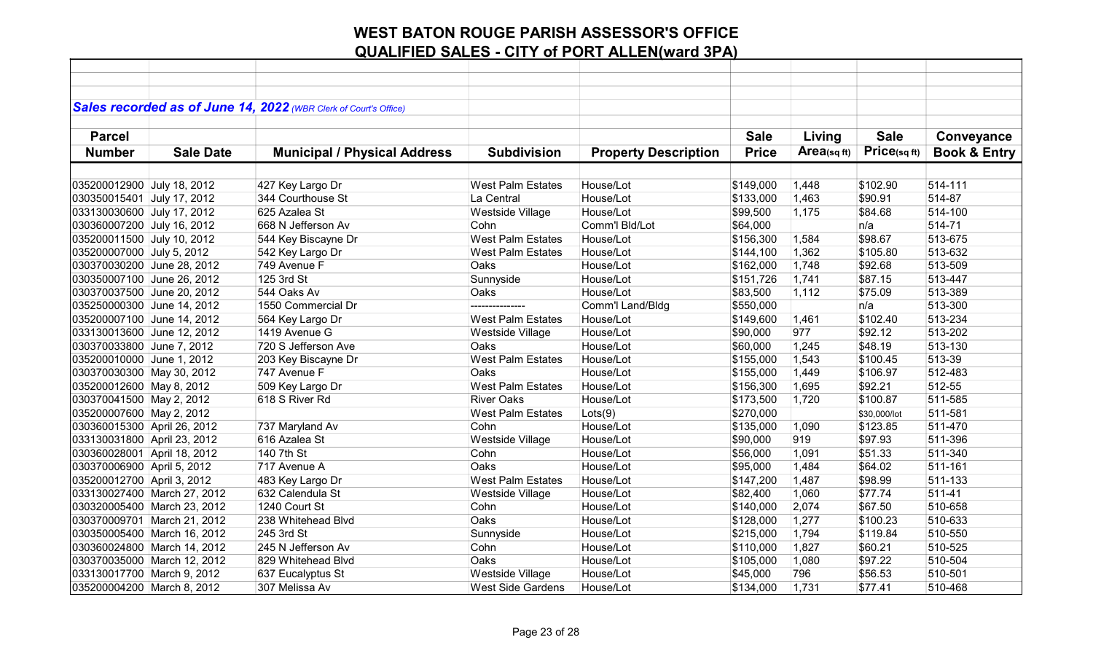|                             |                             | Sales recorded as of June 14, 2022 (WBR Clerk of Court's Office) |                          |                             |              |             |              |                         |
|-----------------------------|-----------------------------|------------------------------------------------------------------|--------------------------|-----------------------------|--------------|-------------|--------------|-------------------------|
|                             |                             |                                                                  |                          |                             |              |             |              |                         |
| <b>Parcel</b>               |                             |                                                                  |                          |                             | <b>Sale</b>  | Living      | <b>Sale</b>  | Conveyance              |
| <b>Number</b>               | <b>Sale Date</b>            | <b>Municipal / Physical Address</b>                              | <b>Subdivision</b>       | <b>Property Description</b> | <b>Price</b> | Area(sq ft) | Price(sqft)  | <b>Book &amp; Entry</b> |
|                             |                             |                                                                  |                          |                             |              |             |              |                         |
| 035200012900 July 18, 2012  |                             | 427 Key Largo Dr                                                 | <b>West Palm Estates</b> | House/Lot                   | \$149,000    | 1,448       | \$102.90     | 514-111                 |
| 030350015401 July 17, 2012  |                             | 344 Courthouse St                                                | La Central               | House/Lot                   | \$133,000    | 1,463       | \$90.91      | 514-87                  |
| 033130030600 July 17, 2012  |                             | 625 Azalea St                                                    | Westside Village         | House/Lot                   | \$99,500     | 1,175       | \$84.68      | 514-100                 |
| 030360007200 July 16, 2012  |                             | 668 N Jefferson Av                                               | Cohn                     | Comm'l Bld/Lot              | \$64,000     |             | n/a          | 514-71                  |
| 035200011500 July 10, 2012  |                             | 544 Key Biscayne Dr                                              | <b>West Palm Estates</b> | House/Lot                   | \$156,300    | 1,584       | \$98.67      | 513-675                 |
| 035200007000 July 5, 2012   |                             | 542 Key Largo Dr                                                 | <b>West Palm Estates</b> | House/Lot                   | \$144,100    | 1,362       | \$105.80     | 513-632                 |
| 030370030200 June 28, 2012  |                             | 749 Avenue F                                                     | Oaks                     | House/Lot                   | \$162,000    | 1,748       | \$92.68      | 513-509                 |
| 030350007100 June 26, 2012  |                             | 125 3rd St                                                       | Sunnyside                | House/Lot                   | \$151,726    | 1,741       | \$87.15      | 513-447                 |
| 030370037500 June 20, 2012  |                             | 544 Oaks Av                                                      | Oaks                     | House/Lot                   | \$83,500     | 1,112       | \$75.09      | 513-389                 |
| 035250000300 June 14, 2012  |                             | 1550 Commercial Dr                                               | ---------------          | Comm'l Land/Bldg            | \$550,000    |             | n/a          | 513-300                 |
| 035200007100 June 14, 2012  |                             | 564 Key Largo Dr                                                 | <b>West Palm Estates</b> | House/Lot                   | \$149,600    | 1,461       | \$102.40     | 513-234                 |
| 033130013600 June 12, 2012  |                             | 1419 Avenue G                                                    | Westside Village         | House/Lot                   | \$90,000     | 977         | \$92.12      | 513-202                 |
| 030370033800 June 7, 2012   |                             | 720 S Jefferson Ave                                              | Oaks                     | House/Lot                   | \$60,000     | 1,245       | \$48.19      | 513-130                 |
| 035200010000 June 1, 2012   |                             | 203 Key Biscayne Dr                                              | <b>West Palm Estates</b> | House/Lot                   | \$155,000    | 1,543       | \$100.45     | 513-39                  |
| 030370030300 May 30, 2012   |                             | 747 Avenue F                                                     | Oaks                     | House/Lot                   | \$155,000    | 1,449       | \$106.97     | 512-483                 |
| 035200012600 May 8, 2012    |                             | 509 Key Largo Dr                                                 | <b>West Palm Estates</b> | House/Lot                   | \$156,300    | 1,695       | \$92.21      | 512-55                  |
| 030370041500 May 2, 2012    |                             | 618 S River Rd                                                   | <b>River Oaks</b>        | House/Lot                   | \$173,500    | 1,720       | \$100.87     | 511-585                 |
| 035200007600 May 2, 2012    |                             |                                                                  | <b>West Palm Estates</b> | Lots(9)                     | \$270,000    |             | \$30,000/lot | 511-581                 |
| 030360015300 April 26, 2012 |                             | 737 Maryland Av                                                  | Cohn                     | House/Lot                   | \$135,000    | 1,090       | \$123.85     | 511-470                 |
| 033130031800 April 23, 2012 |                             | 616 Azalea St                                                    | Westside Village         | House/Lot                   | \$90,000     | 919         | \$97.93      | 511-396                 |
| 030360028001 April 18, 2012 |                             | 140 7th St                                                       | Cohn                     | House/Lot                   | \$56,000     | 1,091       | \$51.33      | 511-340                 |
| 030370006900 April 5, 2012  |                             | 717 Avenue A                                                     | <b>Oaks</b>              | House/Lot                   | \$95,000     | 1,484       | \$64.02      | 511-161                 |
| 035200012700 April 3, 2012  |                             | 483 Key Largo Dr                                                 | <b>West Palm Estates</b> | House/Lot                   | \$147,200    | 1,487       | \$98.99      | 511-133                 |
|                             | 033130027400 March 27, 2012 | 632 Calendula St                                                 | Westside Village         | House/Lot                   | \$82,400     | 1,060       | \$77.74      | 511-41                  |
|                             | 030320005400 March 23, 2012 | 1240 Court St                                                    | Cohn                     | House/Lot                   | \$140,000    | 2,074       | \$67.50      | 510-658                 |
|                             | 030370009701 March 21, 2012 | 238 Whitehead Blvd                                               | Oaks                     | House/Lot                   | \$128,000    | 1,277       | \$100.23     | 510-633                 |
|                             | 030350005400 March 16, 2012 | 245 3rd St                                                       | Sunnyside                | House/Lot                   | \$215,000    | 1,794       | \$119.84     | 510-550                 |
|                             | 030360024800 March 14, 2012 | 245 N Jefferson Av                                               | Cohn                     | House/Lot                   | \$110,000    | 1,827       | \$60.21      | 510-525                 |
|                             | 030370035000 March 12, 2012 | 829 Whitehead Blvd                                               | Oaks                     | House/Lot                   | \$105,000    | 1,080       | \$97.22      | 510-504                 |
| 033130017700 March 9, 2012  |                             | 637 Eucalyptus St                                                | Westside Village         | House/Lot                   | \$45,000     | 796         | \$56.53      | 510-501                 |
| 035200004200 March 8, 2012  |                             | 307 Melissa Av                                                   | <b>West Side Gardens</b> | House/Lot                   | \$134,000    | 1,731       | \$77.41      | 510-468                 |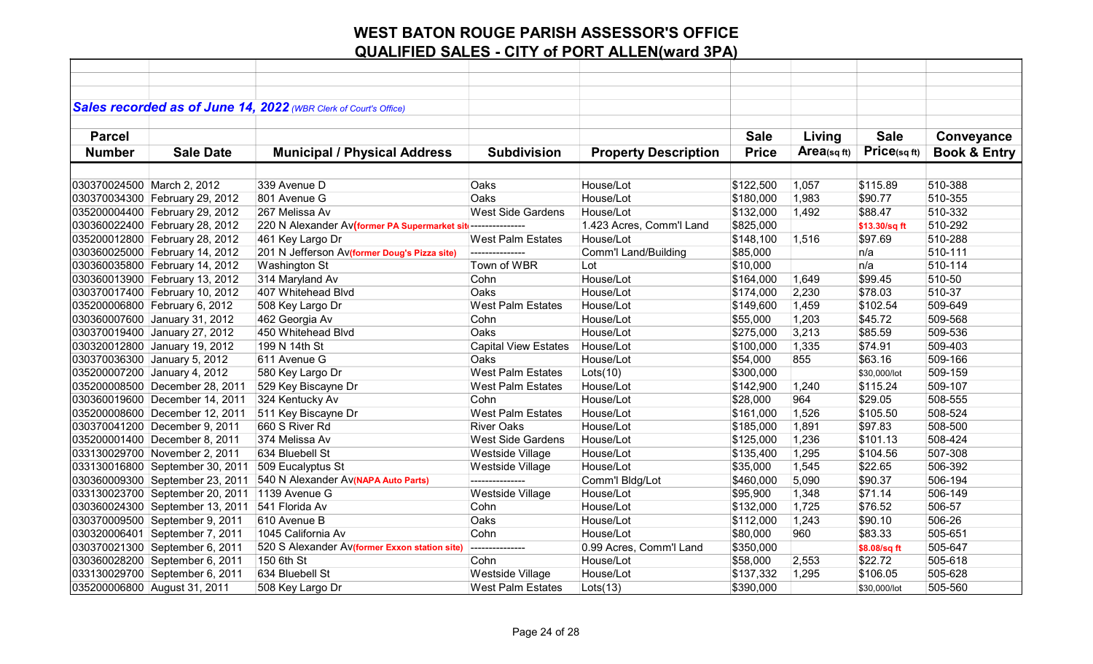|                            |                                 | Sales recorded as of June 14, 2022 (WBR Clerk of Court's Office) |                             |                             |              |            |               |                         |
|----------------------------|---------------------------------|------------------------------------------------------------------|-----------------------------|-----------------------------|--------------|------------|---------------|-------------------------|
|                            |                                 |                                                                  |                             |                             |              |            |               |                         |
| <b>Parcel</b>              |                                 |                                                                  |                             |                             | <b>Sale</b>  | Living     | <b>Sale</b>   | Conveyance              |
| <b>Number</b>              | <b>Sale Date</b>                | <b>Municipal / Physical Address</b>                              | <b>Subdivision</b>          | <b>Property Description</b> | <b>Price</b> | Area(sqft) | Price(sqft)   | <b>Book &amp; Entry</b> |
|                            |                                 |                                                                  |                             |                             |              |            |               |                         |
| 030370024500 March 2, 2012 |                                 | 339 Avenue D                                                     | Oaks                        | House/Lot                   | \$122,500    | 1,057      | \$115.89      | 510-388                 |
|                            | 030370034300 February 29, 2012  | 801 Avenue G                                                     | Oaks                        | House/Lot                   | \$180,000    | 1,983      | \$90.77       | 510-355                 |
|                            | 035200004400 February 29, 2012  | 267 Melissa Av                                                   | <b>West Side Gardens</b>    | House/Lot                   | \$132,000    | 1,492      | \$88.47       | 510-332                 |
|                            | 030360022400 February 28, 2012  | 220 N Alexander Av(former PA Supermarket sit ---------------     |                             | 1.423 Acres, Comm'l Land    | \$825,000    |            | \$13.30/sq ft | 510-292                 |
|                            | 035200012800 February 28, 2012  | 461 Key Largo Dr                                                 | <b>West Palm Estates</b>    | House/Lot                   | \$148,100    | 1,516      | \$97.69       | 510-288                 |
|                            | 030360025000 February 14, 2012  | 201 N Jefferson Av(former Doug's Pizza site)                     | ---------------             | <b>Comm'l Land/Building</b> | \$85,000     |            | n/a           | 510-111                 |
|                            | 030360035800 February 14, 2012  | Washington St                                                    | Town of WBR                 | Lot                         | \$10,000     |            | n/a           | 510-114                 |
|                            | 030360013900 February 13, 2012  | 314 Maryland Av                                                  | Cohn                        | House/Lot                   | \$164,000    | 1,649      | \$99.45       | 510-50                  |
|                            | 030370017400 February 10, 2012  | 407 Whitehead Blvd                                               | Oaks                        | House/Lot                   | \$174,000    | 2,230      | \$78.03       | 510-37                  |
|                            | 035200006800 February 6, 2012   | 508 Key Largo Dr                                                 | <b>West Palm Estates</b>    | House/Lot                   | \$149,600    | 1,459      | \$102.54      | 509-649                 |
|                            | 030360007600 January 31, 2012   | 462 Georgia Av                                                   | Cohn                        | House/Lot                   | \$55,000     | 1,203      | \$45.72       | 509-568                 |
|                            | 030370019400 January 27, 2012   | 450 Whitehead Blvd                                               | Oaks                        | House/Lot                   | \$275,000    | 3,213      | \$85.59       | 509-536                 |
|                            | 030320012800 January 19, 2012   | 199 N 14th St                                                    | <b>Capital View Estates</b> | House/Lot                   | \$100,000    | 1,335      | \$74.91       | 509-403                 |
|                            | 030370036300 January 5, 2012    | 611 Avenue G                                                     | Oaks                        | House/Lot                   | \$54,000     | 855        | \$63.16       | 509-166                 |
|                            | 035200007200 January 4, 2012    | 580 Key Largo Dr                                                 | <b>West Palm Estates</b>    | Lots(10)                    | \$300,000    |            | \$30,000/lot  | 509-159                 |
|                            | 035200008500 December 28, 2011  | 529 Key Biscayne Dr                                              | <b>West Palm Estates</b>    | House/Lot                   | \$142,900    | 1,240      | \$115.24      | 509-107                 |
|                            | 030360019600 December 14, 2011  | 324 Kentucky Av                                                  | Cohn                        | House/Lot                   | \$28,000     | 964        | \$29.05       | 508-555                 |
|                            | 035200008600 December 12, 2011  | 511 Key Biscayne Dr                                              | <b>West Palm Estates</b>    | House/Lot                   | \$161,000    | 1,526      | \$105.50      | 508-524                 |
|                            | 030370041200 December 9, 2011   | 660 S River Rd                                                   | <b>River Oaks</b>           | House/Lot                   | \$185,000    | 1,891      | \$97.83       | 508-500                 |
|                            | 035200001400 December 8, 2011   | 374 Melissa Av                                                   | <b>West Side Gardens</b>    | House/Lot                   | \$125,000    | 1,236      | \$101.13      | 508-424                 |
|                            | 033130029700 November 2, 2011   | 634 Bluebell St                                                  | Westside Village            | House/Lot                   | \$135,400    | 1,295      | \$104.56      | 507-308                 |
|                            | 033130016800 September 30, 2011 | 509 Eucalyptus St                                                | Westside Village            | House/Lot                   | \$35,000     | 1,545      | \$22.65       | 506-392                 |
|                            | 030360009300 September 23, 2011 | 540 N Alexander Av(NAPA Auto Parts)                              |                             | Comm'l Bldg/Lot             | \$460,000    | 5,090      | \$90.37       | 506-194                 |
|                            | 033130023700 September 20, 2011 | 1139 Avenue G                                                    | Westside Village            | House/Lot                   | \$95,900     | 1,348      | \$71.14       | 506-149                 |
|                            | 030360024300 September 13, 2011 | 541 Florida Av                                                   | Cohn                        | House/Lot                   | \$132,000    | 1,725      | \$76.52       | 506-57                  |
|                            | 030370009500 September 9, 2011  | 610 Avenue B                                                     | Oaks                        | House/Lot                   | \$112,000    | 1,243      | \$90.10       | 506-26                  |
|                            | 030320006401 September 7, 2011  | 1045 California Av                                               | Cohn                        | House/Lot                   | \$80,000     | 960        | \$83.33       | 505-651                 |
|                            | 030370021300 September 6, 2011  | 520 S Alexander Av(former Exxon station site)                    | ---------------             | 0.99 Acres, Comm'l Land     | \$350,000    |            | \$8.08/sq ft  | 505-647                 |
|                            | 030360028200 September 6, 2011  | 150 6th St                                                       | Cohn                        | House/Lot                   | \$58,000     | 2,553      | \$22.72       | 505-618                 |
|                            | 033130029700 September 6, 2011  | 634 Bluebell St                                                  | Westside Village            | House/Lot                   | \$137,332    | 1,295      | \$106.05      | 505-628                 |
|                            | 035200006800 August 31, 2011    | 508 Key Largo Dr                                                 | <b>West Palm Estates</b>    | Lots(13)                    | \$390,000    |            | \$30,000/lot  | 505-560                 |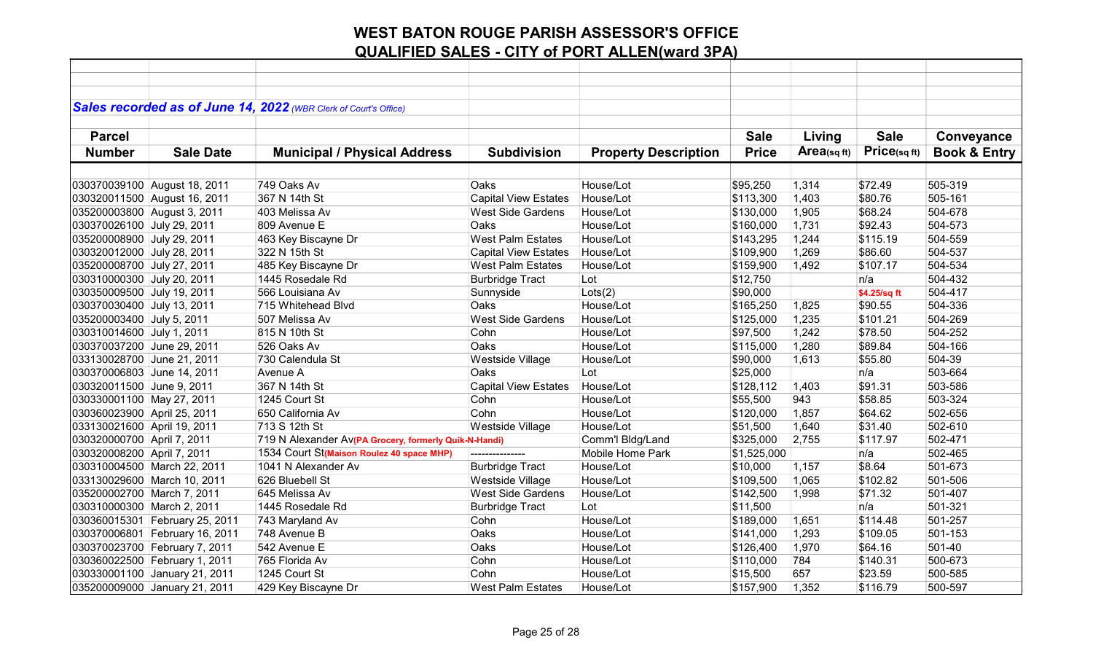|                             |                                | Sales recorded as of June 14, 2022 (WBR Clerk of Court's Office) |                             |                             |              |            |              |                         |
|-----------------------------|--------------------------------|------------------------------------------------------------------|-----------------------------|-----------------------------|--------------|------------|--------------|-------------------------|
|                             |                                |                                                                  |                             |                             |              |            |              |                         |
| <b>Parcel</b>               |                                |                                                                  |                             |                             | <b>Sale</b>  | Living     | <b>Sale</b>  | Conveyance              |
| <b>Number</b>               | <b>Sale Date</b>               | <b>Municipal / Physical Address</b>                              | <b>Subdivision</b>          | <b>Property Description</b> | <b>Price</b> | Area(sqft) | Price(sqft)  | <b>Book &amp; Entry</b> |
|                             |                                |                                                                  |                             |                             |              |            |              |                         |
|                             |                                |                                                                  |                             |                             |              |            |              |                         |
|                             | 030370039100 August 18, 2011   | 749 Oaks Av                                                      | Oaks                        | House/Lot                   | \$95,250     | 1,314      | \$72.49      | 505-319                 |
|                             | 030320011500 August 16, 2011   | 367 N 14th St                                                    | <b>Capital View Estates</b> | House/Lot                   | \$113,300    | 1,403      | \$80.76      | 505-161                 |
| 035200003800 August 3, 2011 |                                | 403 Melissa Av                                                   | <b>West Side Gardens</b>    | House/Lot                   | \$130,000    | 1,905      | \$68.24      | 504-678                 |
| 030370026100 July 29, 2011  |                                | 809 Avenue E                                                     | Oaks                        | House/Lot                   | \$160,000    | 1,731      | \$92.43      | 504-573                 |
| 035200008900 July 29, 2011  |                                | 463 Key Biscayne Dr                                              | <b>West Palm Estates</b>    | House/Lot                   | \$143,295    | 1,244      | \$115.19     | 504-559                 |
| 030320012000 July 28, 2011  |                                | 322 N 15th St                                                    | <b>Capital View Estates</b> | House/Lot                   | \$109,900    | 1,269      | \$86.60      | 504-537                 |
| 035200008700 July 27, 2011  |                                | 485 Key Biscayne Dr                                              | <b>West Palm Estates</b>    | House/Lot                   | \$159,900    | 1,492      | \$107.17     | 504-534                 |
| 030310000300 July 20, 2011  |                                | 1445 Rosedale Rd                                                 | <b>Burbridge Tract</b>      | Lot                         | \$12,750     |            | n/a          | 504-432                 |
| 030350009500 July 19, 2011  |                                | 566 Louisiana Av                                                 | Sunnyside                   | Lots(2)                     | \$90,000     |            | \$4.25/sq ft | 504-417                 |
| 030370030400 July 13, 2011  |                                | 715 Whitehead Blvd                                               | Oaks                        | House/Lot                   | \$165,250    | 1,825      | \$90.55      | 504-336                 |
| 035200003400 July 5, 2011   |                                | 507 Melissa Av                                                   | <b>West Side Gardens</b>    | House/Lot                   | \$125,000    | 1,235      | \$101.21     | 504-269                 |
| 030310014600 July 1, 2011   |                                | 815 N 10th St                                                    | Cohn                        | House/Lot                   | \$97,500     | 1,242      | \$78.50      | 504-252                 |
| 030370037200 June 29, 2011  |                                | 526 Oaks Av                                                      | Oaks                        | House/Lot                   | \$115,000    | 1,280      | \$89.84      | 504-166                 |
| 033130028700 June 21, 2011  |                                | 730 Calendula St                                                 | Westside Village            | House/Lot                   | \$90,000     | 1,613      | \$55.80      | 504-39                  |
| 030370006803 June 14, 2011  |                                | Avenue A                                                         | Oaks                        | Lot                         | \$25,000     |            | n/a          | 503-664                 |
| 030320011500 June 9, 2011   |                                | 367 N 14th St                                                    | <b>Capital View Estates</b> | House/Lot                   | \$128,112    | 1,403      | \$91.31      | 503-586                 |
| 030330001100 May 27, 2011   |                                | 1245 Court St                                                    | Cohn                        | House/Lot                   | \$55,500     | 943        | \$58.85      | 503-324                 |
| 030360023900 April 25, 2011 |                                | 650 California Av                                                | Cohn                        | House/Lot                   | \$120,000    | 1,857      | \$64.62      | 502-656                 |
| 033130021600 April 19, 2011 |                                | 713 S 12th St                                                    | <b>Westside Village</b>     | House/Lot                   | \$51,500     | 1,640      | \$31.40      | 502-610                 |
| 030320000700 April 7, 2011  |                                | 719 N Alexander Av(PA Grocery, formerly Quik-N-Handi)            |                             | Comm'l Bldg/Land            | \$325,000    | 2,755      | \$117.97     | 502-471                 |
| 030320008200 April 7, 2011  |                                | 1534 Court St(Maison Roulez 40 space MHP)                        |                             | Mobile Home Park            | \$1,525,000  |            | n/a          | 502-465                 |
|                             | 030310004500 March 22, 2011    | 1041 N Alexander Av                                              | <b>Burbridge Tract</b>      | House/Lot                   | \$10,000     | 1,157      | \$8.64       | 501-673                 |
|                             | 033130029600 March 10, 2011    | 626 Bluebell St                                                  | Westside Village            | House/Lot                   | \$109,500    | 1,065      | \$102.82     | 501-506                 |
| 035200002700 March 7, 2011  |                                | 645 Melissa Av                                                   | <b>West Side Gardens</b>    | House/Lot                   | \$142,500    | 1,998      | \$71.32      | 501-407                 |
| 030310000300 March 2, 2011  |                                | 1445 Rosedale Rd                                                 | <b>Burbridge Tract</b>      | Lot                         | \$11,500     |            | n/a          | 501-321                 |
|                             | 030360015301 February 25, 2011 | 743 Maryland Av                                                  | Cohn                        | House/Lot                   | \$189,000    | 1,651      | \$114.48     | 501-257                 |
|                             | 030370006801 February 16, 2011 | 748 Avenue B                                                     | Oaks                        | House/Lot                   | \$141,000    | 1,293      | \$109.05     | 501-153                 |
|                             | 030370023700 February 7, 2011  | 542 Avenue E                                                     | Oaks                        | House/Lot                   | \$126,400    | 1,970      | \$64.16      | 501-40                  |
|                             | 030360022500 February 1, 2011  | 765 Florida Av                                                   | Cohn                        | House/Lot                   | \$110,000    | 784        | \$140.31     | 500-673                 |
|                             | 030330001100 January 21, 2011  | 1245 Court St                                                    | Cohn                        | House/Lot                   | \$15,500     | 657        | \$23.59      | 500-585                 |
|                             |                                |                                                                  |                             |                             |              |            |              |                         |
|                             | 035200009000 January 21, 2011  | 429 Key Biscayne Dr                                              | <b>West Palm Estates</b>    | House/Lot                   | \$157,900    | 1,352      | \$116.79     | 500-597                 |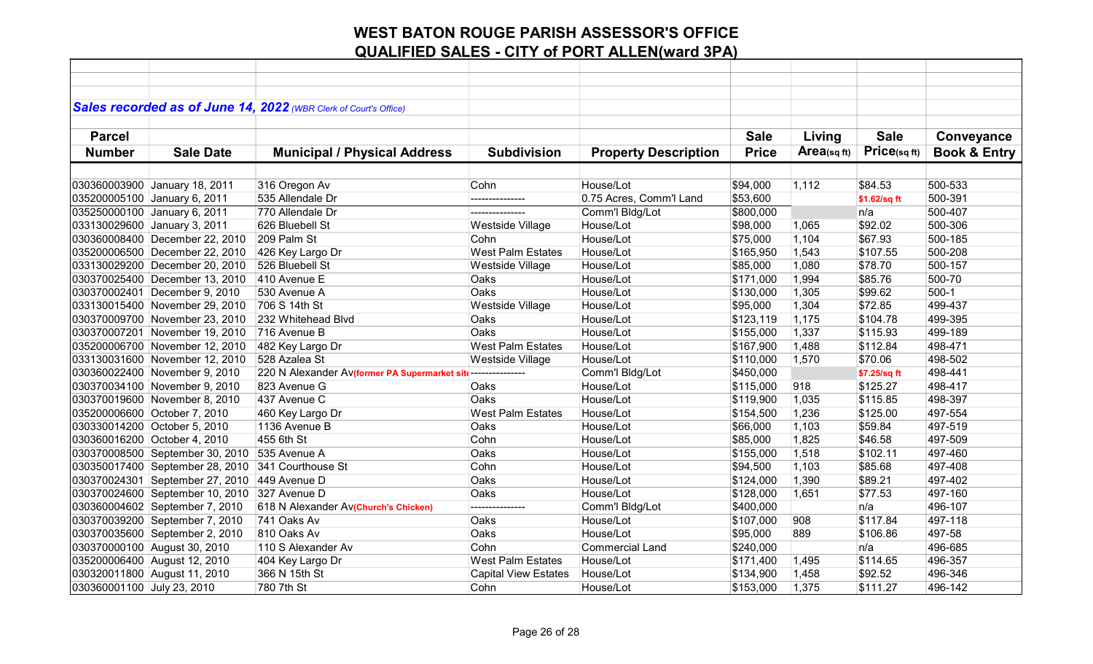|                            |                                 | Sales recorded as of June 14, 2022 (WBR Clerk of Court's Office) |                             |                             |              |            |              |                         |
|----------------------------|---------------------------------|------------------------------------------------------------------|-----------------------------|-----------------------------|--------------|------------|--------------|-------------------------|
|                            |                                 |                                                                  |                             |                             |              |            |              |                         |
| <b>Parcel</b>              |                                 |                                                                  |                             |                             | <b>Sale</b>  | Living     | <b>Sale</b>  | Conveyance              |
| <b>Number</b>              | <b>Sale Date</b>                | <b>Municipal / Physical Address</b>                              | <b>Subdivision</b>          | <b>Property Description</b> | <b>Price</b> | Area(sqft) | Price(sqft)  | <b>Book &amp; Entry</b> |
|                            |                                 |                                                                  |                             |                             |              |            |              |                         |
|                            |                                 |                                                                  |                             |                             |              |            |              |                         |
|                            | 030360003900 January 18, 2011   | 316 Oregon Av                                                    | Cohn                        | House/Lot                   | \$94,000     | 1,112      | \$84.53      | 500-533                 |
|                            | 035200005100 January 6, 2011    | 535 Allendale Dr                                                 | ---------------             | 0.75 Acres, Comm'l Land     | \$53,600     |            | \$1.62/sq ft | 500-391                 |
|                            | 035250000100 January 6, 2011    | 770 Allendale Dr                                                 |                             | Comm'l Bldg/Lot             | \$800,000    |            | n/a          | 500-407                 |
|                            | 033130029600 January 3, 2011    | 626 Bluebell St                                                  | Westside Village            | House/Lot                   | \$98,000     | 1,065      | \$92.02      | 500-306                 |
|                            | 030360008400 December 22, 2010  | 209 Palm St                                                      | Cohn                        | House/Lot                   | \$75,000     | 1,104      | \$67.93      | 500-185                 |
|                            | 035200006500 December 22, 2010  | 426 Key Largo Dr                                                 | <b>West Palm Estates</b>    | House/Lot                   | \$165,950    | 1,543      | \$107.55     | 500-208                 |
|                            | 033130029200 December 20, 2010  | 526 Bluebell St                                                  | Westside Village            | House/Lot                   | \$85,000     | 1,080      | \$78.70      | 500-157                 |
|                            | 030370025400 December 13, 2010  | 410 Avenue E                                                     | Oaks                        | House/Lot                   | \$171,000    | 1,994      | \$85.76      | 500-70                  |
|                            | 030370002401 December 9, 2010   | 530 Avenue A                                                     | Oaks                        | House/Lot                   | \$130,000    | 1,305      | \$99.62      | $500-1$                 |
|                            | 033130015400 November 29, 2010  | 706 S 14th St                                                    | Westside Village            | House/Lot                   | \$95,000     | 1,304      | \$72.85      | 499-437                 |
|                            | 030370009700 November 23, 2010  | 232 Whitehead Blvd                                               | Oaks                        | House/Lot                   | \$123,119    | 1,175      | \$104.78     | 499-395                 |
|                            | 030370007201 November 19, 2010  | 716 Avenue B                                                     | Oaks                        | House/Lot                   | \$155,000    | 1,337      | \$115.93     | 499-189                 |
|                            | 035200006700 November 12, 2010  | 482 Key Largo Dr                                                 | <b>West Palm Estates</b>    | House/Lot                   | \$167,900    | 1,488      | \$112.84     | 498-471                 |
|                            | 033130031600 November 12, 2010  | 528 Azalea St                                                    | Westside Village            | House/Lot                   | \$110,000    | 1,570      | \$70.06      | 498-502                 |
|                            | 030360022400 November 9, 2010   | 220 N Alexander Av(former PA Supermarket site ---------------    |                             | Comm'l Bldg/Lot             | \$450,000    |            | \$7.25/sq ft | 498-441                 |
|                            | 030370034100 November 9, 2010   | 823 Avenue G                                                     | Oaks                        | House/Lot                   | \$115,000    | 918        | \$125.27     | 498-417                 |
|                            | 030370019600 November 8, 2010   | 437 Avenue C                                                     | Oaks                        | House/Lot                   | \$119,900    | 1,035      | \$115.85     | 498-397                 |
|                            | 035200006600 October 7, 2010    | 460 Key Largo Dr                                                 | <b>West Palm Estates</b>    | House/Lot                   | \$154,500    | 1,236      | \$125.00     | 497-554                 |
|                            | 030330014200 October 5, 2010    | 1136 Avenue B                                                    | Oaks                        | House/Lot                   | \$66,000     | 1,103      | \$59.84      | 497-519                 |
|                            | 030360016200 October 4, 2010    | 455 6th St                                                       | Cohn                        | House/Lot                   | \$85,000     | 1,825      | \$46.58      | 497-509                 |
|                            | 030370008500 September 30, 2010 | 535 Avenue A                                                     | Oaks                        | House/Lot                   | \$155,000    | 1,518      | \$102.11     | 497-460                 |
|                            | 030350017400 September 28, 2010 | 341 Courthouse St                                                | Cohn                        | House/Lot                   | \$94,500     | 1,103      | \$85.68      | 497-408                 |
|                            | 030370024301 September 27, 2010 | 449 Avenue D                                                     | Oaks                        | House/Lot                   | \$124,000    | 1,390      | \$89.21      | 497-402                 |
|                            | 030370024600 September 10, 2010 | 327 Avenue D                                                     | Oaks                        | House/Lot                   | \$128,000    | 1,651      | \$77.53      | 497-160                 |
|                            | 030360004602 September 7, 2010  | 618 N Alexander Av(Church's Chicken)                             | ---------------             | Comm'l Bldg/Lot             | \$400,000    |            | n/a          | 496-107                 |
|                            | 030370039200 September 7, 2010  | 741 Oaks Av                                                      | Oaks                        | House/Lot                   | \$107,000    | 908        | \$117.84     | 497-118                 |
|                            | 030370035600 September 2, 2010  | 810 Oaks Av                                                      | Oaks                        | House/Lot                   | \$95,000     | 889        | \$106.86     | 497-58                  |
|                            | 030370000100 August 30, 2010    | 110 S Alexander Av                                               | Cohn                        | <b>Commercial Land</b>      | \$240,000    |            | n/a          | 496-685                 |
|                            | 035200006400 August 12, 2010    | 404 Key Largo Dr                                                 | <b>West Palm Estates</b>    | House/Lot                   | \$171,400    | 1,495      | \$114.65     | 496-357                 |
|                            |                                 |                                                                  |                             | House/Lot                   |              |            |              |                         |
|                            | 030320011800 August 11, 2010    | 366 N 15th St                                                    | <b>Capital View Estates</b> |                             | \$134,900    | 1,458      | \$92.52      | 496-346                 |
| 030360001100 July 23, 2010 |                                 | 780 7th St                                                       | Cohn                        | House/Lot                   | \$153,000    | 1,375      | \$111.27     | 496-142                 |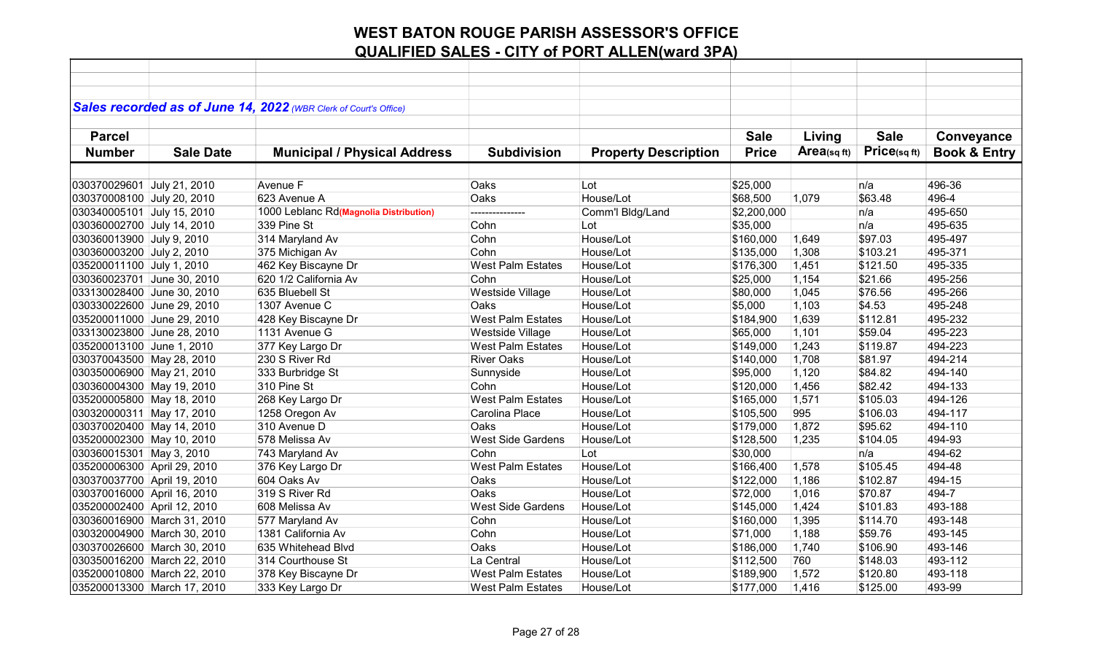|                             |                             | Sales recorded as of June 14, 2022 (WBR Clerk of Court's Office) |                          |                             |              |                |             |                         |
|-----------------------------|-----------------------------|------------------------------------------------------------------|--------------------------|-----------------------------|--------------|----------------|-------------|-------------------------|
|                             |                             |                                                                  |                          |                             |              |                |             |                         |
| <b>Parcel</b>               |                             |                                                                  |                          |                             | <b>Sale</b>  | Living         | <b>Sale</b> | Conveyance              |
| <b>Number</b>               | <b>Sale Date</b>            | <b>Municipal / Physical Address</b>                              | <b>Subdivision</b>       | <b>Property Description</b> | <b>Price</b> | Area(sq $ft$ ) | Price(sqft) | <b>Book &amp; Entry</b> |
|                             |                             |                                                                  |                          |                             |              |                |             |                         |
|                             |                             |                                                                  |                          |                             |              |                |             |                         |
| 030370029601 July 21, 2010  |                             | Avenue F                                                         | Oaks                     | Lot                         | \$25,000     |                | n/a         | 496-36                  |
| 030370008100 July 20, 2010  |                             | 623 Avenue A                                                     | Oaks                     | House/Lot                   | \$68,500     | 1,079          | \$63.48     | 496-4                   |
| 030340005101 July 15, 2010  |                             | 1000 Leblanc Rd(Magnolia Distribution)                           |                          | Comm'l Bldg/Land            | \$2,200,000  |                | n/a         | 495-650                 |
| 030360002700 July 14, 2010  |                             | 339 Pine St                                                      | Cohn                     | Lot                         | \$35,000     |                | n/a         | 495-635                 |
| 030360013900 July 9, 2010   |                             | 314 Maryland Av                                                  | Cohn                     | House/Lot                   | \$160,000    | 1,649          | \$97.03     | 495-497                 |
| 030360003200 July 2, 2010   |                             | 375 Michigan Av                                                  | Cohn                     | House/Lot                   | \$135,000    | 1,308          | \$103.21    | 495-371                 |
| 035200011100 July 1, 2010   |                             | 462 Key Biscayne Dr                                              | <b>West Palm Estates</b> | House/Lot                   | \$176,300    | 1,451          | \$121.50    | 495-335                 |
| 030360023701 June 30, 2010  |                             | 620 1/2 California Av                                            | Cohn                     | House/Lot                   | \$25,000     | 1,154          | \$21.66     | 495-256                 |
| 033130028400 June 30, 2010  |                             | 635 Bluebell St                                                  | Westside Village         | House/Lot                   | \$80,000     | 1,045          | \$76.56     | 495-266                 |
| 030330022600 June 29, 2010  |                             | 1307 Avenue C                                                    | Oaks                     | House/Lot                   | \$5,000      | 1,103          | \$4.53      | 495-248                 |
| 035200011000 June 29, 2010  |                             | 428 Key Biscayne Dr                                              | <b>West Palm Estates</b> | House/Lot                   | \$184,900    | 1,639          | \$112.81    | 495-232                 |
| 033130023800 June 28, 2010  |                             | 1131 Avenue G                                                    | Westside Village         | House/Lot                   | \$65,000     | 1,101          | \$59.04     | 495-223                 |
| 035200013100 June 1, 2010   |                             | 377 Key Largo Dr                                                 | <b>West Palm Estates</b> | House/Lot                   | \$149,000    | 1,243          | \$119.87    | 494-223                 |
| 030370043500 May 28, 2010   |                             | 230 S River Rd                                                   | <b>River Oaks</b>        | House/Lot                   | \$140,000    | 1,708          | \$81.97     | 494-214                 |
| 030350006900 May 21, 2010   |                             | 333 Burbridge St                                                 | Sunnyside                | House/Lot                   | \$95,000     | 1,120          | \$84.82     | 494-140                 |
| 030360004300 May 19, 2010   |                             | 310 Pine St                                                      | Cohn                     | House/Lot                   | \$120,000    | 1,456          | \$82.42     | 494-133                 |
| 035200005800 May 18, 2010   |                             | 268 Key Largo Dr                                                 | <b>West Palm Estates</b> | House/Lot                   | \$165,000    | 1,571          | \$105.03    | 494-126                 |
| 030320000311 May 17, 2010   |                             | 1258 Oregon Av                                                   | Carolina Place           | House/Lot                   | \$105,500    | 995            | \$106.03    | 494-117                 |
| 030370020400 May 14, 2010   |                             | 310 Avenue D                                                     | Oaks                     | House/Lot                   | \$179,000    | 1,872          | \$95.62     | 494-110                 |
| 035200002300 May 10, 2010   |                             | 578 Melissa Av                                                   | <b>West Side Gardens</b> | House/Lot                   | \$128,500    | 1,235          | \$104.05    | 494-93                  |
| 030360015301 May 3, 2010    |                             | 743 Maryland Av                                                  | Cohn                     | Lot                         | \$30,000     |                | n/a         | 494-62                  |
| 035200006300 April 29, 2010 |                             | 376 Key Largo Dr                                                 | <b>West Palm Estates</b> | House/Lot                   | \$166,400    | 1,578          | \$105.45    | 494-48                  |
| 030370037700 April 19, 2010 |                             | 604 Oaks Av                                                      | Oaks                     | House/Lot                   | \$122,000    | 1,186          | \$102.87    | 494-15                  |
| 030370016000 April 16, 2010 |                             | 319 S River Rd                                                   | Oaks                     | House/Lot                   | \$72,000     | 1,016          | \$70.87     | 494-7                   |
| 035200002400 April 12, 2010 |                             | 608 Melissa Av                                                   | <b>West Side Gardens</b> | House/Lot                   | \$145,000    | 1,424          | \$101.83    | 493-188                 |
|                             | 030360016900 March 31, 2010 | 577 Maryland Av                                                  | Cohn                     | House/Lot                   | \$160,000    | 1,395          | \$114.70    | 493-148                 |
|                             | 030320004900 March 30, 2010 | 1381 California Av                                               | Cohn                     | House/Lot                   | \$71,000     | 1,188          | \$59.76     | 493-145                 |
|                             | 030370026600 March 30, 2010 | 635 Whitehead Blvd                                               | Oaks                     | House/Lot                   | \$186,000    | 1,740          | \$106.90    | 493-146                 |
|                             | 030350016200 March 22, 2010 | 314 Courthouse St                                                | La Central               | House/Lot                   | \$112,500    | 760            | \$148.03    | 493-112                 |
|                             | 035200010800 March 22, 2010 | 378 Key Biscayne Dr                                              | <b>West Palm Estates</b> | House/Lot                   | \$189,900    | 1,572          | \$120.80    | 493-118                 |
|                             | 035200013300 March 17, 2010 | 333 Key Largo Dr                                                 | <b>West Palm Estates</b> | House/Lot                   | \$177,000    | 1,416          | \$125.00    | 493-99                  |